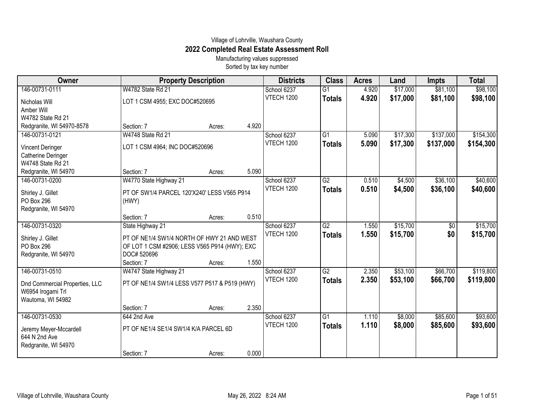## Village of Lohrville, Waushara County **2022 Completed Real Estate Assessment Roll**

Manufacturing values suppressed Sorted by tax key number

| Owner                          | <b>Property Description</b>                   |        |       | <b>Districts</b>  | <b>Class</b>    | <b>Acres</b> | Land     | <b>Impts</b> | <b>Total</b> |
|--------------------------------|-----------------------------------------------|--------|-------|-------------------|-----------------|--------------|----------|--------------|--------------|
| 146-00731-0111                 | W4782 State Rd 21                             |        |       | School 6237       | $\overline{G1}$ | 4.920        | \$17,000 | \$81,100     | \$98,100     |
| Nicholas Will                  | LOT 1 CSM 4955; EXC DOC#520695                |        |       | VTECH 1200        | <b>Totals</b>   | 4.920        | \$17,000 | \$81,100     | \$98,100     |
| Amber Will                     |                                               |        |       |                   |                 |              |          |              |              |
| W4782 State Rd 21              |                                               |        |       |                   |                 |              |          |              |              |
| Redgranite, WI 54970-8578      | Section: 7                                    | Acres: | 4.920 |                   |                 |              |          |              |              |
| 146-00731-0121                 | W4748 State Rd 21                             |        |       | School 6237       | G1              | 5.090        | \$17,300 | \$137,000    | \$154,300    |
| Vincent Deringer               | LOT 1 CSM 4964; INC DOC#520696                |        |       | <b>VTECH 1200</b> | <b>Totals</b>   | 5.090        | \$17,300 | \$137,000    | \$154,300    |
| Catherine Deringer             |                                               |        |       |                   |                 |              |          |              |              |
| W4748 State Rd 21              |                                               |        |       |                   |                 |              |          |              |              |
| Redgranite, WI 54970           | Section: 7                                    | Acres: | 5.090 |                   |                 |              |          |              |              |
| 146-00731-0200                 | W4770 State Highway 21                        |        |       | School 6237       | G2              | 0.510        | \$4,500  | \$36,100     | \$40,600     |
| Shirley J. Gillet              | PT OF SW1/4 PARCEL 120'X240' LESS V565 P914   |        |       | <b>VTECH 1200</b> | <b>Totals</b>   | 0.510        | \$4,500  | \$36,100     | \$40,600     |
| <b>PO Box 296</b>              | (HWY)                                         |        |       |                   |                 |              |          |              |              |
| Redgranite, WI 54970           |                                               |        |       |                   |                 |              |          |              |              |
|                                | Section: 7                                    | Acres: | 0.510 |                   |                 |              |          |              |              |
| 146-00731-0320                 | State Highway 21                              |        |       | School 6237       | G2              | 1.550        | \$15,700 | \$0          | \$15,700     |
| Shirley J. Gillet              | PT OF NE1/4 SW1/4 NORTH OF HWY 21 AND WEST    |        |       | <b>VTECH 1200</b> | <b>Totals</b>   | 1.550        | \$15,700 | \$0          | \$15,700     |
| PO Box 296                     | OF LOT 1 CSM #2906; LESS V565 P914 (HWY); EXC |        |       |                   |                 |              |          |              |              |
| Redgranite, WI 54970           | DOC# 520696                                   |        |       |                   |                 |              |          |              |              |
|                                | Section: 7                                    | Acres: | 1.550 |                   |                 |              |          |              |              |
| 146-00731-0510                 | W4747 State Highway 21                        |        |       | School 6237       | $\overline{G2}$ | 2.350        | \$53,100 | \$66,700     | \$119,800    |
| Dnd Commercial Properties, LLC | PT OF NE1/4 SW1/4 LESS V577 P517 & P519 (HWY) |        |       | <b>VTECH 1200</b> | <b>Totals</b>   | 2.350        | \$53,100 | \$66,700     | \$119,800    |
| W6954 Irogami Trl              |                                               |        |       |                   |                 |              |          |              |              |
| Wautoma, WI 54982              |                                               |        |       |                   |                 |              |          |              |              |
|                                | Section: 7                                    | Acres: | 2.350 |                   |                 |              |          |              |              |
| 146-00731-0530                 | 644 2nd Ave                                   |        |       | School 6237       | $\overline{G1}$ | 1.110        | \$8,000  | \$85,600     | \$93,600     |
| Jeremy Meyer-Mccardell         | PT OF NE1/4 SE1/4 SW1/4 K/A PARCEL 6D         |        |       | <b>VTECH 1200</b> | <b>Totals</b>   | 1.110        | \$8,000  | \$85,600     | \$93,600     |
| 644 N 2nd Ave                  |                                               |        |       |                   |                 |              |          |              |              |
| Redgranite, WI 54970           |                                               |        |       |                   |                 |              |          |              |              |
|                                | Section: 7                                    | Acres: | 0.000 |                   |                 |              |          |              |              |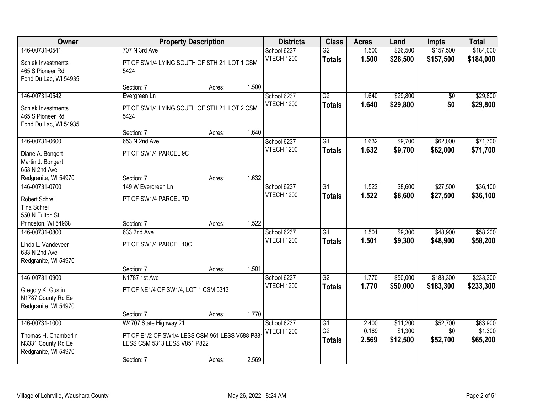| Owner                        |                                                | <b>Property Description</b> |       | <b>Districts</b>  | <b>Class</b>                      | <b>Acres</b>   | Land     | <b>Impts</b>    | <b>Total</b> |
|------------------------------|------------------------------------------------|-----------------------------|-------|-------------------|-----------------------------------|----------------|----------|-----------------|--------------|
| 146-00731-0541               | 707 N 3rd Ave                                  |                             |       | School 6237       | $\overline{G2}$                   | 1.500          | \$26,500 | \$157,500       | \$184,000    |
| Schiek Investments           | PT OF SW1/4 LYING SOUTH OF STH 21, LOT 1 CSM   |                             |       | <b>VTECH 1200</b> | <b>Totals</b>                     | 1.500          | \$26,500 | \$157,500       | \$184,000    |
| 465 S Pioneer Rd             | 5424                                           |                             |       |                   |                                   |                |          |                 |              |
| Fond Du Lac, WI 54935        |                                                |                             |       |                   |                                   |                |          |                 |              |
|                              | Section: 7                                     | Acres:                      | 1.500 |                   |                                   |                |          |                 |              |
| 146-00731-0542               | Evergreen Ln                                   |                             |       | School 6237       | $\overline{G2}$                   | 1.640          | \$29,800 | $\overline{50}$ | \$29,800     |
| Schiek Investments           | PT OF SW1/4 LYING SOUTH OF STH 21, LOT 2 CSM   |                             |       | <b>VTECH 1200</b> | <b>Totals</b>                     | 1.640          | \$29,800 | \$0             | \$29,800     |
| 465 S Pioneer Rd             | 5424                                           |                             |       |                   |                                   |                |          |                 |              |
| Fond Du Lac, WI 54935        |                                                |                             |       |                   |                                   |                |          |                 |              |
|                              | Section: 7                                     | Acres:                      | 1.640 |                   |                                   |                |          |                 |              |
| 146-00731-0600               | 653 N 2nd Ave                                  |                             |       | School 6237       | $\overline{G1}$                   | 1.632          | \$9,700  | \$62,000        | \$71,700     |
| Diane A. Bongert             | PT OF SW1/4 PARCEL 9C                          |                             |       | <b>VTECH 1200</b> | <b>Totals</b>                     | 1.632          | \$9,700  | \$62,000        | \$71,700     |
| Martin J. Bongert            |                                                |                             |       |                   |                                   |                |          |                 |              |
| 653 N 2nd Ave                |                                                |                             |       |                   |                                   |                |          |                 |              |
| Redgranite, WI 54970         | Section: 7                                     | Acres:                      | 1.632 |                   |                                   |                |          |                 |              |
| 146-00731-0700               | 149 W Evergreen Ln                             |                             |       | School 6237       | $\overline{G1}$                   | 1.522          | \$8,600  | \$27,500        | \$36,100     |
|                              | PT OF SW1/4 PARCEL 7D                          |                             |       | <b>VTECH 1200</b> | <b>Totals</b>                     | 1.522          | \$8,600  | \$27,500        | \$36,100     |
| Robert Schrei<br>Tina Schrei |                                                |                             |       |                   |                                   |                |          |                 |              |
| 550 N Fulton St              |                                                |                             |       |                   |                                   |                |          |                 |              |
| Princeton, WI 54968          | Section: 7                                     | Acres:                      | 1.522 |                   |                                   |                |          |                 |              |
| 146-00731-0800               | 633 2nd Ave                                    |                             |       | School 6237       | $\overline{G1}$                   | 1.501          | \$9,300  | \$48,900        | \$58,200     |
|                              |                                                |                             |       | <b>VTECH 1200</b> | <b>Totals</b>                     | 1.501          | \$9,300  | \$48,900        | \$58,200     |
| Linda L. Vandeveer           | PT OF SW1/4 PARCEL 10C                         |                             |       |                   |                                   |                |          |                 |              |
| 633 N 2nd Ave                |                                                |                             |       |                   |                                   |                |          |                 |              |
| Redgranite, WI 54970         | Section: 7                                     | Acres:                      | 1.501 |                   |                                   |                |          |                 |              |
| 146-00731-0900               | N1787 1st Ave                                  |                             |       | School 6237       | G2                                | 1.770          | \$50,000 | \$183,300       | \$233,300    |
|                              |                                                |                             |       | <b>VTECH 1200</b> | <b>Totals</b>                     | 1.770          | \$50,000 | \$183,300       | \$233,300    |
| Gregory K. Gustin            | PT OF NE1/4 OF SW1/4, LOT 1 CSM 5313           |                             |       |                   |                                   |                |          |                 |              |
| N1787 County Rd Ee           |                                                |                             |       |                   |                                   |                |          |                 |              |
| Redgranite, WI 54970         |                                                |                             |       |                   |                                   |                |          |                 |              |
|                              | Section: 7                                     | Acres:                      | 1.770 |                   |                                   |                |          |                 |              |
| 146-00731-1000               | W4707 State Highway 21                         |                             |       | School 6237       | $\overline{G1}$<br>G <sub>2</sub> | 2.400<br>0.169 | \$11,200 | \$52,700        | \$63,900     |
| Thomas H. Chamberlin         | PT OF E1/2 OF SW1/4 LESS CSM 961 LESS V588 P38 |                             |       | <b>VTECH 1200</b> |                                   |                | \$1,300  | \$0             | \$1,300      |
| N3331 County Rd Ee           | LESS CSM 5313 LESS V851 P822                   |                             |       |                   | <b>Totals</b>                     | 2.569          | \$12,500 | \$52,700        | \$65,200     |
| Redgranite, WI 54970         |                                                |                             |       |                   |                                   |                |          |                 |              |
|                              | Section: 7                                     | Acres:                      | 2.569 |                   |                                   |                |          |                 |              |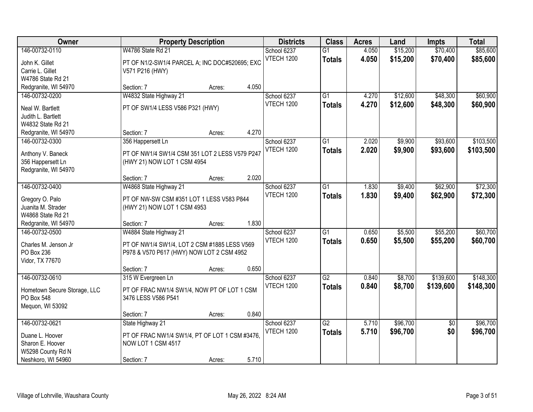| <b>Owner</b>                                                                                          |                                                                                                                                   | <b>Property Description</b> |       | <b>Districts</b>                 | <b>Class</b>                     | <b>Acres</b>   | Land                 | <b>Impts</b>           | <b>Total</b>         |
|-------------------------------------------------------------------------------------------------------|-----------------------------------------------------------------------------------------------------------------------------------|-----------------------------|-------|----------------------------------|----------------------------------|----------------|----------------------|------------------------|----------------------|
| 146-00732-0110<br>John K. Gillet<br>Carrie L. Gillet<br>W4786 State Rd 21                             | W4786 State Rd 21<br>PT OF N1/2-SW1/4 PARCEL A; INC DOC#520695; EXC<br>V571 P216 (HWY)                                            |                             |       | School 6237<br><b>VTECH 1200</b> | $\overline{G1}$<br><b>Totals</b> | 4.050<br>4.050 | \$15,200<br>\$15,200 | \$70,400<br>\$70,400   | \$85,600<br>\$85,600 |
| Redgranite, WI 54970                                                                                  | Section: 7                                                                                                                        | Acres:                      | 4.050 |                                  |                                  |                |                      |                        |                      |
| 146-00732-0200<br>Neal W. Bartlett<br>Judith L. Bartlett<br>W4832 State Rd 21<br>Redgranite, WI 54970 | W4832 State Highway 21<br>PT OF SW1/4 LESS V586 P321 (HWY)<br>Section: 7                                                          | Acres:                      | 4.270 | School 6237<br>VTECH 1200        | $\overline{G1}$<br><b>Totals</b> | 4.270<br>4.270 | \$12,600<br>\$12,600 | \$48,300<br>\$48,300   | \$60,900<br>\$60,900 |
| 146-00732-0300                                                                                        | 356 Happersett Ln                                                                                                                 |                             |       | School 6237                      | $\overline{G1}$                  | 2.020          | \$9,900              | \$93,600               | \$103,500            |
| Anthony V. Baneck<br>356 Happersett Ln<br>Redgranite, WI 54970                                        | PT OF NW1/4 SW1/4 CSM 351 LOT 2 LESS V579 P247<br>(HWY 21) NOW LOT 1 CSM 4954                                                     |                             |       | <b>VTECH 1200</b>                | <b>Totals</b>                    | 2.020          | \$9,900              | \$93,600               | \$103,500            |
|                                                                                                       | Section: 7                                                                                                                        | Acres:                      | 2.020 |                                  |                                  |                |                      |                        |                      |
| 146-00732-0400<br>Gregory O. Palo<br>Juanita M. Strader<br>W4868 State Rd 21                          | W4868 State Highway 21<br>PT OF NW-SW CSM #351 LOT 1 LESS V583 P844<br>(HWY 21) NOW LOT 1 CSM 4953                                |                             |       | School 6237<br><b>VTECH 1200</b> | G1<br><b>Totals</b>              | 1.830<br>1.830 | \$9,400<br>\$9,400   | \$62,900<br>\$62,900   | \$72,300<br>\$72,300 |
| Redgranite, WI 54970                                                                                  | Section: 7                                                                                                                        | Acres:                      | 1.830 |                                  |                                  |                |                      |                        |                      |
| 146-00732-0500<br>Charles M. Jenson Jr<br>PO Box 236<br>Vidor, TX 77670                               | W4884 State Highway 21<br>PT OF NW1/4 SW1/4, LOT 2 CSM #1885 LESS V569<br>P978 & V570 P617 (HWY) NOW LOT 2 CSM 4952<br>Section: 7 | Acres:                      | 0.650 | School 6237<br><b>VTECH 1200</b> | $\overline{G1}$<br><b>Totals</b> | 0.650<br>0.650 | \$5,500<br>\$5,500   | \$55,200<br>\$55,200   | \$60,700<br>\$60,700 |
| 146-00732-0610                                                                                        | 315 W Evergreen Ln                                                                                                                |                             |       | School 6237                      | G2                               | 0.840          | \$8,700              | \$139,600              | \$148,300            |
| Hometown Secure Storage, LLC<br>PO Box 548<br>Mequon, WI 53092                                        | PT OF FRAC NW1/4 SW1/4, NOW PT OF LOT 1 CSM<br>3476 LESS V586 P541                                                                |                             |       | <b>VTECH 1200</b>                | <b>Totals</b>                    | 0.840          | \$8,700              | \$139,600              | \$148,300            |
|                                                                                                       | Section: 7                                                                                                                        | Acres:                      | 0.840 |                                  |                                  |                |                      |                        |                      |
| 146-00732-0621<br>Duane L. Hoover<br>Sharon E. Hoover<br>W5298 County Rd N<br>Neshkoro, WI 54960      | State Highway 21<br>PT OF FRAC NW1/4 SW1/4, PT OF LOT 1 CSM #3476,<br>NOW LOT 1 CSM 4517<br>Section: 7                            | Acres:                      | 5.710 | School 6237<br><b>VTECH 1200</b> | $\overline{G2}$<br><b>Totals</b> | 5.710<br>5.710 | \$96,700<br>\$96,700 | $\overline{50}$<br>\$0 | \$96,700<br>\$96,700 |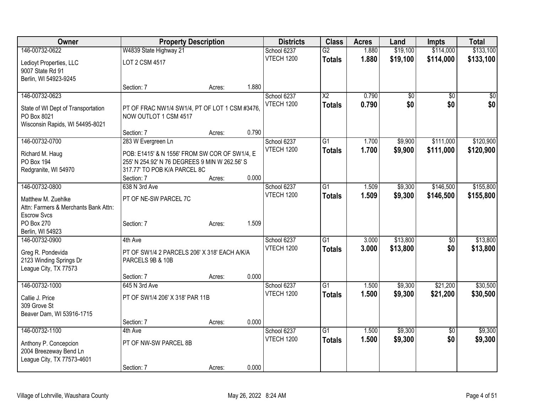| Owner                                                      |                                                | <b>Property Description</b> |       | <b>Districts</b>  | <b>Class</b>           | <b>Acres</b> | Land     | Impts           | <b>Total</b>    |
|------------------------------------------------------------|------------------------------------------------|-----------------------------|-------|-------------------|------------------------|--------------|----------|-----------------|-----------------|
| 146-00732-0622                                             | W4839 State Highway 21                         |                             |       | School 6237       | $\overline{G2}$        | 1.880        | \$19,100 | \$114,000       | \$133,100       |
| Ledioyt Properties, LLC                                    | LOT 2 CSM 4517                                 |                             |       | <b>VTECH 1200</b> | <b>Totals</b>          | 1.880        | \$19,100 | \$114,000       | \$133,100       |
| 9007 State Rd 91                                           |                                                |                             |       |                   |                        |              |          |                 |                 |
| Berlin, WI 54923-9245                                      |                                                |                             |       |                   |                        |              |          |                 |                 |
|                                                            | Section: 7                                     | Acres:                      | 1.880 |                   |                        |              |          |                 |                 |
| 146-00732-0623                                             |                                                |                             |       | School 6237       | $\overline{\text{X2}}$ | 0.790        | \$0      | \$0             | $\overline{50}$ |
| State of WI Dept of Transportation                         | PT OF FRAC NW1/4 SW1/4, PT OF LOT 1 CSM #3476, |                             |       | <b>VTECH 1200</b> | <b>Totals</b>          | 0.790        | \$0      | \$0             | \$0             |
| PO Box 8021                                                | NOW OUTLOT 1 CSM 4517                          |                             |       |                   |                        |              |          |                 |                 |
| Wisconsin Rapids, WI 54495-8021                            |                                                |                             |       |                   |                        |              |          |                 |                 |
|                                                            | Section: 7                                     | Acres:                      | 0.790 |                   |                        |              |          |                 |                 |
| 146-00732-0700                                             | 283 W Evergreen Ln                             |                             |       | School 6237       | $\overline{G1}$        | 1.700        | \$9,900  | \$111,000       | \$120,900       |
| Richard M. Haug                                            | POB: E1415' & N 1556' FROM SW COR OF SW1/4, E  |                             |       | VTECH 1200        | <b>Totals</b>          | 1.700        | \$9,900  | \$111,000       | \$120,900       |
| PO Box 194                                                 | 255' N 254.92' N 76 DEGREES 9 MIN W 262.56' S  |                             |       |                   |                        |              |          |                 |                 |
| Redgranite, WI 54970                                       | 317.77' TO POB K/A PARCEL 8C                   |                             |       |                   |                        |              |          |                 |                 |
|                                                            | Section: 7                                     | Acres:                      | 0.000 |                   |                        |              |          |                 |                 |
| 146-00732-0800                                             | 638 N 3rd Ave                                  |                             |       | School 6237       | $\overline{G1}$        | 1.509        | \$9,300  | \$146,500       | \$155,800       |
|                                                            |                                                |                             |       | VTECH 1200        | <b>Totals</b>          | 1.509        | \$9,300  | \$146,500       | \$155,800       |
| Matthew M. Zuehlke                                         | PT OF NE-SW PARCEL 7C                          |                             |       |                   |                        |              |          |                 |                 |
| Attn: Farmers & Merchants Bank Attn:<br><b>Escrow Svcs</b> |                                                |                             |       |                   |                        |              |          |                 |                 |
| PO Box 270                                                 | Section: 7                                     | Acres:                      | 1.509 |                   |                        |              |          |                 |                 |
| Berlin, WI 54923                                           |                                                |                             |       |                   |                        |              |          |                 |                 |
| 146-00732-0900                                             | 4th Ave                                        |                             |       | School 6237       | $\overline{G1}$        | 3.000        | \$13,800 | \$0             | \$13,800        |
|                                                            |                                                |                             |       | <b>VTECH 1200</b> | <b>Totals</b>          | 3.000        | \$13,800 | \$0             | \$13,800        |
| Greg R. Pondevida                                          | PT OF SW1/4 2 PARCELS 206' X 318' EACH A/K/A   |                             |       |                   |                        |              |          |                 |                 |
| 2123 Winding Springs Dr                                    | PARCELS 9B & 10B                               |                             |       |                   |                        |              |          |                 |                 |
| League City, TX 77573                                      |                                                |                             | 0.000 |                   |                        |              |          |                 |                 |
| 146-00732-1000                                             | Section: 7<br>645 N 3rd Ave                    | Acres:                      |       | School 6237       | $\overline{G1}$        | 1.500        | \$9,300  | \$21,200        | \$30,500        |
|                                                            |                                                |                             |       | <b>VTECH 1200</b> |                        | 1.500        | \$9,300  | \$21,200        | \$30,500        |
| Callie J. Price                                            | PT OF SW1/4 206' X 318' PAR 11B                |                             |       |                   | <b>Totals</b>          |              |          |                 |                 |
| 309 Grove St                                               |                                                |                             |       |                   |                        |              |          |                 |                 |
| Beaver Dam, WI 53916-1715                                  |                                                |                             |       |                   |                        |              |          |                 |                 |
|                                                            | Section: 7                                     | Acres:                      | 0.000 |                   |                        |              |          |                 |                 |
| 146-00732-1100                                             | 4th Ave                                        |                             |       | School 6237       | $\overline{G1}$        | 1.500        | \$9,300  | $\overline{50}$ | \$9,300         |
| Anthony P. Concepcion                                      | PT OF NW-SW PARCEL 8B                          |                             |       | VTECH 1200        | <b>Totals</b>          | 1.500        | \$9,300  | \$0             | \$9,300         |
| 2004 Breezeway Bend Ln                                     |                                                |                             |       |                   |                        |              |          |                 |                 |
| League City, TX 77573-4601                                 |                                                |                             |       |                   |                        |              |          |                 |                 |
|                                                            | Section: 7                                     | Acres:                      | 0.000 |                   |                        |              |          |                 |                 |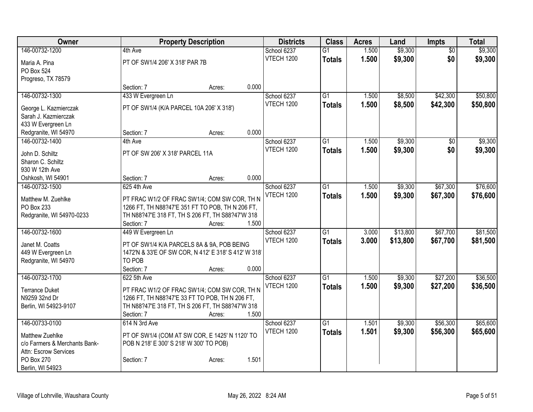| \$9,300<br>\$9,300<br>146-00732-1200<br>School 6237<br>1.500<br>4th Ave<br>$\overline{G1}$<br>$\overline{50}$<br><b>VTECH 1200</b><br>1.500<br>\$9,300<br>\$0<br>\$9,300<br><b>Totals</b><br>PT OF SW1/4 206' X 318' PAR 7B<br>Maria A. Pina<br>PO Box 524<br>Progreso, TX 78579<br>0.000<br>Section: 7<br>Acres:<br>433 W Evergreen Ln<br>\$8,500<br>\$42,300<br>146-00732-1300<br>School 6237<br>$\overline{G1}$<br>1.500<br><b>VTECH 1200</b><br>1.500<br>\$8,500<br>\$42,300<br><b>Totals</b><br>PT OF SW1/4 (K/A PARCEL 10A 206' X 318')<br>George L. Kazmierczak<br>Sarah J. Kazmierczak<br>433 W Evergreen Ln<br>0.000<br>Section: 7<br>Redgranite, WI 54970<br>Acres:<br>\$9,300<br>146-00732-1400<br>School 6237<br>G1<br>1.500<br>4th Ave<br>\$0<br><b>VTECH 1200</b><br>\$0<br>1.500<br>\$9,300<br>\$9,300<br><b>Totals</b><br>PT OF SW 206' X 318' PARCEL 11A<br>John D. Schiltz<br>Sharon C. Schiltz |
|-------------------------------------------------------------------------------------------------------------------------------------------------------------------------------------------------------------------------------------------------------------------------------------------------------------------------------------------------------------------------------------------------------------------------------------------------------------------------------------------------------------------------------------------------------------------------------------------------------------------------------------------------------------------------------------------------------------------------------------------------------------------------------------------------------------------------------------------------------------------------------------------------------------------|
|                                                                                                                                                                                                                                                                                                                                                                                                                                                                                                                                                                                                                                                                                                                                                                                                                                                                                                                   |
| \$50,800<br>\$50,800                                                                                                                                                                                                                                                                                                                                                                                                                                                                                                                                                                                                                                                                                                                                                                                                                                                                                              |
|                                                                                                                                                                                                                                                                                                                                                                                                                                                                                                                                                                                                                                                                                                                                                                                                                                                                                                                   |
|                                                                                                                                                                                                                                                                                                                                                                                                                                                                                                                                                                                                                                                                                                                                                                                                                                                                                                                   |
|                                                                                                                                                                                                                                                                                                                                                                                                                                                                                                                                                                                                                                                                                                                                                                                                                                                                                                                   |
| \$9,300                                                                                                                                                                                                                                                                                                                                                                                                                                                                                                                                                                                                                                                                                                                                                                                                                                                                                                           |
|                                                                                                                                                                                                                                                                                                                                                                                                                                                                                                                                                                                                                                                                                                                                                                                                                                                                                                                   |
|                                                                                                                                                                                                                                                                                                                                                                                                                                                                                                                                                                                                                                                                                                                                                                                                                                                                                                                   |
|                                                                                                                                                                                                                                                                                                                                                                                                                                                                                                                                                                                                                                                                                                                                                                                                                                                                                                                   |
|                                                                                                                                                                                                                                                                                                                                                                                                                                                                                                                                                                                                                                                                                                                                                                                                                                                                                                                   |
|                                                                                                                                                                                                                                                                                                                                                                                                                                                                                                                                                                                                                                                                                                                                                                                                                                                                                                                   |
|                                                                                                                                                                                                                                                                                                                                                                                                                                                                                                                                                                                                                                                                                                                                                                                                                                                                                                                   |
|                                                                                                                                                                                                                                                                                                                                                                                                                                                                                                                                                                                                                                                                                                                                                                                                                                                                                                                   |
| 930 W 12th Ave                                                                                                                                                                                                                                                                                                                                                                                                                                                                                                                                                                                                                                                                                                                                                                                                                                                                                                    |
| 0.000<br>Oshkosh, WI 54901<br>Section: 7<br>Acres:                                                                                                                                                                                                                                                                                                                                                                                                                                                                                                                                                                                                                                                                                                                                                                                                                                                                |
| 625 4th Ave<br>School 6237<br>$\overline{G1}$<br>\$9,300<br>\$67,300<br>\$76,600<br>146-00732-1500<br>1.500                                                                                                                                                                                                                                                                                                                                                                                                                                                                                                                                                                                                                                                                                                                                                                                                       |
| <b>VTECH 1200</b><br>1.500                                                                                                                                                                                                                                                                                                                                                                                                                                                                                                                                                                                                                                                                                                                                                                                                                                                                                        |
| \$9,300<br>\$67,300<br>\$76,600<br><b>Totals</b><br>Matthew M. Zuehlke<br>PT FRAC W1/2 OF FRAC SW1/4; COM SW COR, TH N                                                                                                                                                                                                                                                                                                                                                                                                                                                                                                                                                                                                                                                                                                                                                                                            |
| PO Box 233<br>1266 FT, TH N88?47'E 351 FT TO POB, TH N 206 FT,                                                                                                                                                                                                                                                                                                                                                                                                                                                                                                                                                                                                                                                                                                                                                                                                                                                    |
| Redgranite, WI 54970-0233<br>TH N88?47'E 318 FT, TH S 206 FT, TH S88?47'W 318                                                                                                                                                                                                                                                                                                                                                                                                                                                                                                                                                                                                                                                                                                                                                                                                                                     |
| 1.500<br>Section: 7<br>Acres:                                                                                                                                                                                                                                                                                                                                                                                                                                                                                                                                                                                                                                                                                                                                                                                                                                                                                     |
| \$67,700<br>\$81,500<br>146-00732-1600<br>449 W Evergreen Ln<br>$\overline{G1}$<br>\$13,800<br>School 6237<br>3.000                                                                                                                                                                                                                                                                                                                                                                                                                                                                                                                                                                                                                                                                                                                                                                                               |
| <b>VTECH 1200</b><br>3.000<br>\$13,800<br>\$67,700<br>\$81,500<br><b>Totals</b><br>Janet M. Coatts<br>PT OF SW1/4 K/A PARCELS 8A & 9A, POB BEING                                                                                                                                                                                                                                                                                                                                                                                                                                                                                                                                                                                                                                                                                                                                                                  |
| 1472'N & 33'E OF SW COR, N 412' E 318' S 412' W 318'<br>449 W Evergreen Ln                                                                                                                                                                                                                                                                                                                                                                                                                                                                                                                                                                                                                                                                                                                                                                                                                                        |
| TO POB<br>Redgranite, WI 54970                                                                                                                                                                                                                                                                                                                                                                                                                                                                                                                                                                                                                                                                                                                                                                                                                                                                                    |
| 0.000<br>Section: 7<br>Acres:                                                                                                                                                                                                                                                                                                                                                                                                                                                                                                                                                                                                                                                                                                                                                                                                                                                                                     |
| 146-00732-1700<br>622 5th Ave<br>$\overline{G1}$<br>\$9,300<br>\$27,200<br>\$36,500<br>School 6237<br>1.500                                                                                                                                                                                                                                                                                                                                                                                                                                                                                                                                                                                                                                                                                                                                                                                                       |
| <b>VTECH 1200</b><br>1.500<br>\$9,300<br>\$27,200<br>\$36,500<br><b>Totals</b><br>PT FRAC W1/2 OF FRAC SW1/4; COM SW COR, TH N<br><b>Terrance Duket</b>                                                                                                                                                                                                                                                                                                                                                                                                                                                                                                                                                                                                                                                                                                                                                           |
| 1266 FT, TH N88?47'E 33 FT TO POB, TH N 206 FT,<br>N9259 32nd Dr                                                                                                                                                                                                                                                                                                                                                                                                                                                                                                                                                                                                                                                                                                                                                                                                                                                  |
| TH N88?47'E 318 FT, TH S 206 FT, TH S88?47'W 318<br>Berlin, WI 54923-9107                                                                                                                                                                                                                                                                                                                                                                                                                                                                                                                                                                                                                                                                                                                                                                                                                                         |
| 1.500<br>Section: 7<br>Acres:                                                                                                                                                                                                                                                                                                                                                                                                                                                                                                                                                                                                                                                                                                                                                                                                                                                                                     |
| 146-00733-0100<br>School 6237<br>\$9,300<br>\$56,300<br>\$65,600<br>614 N 3rd Ave<br>$\overline{G1}$<br>1.501                                                                                                                                                                                                                                                                                                                                                                                                                                                                                                                                                                                                                                                                                                                                                                                                     |
| <b>VTECH 1200</b><br>\$56,300<br>1.501<br>\$9,300<br>\$65,600<br><b>Totals</b>                                                                                                                                                                                                                                                                                                                                                                                                                                                                                                                                                                                                                                                                                                                                                                                                                                    |
| PT OF SW1/4 (COM AT SW COR, E 1425' N 1120' TO<br>Matthew Zuehlke                                                                                                                                                                                                                                                                                                                                                                                                                                                                                                                                                                                                                                                                                                                                                                                                                                                 |
| c/o Farmers & Merchants Bank-<br>POB N 218' E 300' S 218' W 300' TO POB)                                                                                                                                                                                                                                                                                                                                                                                                                                                                                                                                                                                                                                                                                                                                                                                                                                          |
| Attn: Escrow Services<br>PO Box 270<br>1.501<br>Section: 7                                                                                                                                                                                                                                                                                                                                                                                                                                                                                                                                                                                                                                                                                                                                                                                                                                                        |
| Acres:<br>Berlin, WI 54923                                                                                                                                                                                                                                                                                                                                                                                                                                                                                                                                                                                                                                                                                                                                                                                                                                                                                        |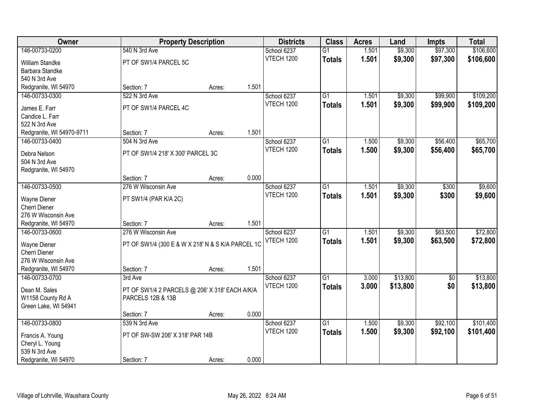| Owner                                  |                                                   | <b>Property Description</b> |       | <b>Districts</b>                 | <b>Class</b>    | <b>Acres</b> | Land     | <b>Impts</b>    | <b>Total</b> |
|----------------------------------------|---------------------------------------------------|-----------------------------|-------|----------------------------------|-----------------|--------------|----------|-----------------|--------------|
| 146-00733-0200                         | 540 N 3rd Ave                                     |                             |       | School 6237                      | $\overline{G1}$ | 1.501        | \$9,300  | \$97,300        | \$106,600    |
| William Standke                        | PT OF SW1/4 PARCEL 5C                             |                             |       | <b>VTECH 1200</b>                | <b>Totals</b>   | 1.501        | \$9,300  | \$97,300        | \$106,600    |
| Barbara Standke                        |                                                   |                             |       |                                  |                 |              |          |                 |              |
| 540 N 3rd Ave                          |                                                   |                             |       |                                  |                 |              |          |                 |              |
| Redgranite, WI 54970                   | Section: 7                                        | Acres:                      | 1.501 |                                  |                 |              |          |                 |              |
| 146-00733-0300                         | 522 N 3rd Ave                                     |                             |       | School 6237                      | $\overline{G1}$ | 1.501        | \$9,300  | \$99,900        | \$109,200    |
| James E. Farr                          | PT OF SW1/4 PARCEL 4C                             |                             |       | VTECH 1200                       | <b>Totals</b>   | 1.501        | \$9,300  | \$99,900        | \$109,200    |
| Candice L. Farr                        |                                                   |                             |       |                                  |                 |              |          |                 |              |
| 522 N 3rd Ave                          |                                                   |                             |       |                                  |                 |              |          |                 |              |
| Redgranite, WI 54970-9711              | Section: 7                                        | Acres:                      | 1.501 |                                  |                 |              |          |                 |              |
| 146-00733-0400                         | 504 N 3rd Ave                                     |                             |       | School 6237                      | G1              | 1.500        | \$9,300  | \$56,400        | \$65,700     |
| Debra Nelson                           | PT OF SW1/4 218' X 300' PARCEL 3C                 |                             |       | <b>VTECH 1200</b>                | <b>Totals</b>   | 1.500        | \$9,300  | \$56,400        | \$65,700     |
| 504 N 3rd Ave                          |                                                   |                             |       |                                  |                 |              |          |                 |              |
| Redgranite, WI 54970                   |                                                   |                             |       |                                  |                 |              |          |                 |              |
|                                        | Section: 7                                        | Acres:                      | 0.000 |                                  |                 |              |          |                 |              |
| 146-00733-0500                         | 276 W Wisconsin Ave                               |                             |       | School 6237                      | G1              | 1.501        | \$9,300  | \$300           | \$9,600      |
|                                        |                                                   |                             |       | <b>VTECH 1200</b>                | <b>Totals</b>   | 1.501        | \$9,300  | \$300           | \$9,600      |
| Wayne Diener                           | PT SW1/4 (PAR K/A 2C)                             |                             |       |                                  |                 |              |          |                 |              |
| Cherri Diener<br>276 W Wisconsin Ave   |                                                   |                             |       |                                  |                 |              |          |                 |              |
| Redgranite, WI 54970                   | Section: 7                                        | Acres:                      | 1.501 |                                  |                 |              |          |                 |              |
| 146-00733-0600                         | 276 W Wisconsin Ave                               |                             |       | School 6237                      | $\overline{G1}$ | 1.501        | \$9,300  | \$63,500        | \$72,800     |
|                                        |                                                   |                             |       | <b>VTECH 1200</b>                | <b>Totals</b>   | 1.501        | \$9,300  | \$63,500        | \$72,800     |
| Wayne Diener                           | PT OF SW1/4 (300 E & W X 218' N & S K/A PARCEL 1C |                             |       |                                  |                 |              |          |                 |              |
| Cherri Diener                          |                                                   |                             |       |                                  |                 |              |          |                 |              |
| 276 W Wisconsin Ave                    |                                                   |                             |       |                                  |                 |              |          |                 |              |
| Redgranite, WI 54970<br>146-00733-0700 | Section: 7                                        | Acres:                      | 1.501 |                                  |                 |              |          |                 |              |
|                                        | 3rd Ave                                           |                             |       | School 6237<br><b>VTECH 1200</b> | $\overline{G1}$ | 3.000        | \$13,800 | $\overline{50}$ | \$13,800     |
| Dean M. Sales                          | PT OF SW1/4 2 PARCELS @ 206' X 318' EACH A/K/A    |                             |       |                                  | <b>Totals</b>   | 3.000        | \$13,800 | \$0             | \$13,800     |
| W1158 County Rd A                      | PARCELS 12B & 13B                                 |                             |       |                                  |                 |              |          |                 |              |
| Green Lake, WI 54941                   |                                                   |                             |       |                                  |                 |              |          |                 |              |
|                                        | Section: 7                                        | Acres:                      | 0.000 |                                  |                 |              |          |                 |              |
| 146-00733-0800                         | 539 N 3rd Ave                                     |                             |       | School 6237                      | $\overline{G1}$ | 1.500        | \$9,300  | \$92,100        | \$101,400    |
| Francis A. Young                       | PT OF SW-SW 206' X 318' PAR 14B                   |                             |       | <b>VTECH 1200</b>                | <b>Totals</b>   | 1.500        | \$9,300  | \$92,100        | \$101,400    |
| Cheryl L. Young                        |                                                   |                             |       |                                  |                 |              |          |                 |              |
| 539 N 3rd Ave                          |                                                   |                             |       |                                  |                 |              |          |                 |              |
| Redgranite, WI 54970                   | Section: 7                                        | Acres:                      | 0.000 |                                  |                 |              |          |                 |              |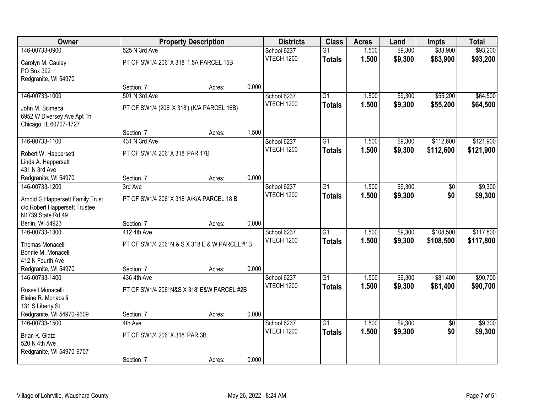| Owner                            |                                               | <b>Property Description</b> |       | <b>Districts</b> | <b>Class</b>    | <b>Acres</b> | Land    | <b>Impts</b>    | <b>Total</b> |
|----------------------------------|-----------------------------------------------|-----------------------------|-------|------------------|-----------------|--------------|---------|-----------------|--------------|
| 146-00733-0900                   | 525 N 3rd Ave                                 |                             |       | School 6237      | $\overline{G1}$ | 1.500        | \$9,300 | \$83,900        | \$93,200     |
| Carolyn M. Cauley                | PT OF SW1/4 206' X 318' 1.5A PARCEL 15B       |                             |       | VTECH 1200       | <b>Totals</b>   | 1.500        | \$9,300 | \$83,900        | \$93,200     |
| PO Box 392                       |                                               |                             |       |                  |                 |              |         |                 |              |
| Redgranite, WI 54970             |                                               |                             |       |                  |                 |              |         |                 |              |
|                                  | Section: 7                                    | Acres:                      | 0.000 |                  |                 |              |         |                 |              |
| 146-00733-1000                   | 501 N 3rd Ave                                 |                             |       | School 6237      | G1              | 1.500        | \$9,300 | \$55,200        | \$64,500     |
| John M. Scimeca                  | PT OF SW1/4 (206' X 318') (K/A PARCEL 16B)    |                             |       | VTECH 1200       | <b>Totals</b>   | 1.500        | \$9,300 | \$55,200        | \$64,500     |
| 6952 W Diversey Ave Apt 1n       |                                               |                             |       |                  |                 |              |         |                 |              |
| Chicago, IL 60707-1727           |                                               |                             |       |                  |                 |              |         |                 |              |
|                                  | Section: 7                                    | Acres:                      | 1.500 |                  |                 |              |         |                 |              |
| 146-00733-1100                   | 431 N 3rd Ave                                 |                             |       | School 6237      | G1              | 1.500        | \$9,300 | \$112,600       | \$121,900    |
| Robert W. Happersett             | PT OF SW1/4 206' X 318' PAR 17B               |                             |       | VTECH 1200       | <b>Totals</b>   | 1.500        | \$9,300 | \$112,600       | \$121,900    |
| Linda A. Happersett              |                                               |                             |       |                  |                 |              |         |                 |              |
| 431 N 3rd Ave                    |                                               |                             |       |                  |                 |              |         |                 |              |
| Redgranite, WI 54970             | Section: 7                                    | Acres:                      | 0.000 |                  |                 |              |         |                 |              |
| 146-00733-1200                   | 3rd Ave                                       |                             |       | School 6237      | $\overline{G1}$ | 1.500        | \$9,300 | \$0             | \$9,300      |
| Arnold G Happersett Family Trust | PT OF SW1/4 206' X 318' A/K/A PARCEL 18 B     |                             |       | VTECH 1200       | <b>Totals</b>   | 1.500        | \$9,300 | \$0             | \$9,300      |
| c/o Robert Happersett Trustee    |                                               |                             |       |                  |                 |              |         |                 |              |
| N1739 State Rd 49                |                                               |                             |       |                  |                 |              |         |                 |              |
| Berlin, WI 54923                 | Section: 7                                    | Acres:                      | 0.000 |                  |                 |              |         |                 |              |
| 146-00733-1300                   | 412 4th Ave                                   |                             |       | School 6237      | $\overline{G1}$ | 1.500        | \$9,300 | \$108,500       | \$117,800    |
| Thomas Monacelli                 | PT OF SW1/4 206' N & S X 318 E & W PARCEL #1B |                             |       | VTECH 1200       | <b>Totals</b>   | 1.500        | \$9,300 | \$108,500       | \$117,800    |
| Bonnie M. Monacelli              |                                               |                             |       |                  |                 |              |         |                 |              |
| 412 N Fourth Ave                 |                                               |                             |       |                  |                 |              |         |                 |              |
| Redgranite, WI 54970             | Section: 7                                    | Acres:                      | 0.000 |                  |                 |              |         |                 |              |
| 146-00733-1400                   | 436 4th Ave                                   |                             |       | School 6237      | G1              | 1.500        | \$9,300 | \$81,400        | \$90,700     |
| Russell Monacelli                | PT OF SW1/4 206' N&S X 318' E&W PARCEL #2B    |                             |       | VTECH 1200       | <b>Totals</b>   | 1.500        | \$9,300 | \$81,400        | \$90,700     |
| Elaine R. Monacelli              |                                               |                             |       |                  |                 |              |         |                 |              |
| 131 S Liberty St                 |                                               |                             |       |                  |                 |              |         |                 |              |
| Redgranite, WI 54970-9609        | Section: 7                                    | Acres:                      | 0.000 |                  |                 |              |         |                 |              |
| 146-00733-1500                   | 4th Ave                                       |                             |       | School 6237      | $\overline{G1}$ | 1.500        | \$9,300 | $\overline{50}$ | \$9,300      |
| Brian K. Glatz                   | PT OF SW1/4 206' X 318' PAR 3B                |                             |       | VTECH 1200       | <b>Totals</b>   | 1.500        | \$9,300 | \$0             | \$9,300      |
| 520 N 4th Ave                    |                                               |                             |       |                  |                 |              |         |                 |              |
| Redgranite, WI 54970-9707        |                                               |                             |       |                  |                 |              |         |                 |              |
|                                  | Section: 7                                    | Acres:                      | 0.000 |                  |                 |              |         |                 |              |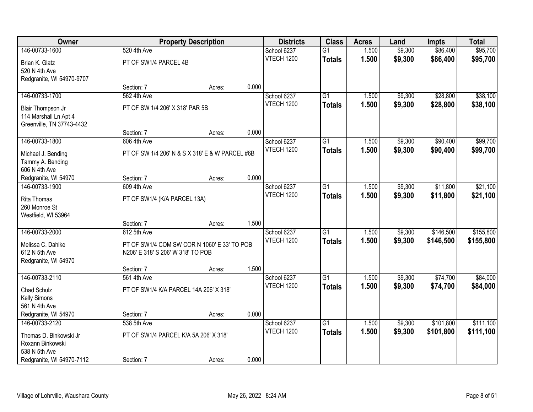| Owner                     |                                        | <b>Property Description</b>                     |       | <b>Districts</b>  | <b>Class</b>    | <b>Acres</b> | Land    | <b>Impts</b> | <b>Total</b> |
|---------------------------|----------------------------------------|-------------------------------------------------|-------|-------------------|-----------------|--------------|---------|--------------|--------------|
| 146-00733-1600            | 520 4th Ave                            |                                                 |       | School 6237       | $\overline{G1}$ | 1.500        | \$9,300 | \$86,400     | \$95,700     |
| Brian K. Glatz            | PT OF SW1/4 PARCEL 4B                  |                                                 |       | <b>VTECH 1200</b> | <b>Totals</b>   | 1.500        | \$9,300 | \$86,400     | \$95,700     |
| 520 N 4th Ave             |                                        |                                                 |       |                   |                 |              |         |              |              |
| Redgranite, WI 54970-9707 |                                        |                                                 |       |                   |                 |              |         |              |              |
|                           | Section: 7                             | Acres:                                          | 0.000 |                   |                 |              |         |              |              |
| 146-00733-1700            | 562 4th Ave                            |                                                 |       | School 6237       | $\overline{G1}$ | 1.500        | \$9,300 | \$28,800     | \$38,100     |
| Blair Thompson Jr         | PT OF SW 1/4 206' X 318' PAR 5B        |                                                 |       | VTECH 1200        | <b>Totals</b>   | 1.500        | \$9,300 | \$28,800     | \$38,100     |
| 114 Marshall Ln Apt 4     |                                        |                                                 |       |                   |                 |              |         |              |              |
| Greenville, TN 37743-4432 |                                        |                                                 |       |                   |                 |              |         |              |              |
|                           | Section: 7                             | Acres:                                          | 0.000 |                   |                 |              |         |              |              |
| 146-00733-1800            | 606 4th Ave                            |                                                 |       | School 6237       | $\overline{G1}$ | 1.500        | \$9,300 | \$90,400     | \$99,700     |
| Michael J. Bending        |                                        | PT OF SW 1/4 206' N & S X 318' E & W PARCEL #6B |       | <b>VTECH 1200</b> | <b>Totals</b>   | 1.500        | \$9,300 | \$90,400     | \$99,700     |
| Tammy A. Bending          |                                        |                                                 |       |                   |                 |              |         |              |              |
| 606 N 4th Ave             |                                        |                                                 |       |                   |                 |              |         |              |              |
| Redgranite, WI 54970      | Section: 7                             | Acres:                                          | 0.000 |                   |                 |              |         |              |              |
| 146-00733-1900            | 609 4th Ave                            |                                                 |       | School 6237       | G1              | 1.500        | \$9,300 | \$11,800     | \$21,100     |
| Rita Thomas               | PT OF SW1/4 (K/A PARCEL 13A)           |                                                 |       | <b>VTECH 1200</b> | <b>Totals</b>   | 1.500        | \$9,300 | \$11,800     | \$21,100     |
| 260 Monroe St             |                                        |                                                 |       |                   |                 |              |         |              |              |
| Westfield, WI 53964       |                                        |                                                 |       |                   |                 |              |         |              |              |
|                           | Section: 7                             | Acres:                                          | 1.500 |                   |                 |              |         |              |              |
| 146-00733-2000            | 612 5th Ave                            |                                                 |       | School 6237       | $\overline{G1}$ | 1.500        | \$9,300 | \$146,500    | \$155,800    |
| Melissa C. Dahlke         |                                        | PT OF SW1/4 COM SW COR N 1060' E 33' TO POB     |       | <b>VTECH 1200</b> | <b>Totals</b>   | 1.500        | \$9,300 | \$146,500    | \$155,800    |
| 612 N 5th Ave             | N206' E 318' S 206' W 318' TO POB      |                                                 |       |                   |                 |              |         |              |              |
| Redgranite, WI 54970      |                                        |                                                 |       |                   |                 |              |         |              |              |
|                           | Section: 7                             | Acres:                                          | 1.500 |                   |                 |              |         |              |              |
| 146-00733-2110            | 561 4th Ave                            |                                                 |       | School 6237       | $\overline{G1}$ | 1.500        | \$9,300 | \$74,700     | \$84,000     |
| Chad Schulz               | PT OF SW1/4 K/A PARCEL 14A 206' X 318' |                                                 |       | <b>VTECH 1200</b> | <b>Totals</b>   | 1.500        | \$9,300 | \$74,700     | \$84,000     |
| Kelly Simons              |                                        |                                                 |       |                   |                 |              |         |              |              |
| 561 N 4th Ave             |                                        |                                                 |       |                   |                 |              |         |              |              |
| Redgranite, WI 54970      | Section: 7                             | Acres:                                          | 0.000 |                   |                 |              |         |              |              |
| 146-00733-2120            | 538 5th Ave                            |                                                 |       | School 6237       | $\overline{G1}$ | 1.500        | \$9,300 | \$101,800    | \$111,100    |
| Thomas D. Binkowski Jr    | PT OF SW1/4 PARCEL K/A 5A 206' X 318'  |                                                 |       | <b>VTECH 1200</b> | <b>Totals</b>   | 1.500        | \$9,300 | \$101,800    | \$111,100    |
| Roxann Binkowski          |                                        |                                                 |       |                   |                 |              |         |              |              |
| 538 N 5th Ave             |                                        |                                                 |       |                   |                 |              |         |              |              |
| Redgranite, WI 54970-7112 | Section: 7                             | Acres:                                          | 0.000 |                   |                 |              |         |              |              |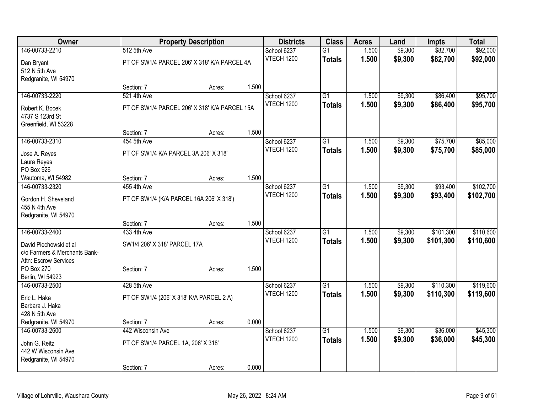| <b>Owner</b>                  |                                          | <b>Property Description</b>                   |       |                           |                 | <b>Acres</b> | Land    | <b>Impts</b> | <b>Total</b> |
|-------------------------------|------------------------------------------|-----------------------------------------------|-------|---------------------------|-----------------|--------------|---------|--------------|--------------|
| 146-00733-2210                | 512 5th Ave                              |                                               |       | School 6237               | $\overline{G1}$ | 1.500        | \$9,300 | \$82,700     | \$92,000     |
| Dan Bryant                    |                                          | PT OF SW1/4 PARCEL 206' X 318' K/A PARCEL 4A  |       | VTECH 1200                | <b>Totals</b>   | 1.500        | \$9,300 | \$82,700     | \$92,000     |
| 512 N 5th Ave                 |                                          |                                               |       |                           |                 |              |         |              |              |
| Redgranite, WI 54970          |                                          |                                               |       |                           |                 |              |         |              |              |
|                               | Section: 7                               | Acres:                                        | 1.500 |                           |                 |              |         |              |              |
| 146-00733-2220                | 521 4th Ave                              |                                               |       | School 6237               | G1              | 1.500        | \$9,300 | \$86,400     | \$95,700     |
| Robert K. Bocek               |                                          | PT OF SW1/4 PARCEL 206' X 318' K/A PARCEL 15A |       | <b>VTECH 1200</b>         | <b>Totals</b>   | 1.500        | \$9,300 | \$86,400     | \$95,700     |
| 4737 S 123rd St               |                                          |                                               |       |                           |                 |              |         |              |              |
| Greenfield, WI 53228          |                                          |                                               |       |                           |                 |              |         |              |              |
|                               | Section: 7                               | Acres:                                        | 1.500 |                           |                 |              |         |              |              |
| 146-00733-2310                | 454 5th Ave                              |                                               |       | School 6237               | $\overline{G1}$ | 1.500        | \$9,300 | \$75,700     | \$85,000     |
| Jose A. Reyes                 | PT OF SW1/4 K/A PARCEL 3A 206' X 318'    |                                               |       | VTECH 1200                | <b>Totals</b>   | 1.500        | \$9,300 | \$75,700     | \$85,000     |
| Laura Reyes                   |                                          |                                               |       |                           |                 |              |         |              |              |
| PO Box 926                    |                                          |                                               |       |                           |                 |              |         |              |              |
| Wautoma, WI 54982             | Section: 7                               | Acres:                                        | 1.500 |                           |                 |              |         |              |              |
| 146-00733-2320                | 455 4th Ave                              |                                               |       | School 6237               | $\overline{G1}$ | 1.500        | \$9,300 | \$93,400     | \$102,700    |
| Gordon H. Sheveland           | PT OF SW1/4 (K/A PARCEL 16A 206' X 318') |                                               |       | <b>VTECH 1200</b>         | <b>Totals</b>   | 1.500        | \$9,300 | \$93,400     | \$102,700    |
| 455 N 4th Ave                 |                                          |                                               |       |                           |                 |              |         |              |              |
| Redgranite, WI 54970          |                                          |                                               |       |                           |                 |              |         |              |              |
|                               | Section: 7                               | Acres:                                        | 1.500 |                           |                 |              |         |              |              |
| 146-00733-2400                | 433 4th Ave                              |                                               |       | School 6237               | $\overline{G1}$ | 1.500        | \$9,300 | \$101,300    | \$110,600    |
| David Piechowski et al        | SW1/4 206' X 318' PARCEL 17A             |                                               |       | <b>VTECH 1200</b>         | <b>Totals</b>   | 1.500        | \$9,300 | \$101,300    | \$110,600    |
| c/o Farmers & Merchants Bank- |                                          |                                               |       |                           |                 |              |         |              |              |
| Attn: Escrow Services         |                                          |                                               |       |                           |                 |              |         |              |              |
| PO Box 270                    | Section: 7                               | Acres:                                        | 1.500 |                           |                 |              |         |              |              |
| Berlin, WI 54923              |                                          |                                               |       |                           |                 |              |         |              |              |
| 146-00733-2500                | 428 5th Ave                              |                                               |       | School 6237<br>VTECH 1200 | $\overline{G1}$ | 1.500        | \$9,300 | \$110,300    | \$119,600    |
| Eric L. Haka                  | PT OF SW1/4 (206' X 318' K/A PARCEL 2 A) |                                               |       |                           | <b>Totals</b>   | 1.500        | \$9,300 | \$110,300    | \$119,600    |
| Barbara J. Haka               |                                          |                                               |       |                           |                 |              |         |              |              |
| 428 N 5th Ave                 |                                          |                                               |       |                           |                 |              |         |              |              |
| Redgranite, WI 54970          | Section: 7                               | Acres:                                        | 0.000 |                           |                 |              |         |              |              |
| 146-00733-2600                | 442 Wisconsin Ave                        |                                               |       | School 6237<br>VTECH 1200 | $\overline{G1}$ | 1.500        | \$9,300 | \$36,000     | \$45,300     |
| John G. Reitz                 | PT OF SW1/4 PARCEL 1A, 206' X 318'       |                                               |       |                           | <b>Totals</b>   | 1.500        | \$9,300 | \$36,000     | \$45,300     |
| 442 W Wisconsin Ave           |                                          |                                               |       |                           |                 |              |         |              |              |
| Redgranite, WI 54970          |                                          |                                               |       |                           |                 |              |         |              |              |
|                               | Section: 7                               | Acres:                                        | 0.000 |                           |                 |              |         |              |              |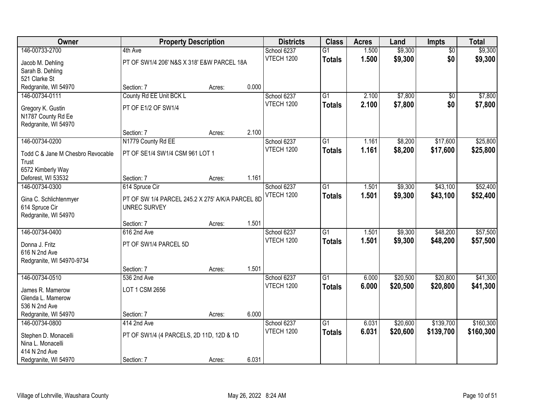| Owner                             | <b>Property Description</b>                      |        |       | <b>Districts</b>  | <b>Class</b>    | <b>Acres</b> | Land     | <b>Impts</b>    | <b>Total</b> |
|-----------------------------------|--------------------------------------------------|--------|-------|-------------------|-----------------|--------------|----------|-----------------|--------------|
| 146-00733-2700                    | 4th Ave                                          |        |       | School 6237       | $\overline{G1}$ | 1.500        | \$9,300  | $\overline{50}$ | \$9,300      |
| Jacob M. Dehling                  | PT OF SW1/4 206' N&S X 318' E&W PARCEL 18A       |        |       | <b>VTECH 1200</b> | <b>Totals</b>   | 1.500        | \$9,300  | \$0             | \$9,300      |
| Sarah B. Dehling                  |                                                  |        |       |                   |                 |              |          |                 |              |
| 521 Clarke St                     |                                                  |        |       |                   |                 |              |          |                 |              |
| Redgranite, WI 54970              | Section: 7                                       | Acres: | 0.000 |                   |                 |              |          |                 |              |
| 146-00734-0111                    | County Rd EE Unit BCK L                          |        |       | School 6237       | $\overline{G1}$ | 2.100        | \$7,800  | $\overline{50}$ | \$7,800      |
| Gregory K. Gustin                 | PT OF E1/2 OF SW1/4                              |        |       | <b>VTECH 1200</b> | <b>Totals</b>   | 2.100        | \$7,800  | \$0             | \$7,800      |
| N1787 County Rd Ee                |                                                  |        |       |                   |                 |              |          |                 |              |
| Redgranite, WI 54970              |                                                  |        |       |                   |                 |              |          |                 |              |
|                                   | Section: 7                                       | Acres: | 2.100 |                   |                 |              |          |                 |              |
| 146-00734-0200                    | N1779 County Rd EE                               |        |       | School 6237       | G1              | 1.161        | \$8,200  | \$17,600        | \$25,800     |
| Todd C & Jane M Chesbro Revocable | PT OF SE1/4 SW1/4 CSM 961 LOT 1                  |        |       | <b>VTECH 1200</b> | <b>Totals</b>   | 1.161        | \$8,200  | \$17,600        | \$25,800     |
| Trust                             |                                                  |        |       |                   |                 |              |          |                 |              |
| 6572 Kimberly Way                 |                                                  |        |       |                   |                 |              |          |                 |              |
| Deforest, WI 53532                | Section: 7                                       | Acres: | 1.161 |                   |                 |              |          |                 |              |
| 146-00734-0300                    | 614 Spruce Cir                                   |        |       | School 6237       | $\overline{G1}$ | 1.501        | \$9,300  | \$43,100        | \$52,400     |
| Gina C. Schlichtenmyer            | PT OF SW 1/4 PARCEL 245.2 X 275' A/K/A PARCEL 8D |        |       | <b>VTECH 1200</b> | <b>Totals</b>   | 1.501        | \$9,300  | \$43,100        | \$52,400     |
| 614 Spruce Cir                    | <b>UNREC SURVEY</b>                              |        |       |                   |                 |              |          |                 |              |
| Redgranite, WI 54970              |                                                  |        |       |                   |                 |              |          |                 |              |
|                                   | Section: 7                                       | Acres: | 1.501 |                   |                 |              |          |                 |              |
| 146-00734-0400                    | 616 2nd Ave                                      |        |       | School 6237       | $\overline{G1}$ | 1.501        | \$9,300  | \$48,200        | \$57,500     |
| Donna J. Fritz                    | PT OF SW1/4 PARCEL 5D                            |        |       | <b>VTECH 1200</b> | <b>Totals</b>   | 1.501        | \$9,300  | \$48,200        | \$57,500     |
| 616 N 2nd Ave                     |                                                  |        |       |                   |                 |              |          |                 |              |
| Redgranite, WI 54970-9734         |                                                  |        |       |                   |                 |              |          |                 |              |
|                                   | Section: 7                                       | Acres: | 1.501 |                   |                 |              |          |                 |              |
| 146-00734-0510                    | 536 2nd Ave                                      |        |       | School 6237       | $\overline{G1}$ | 6.000        | \$20,500 | \$20,800        | \$41,300     |
| James R. Mamerow                  | LOT 1 CSM 2656                                   |        |       | <b>VTECH 1200</b> | <b>Totals</b>   | 6.000        | \$20,500 | \$20,800        | \$41,300     |
| Glenda L. Mamerow                 |                                                  |        |       |                   |                 |              |          |                 |              |
| 536 N 2nd Ave                     |                                                  |        |       |                   |                 |              |          |                 |              |
| Redgranite, WI 54970              | Section: 7                                       | Acres: | 6.000 |                   |                 |              |          |                 |              |
| 146-00734-0800                    | 414 2nd Ave                                      |        |       | School 6237       | $\overline{G1}$ | 6.031        | \$20,600 | \$139,700       | \$160,300    |
| Stephen D. Monacelli              | PT OF SW1/4 (4 PARCELS, 2D 11D, 12D & 1D         |        |       | <b>VTECH 1200</b> | <b>Totals</b>   | 6.031        | \$20,600 | \$139,700       | \$160,300    |
| Nina L. Monacelli                 |                                                  |        |       |                   |                 |              |          |                 |              |
| 414 N 2nd Ave                     |                                                  |        |       |                   |                 |              |          |                 |              |
| Redgranite, WI 54970              | Section: 7                                       | Acres: | 6.031 |                   |                 |              |          |                 |              |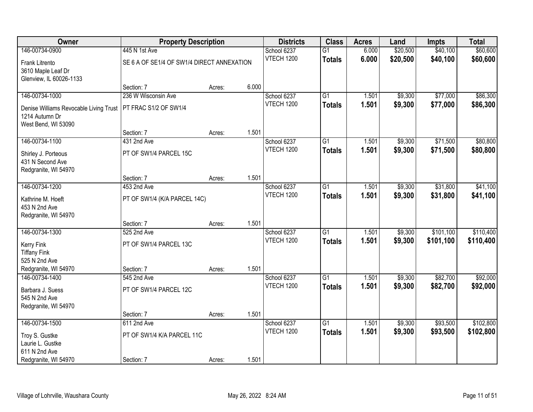| Owner                                  | <b>Property Description</b>                |        |       | <b>Districts</b>          | <b>Class</b>    | <b>Acres</b> | Land     | <b>Impts</b> | <b>Total</b> |
|----------------------------------------|--------------------------------------------|--------|-------|---------------------------|-----------------|--------------|----------|--------------|--------------|
| 146-00734-0900                         | 445 N 1st Ave                              |        |       | School 6237               | $\overline{G1}$ | 6.000        | \$20,500 | \$40,100     | \$60,600     |
| Frank Litrento                         | SE 6 A OF SE1/4 OF SW1/4 DIRECT ANNEXATION |        |       | <b>VTECH 1200</b>         | <b>Totals</b>   | 6.000        | \$20,500 | \$40,100     | \$60,600     |
| 3610 Maple Leaf Dr                     |                                            |        |       |                           |                 |              |          |              |              |
| Glenview, IL 60026-1133                |                                            |        |       |                           |                 |              |          |              |              |
|                                        | Section: 7                                 | Acres: | 6.000 |                           |                 |              |          |              |              |
| 146-00734-1000                         | 236 W Wisconsin Ave                        |        |       | School 6237               | G1              | 1.501        | \$9,300  | \$77,000     | \$86,300     |
| Denise Williams Revocable Living Trust | PT FRAC S1/2 OF SW1/4                      |        |       | <b>VTECH 1200</b>         | <b>Totals</b>   | 1.501        | \$9,300  | \$77,000     | \$86,300     |
| 1214 Autumn Dr                         |                                            |        |       |                           |                 |              |          |              |              |
| West Bend, WI 53090                    |                                            |        |       |                           |                 |              |          |              |              |
|                                        | Section: 7                                 | Acres: | 1.501 |                           |                 |              |          |              |              |
| 146-00734-1100                         | 431 2nd Ave                                |        |       | School 6237               | $\overline{G1}$ | 1.501        | \$9,300  | \$71,500     | \$80,800     |
| Shirley J. Porteous                    | PT OF SW1/4 PARCEL 15C                     |        |       | <b>VTECH 1200</b>         | <b>Totals</b>   | 1.501        | \$9,300  | \$71,500     | \$80,800     |
| 431 N Second Ave                       |                                            |        |       |                           |                 |              |          |              |              |
| Redgranite, WI 54970                   |                                            |        |       |                           |                 |              |          |              |              |
|                                        | Section: 7                                 | Acres: | 1.501 |                           |                 |              |          |              |              |
| 146-00734-1200                         | 453 2nd Ave                                |        |       | School 6237<br>VTECH 1200 | $\overline{G1}$ | 1.501        | \$9,300  | \$31,800     | \$41,100     |
| Kathrine M. Hoeft                      | PT OF SW1/4 (K/A PARCEL 14C)               |        |       |                           | <b>Totals</b>   | 1.501        | \$9,300  | \$31,800     | \$41,100     |
| 453 N 2nd Ave                          |                                            |        |       |                           |                 |              |          |              |              |
| Redgranite, WI 54970                   |                                            |        |       |                           |                 |              |          |              |              |
| 146-00734-1300                         | Section: 7<br>525 2nd Ave                  | Acres: | 1.501 |                           | $\overline{G1}$ | 1.501        | \$9,300  | \$101,100    | \$110,400    |
|                                        |                                            |        |       | School 6237<br>VTECH 1200 |                 | 1.501        | \$9,300  | \$101,100    | \$110,400    |
| <b>Kerry Fink</b>                      | PT OF SW1/4 PARCEL 13C                     |        |       |                           | <b>Totals</b>   |              |          |              |              |
| <b>Tiffany Fink</b>                    |                                            |        |       |                           |                 |              |          |              |              |
| 525 N 2nd Ave                          |                                            |        |       |                           |                 |              |          |              |              |
| Redgranite, WI 54970<br>146-00734-1400 | Section: 7<br>545 2nd Ave                  | Acres: | 1.501 | School 6237               | $\overline{G1}$ | 1.501        | \$9,300  | \$82,700     | \$92,000     |
|                                        |                                            |        |       | <b>VTECH 1200</b>         | <b>Totals</b>   | 1.501        | \$9,300  | \$82,700     | \$92,000     |
| Barbara J. Suess                       | PT OF SW1/4 PARCEL 12C                     |        |       |                           |                 |              |          |              |              |
| 545 N 2nd Ave                          |                                            |        |       |                           |                 |              |          |              |              |
| Redgranite, WI 54970                   | Section: 7                                 | Acres: | 1.501 |                           |                 |              |          |              |              |
| 146-00734-1500                         | 611 2nd Ave                                |        |       | School 6237               | $\overline{G1}$ | 1.501        | \$9,300  | \$93,500     | \$102,800    |
|                                        |                                            |        |       | <b>VTECH 1200</b>         | <b>Totals</b>   | 1.501        | \$9,300  | \$93,500     | \$102,800    |
| Troy S. Gustke                         | PT OF SW1/4 K/A PARCEL 11C                 |        |       |                           |                 |              |          |              |              |
| Laurie L. Gustke<br>611 N 2nd Ave      |                                            |        |       |                           |                 |              |          |              |              |
| Redgranite, WI 54970                   | Section: 7                                 | Acres: | 1.501 |                           |                 |              |          |              |              |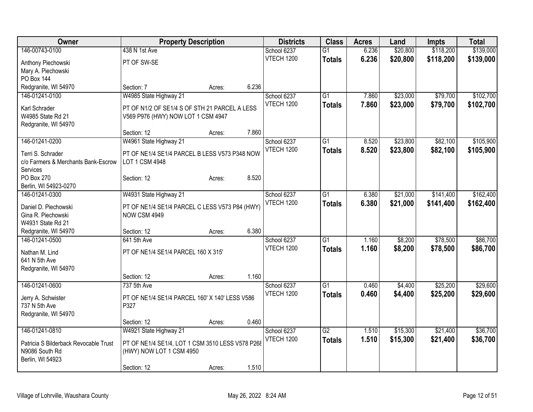| Owner                                           | <b>Property Description</b>                      |        |       | <b>Districts</b>                 | <b>Class</b>    | <b>Acres</b> | Land     | <b>Impts</b> | <b>Total</b> |
|-------------------------------------------------|--------------------------------------------------|--------|-------|----------------------------------|-----------------|--------------|----------|--------------|--------------|
| 146-00743-0100                                  | 438 N 1st Ave                                    |        |       | School 6237                      | $\overline{G1}$ | 6.236        | \$20,800 | \$118,200    | \$139,000    |
| Anthony Piechowski                              | PT OF SW-SE                                      |        |       | <b>VTECH 1200</b>                | <b>Totals</b>   | 6.236        | \$20,800 | \$118,200    | \$139,000    |
| Mary A. Piechowski                              |                                                  |        |       |                                  |                 |              |          |              |              |
| <b>PO Box 144</b>                               |                                                  |        |       |                                  |                 |              |          |              |              |
| Redgranite, WI 54970                            | Section: 7                                       | Acres: | 6.236 |                                  |                 |              |          |              |              |
| 146-01241-0100                                  | W4985 State Highway 21                           |        |       | School 6237                      | $\overline{G1}$ | 7.860        | \$23,000 | \$79,700     | \$102,700    |
| Karl Schrader                                   | PT OF N1/2 OF SE1/4 S OF STH 21 PARCEL A LESS    |        |       | <b>VTECH 1200</b>                | <b>Totals</b>   | 7.860        | \$23,000 | \$79,700     | \$102,700    |
| W4985 State Rd 21                               | V569 P976 (HWY) NOW LOT 1 CSM 4947               |        |       |                                  |                 |              |          |              |              |
| Redgranite, WI 54970                            |                                                  |        |       |                                  |                 |              |          |              |              |
|                                                 | Section: 12                                      | Acres: | 7.860 |                                  |                 |              |          |              |              |
| 146-01241-0200                                  | W4961 State Highway 21                           |        |       | School 6237                      | $\overline{G1}$ | 8.520        | \$23,800 | \$82,100     | \$105,900    |
|                                                 |                                                  |        |       | <b>VTECH 1200</b>                | <b>Totals</b>   | 8.520        | \$23,800 | \$82,100     | \$105,900    |
| Terri S. Schrader                               | PT OF NE1/4 SE1/4 PARCEL B LESS V573 P348 NOW    |        |       |                                  |                 |              |          |              |              |
| c/o Farmers & Merchants Bank-Escrow<br>Services | LOT 1 CSM 4948                                   |        |       |                                  |                 |              |          |              |              |
| PO Box 270                                      | Section: 12                                      | Acres: | 8.520 |                                  |                 |              |          |              |              |
| Berlin, WI 54923-0270                           |                                                  |        |       |                                  |                 |              |          |              |              |
| 146-01241-0300                                  | W4931 State Highway 21                           |        |       | School 6237                      | $\overline{G1}$ | 6.380        | \$21,000 | \$141,400    | \$162,400    |
|                                                 |                                                  |        |       | <b>VTECH 1200</b>                | <b>Totals</b>   | 6.380        | \$21,000 | \$141,400    | \$162,400    |
| Daniel D. Piechowski                            | PT OF NE1/4 SE1/4 PARCEL C LESS V573 P84 (HWY)   |        |       |                                  |                 |              |          |              |              |
| Gina R. Piechowski                              | <b>NOW CSM 4949</b>                              |        |       |                                  |                 |              |          |              |              |
| W4931 State Rd 21                               |                                                  |        | 6.380 |                                  |                 |              |          |              |              |
| Redgranite, WI 54970                            | Section: 12                                      | Acres: |       |                                  |                 |              |          |              |              |
| 146-01241-0500                                  | 641 5th Ave                                      |        |       | School 6237<br><b>VTECH 1200</b> | G1              | 1.160        | \$8,200  | \$78,500     | \$86,700     |
| Nathan M. Lind                                  | PT OF NE1/4 SE1/4 PARCEL 160 X 315'              |        |       |                                  | <b>Totals</b>   | 1.160        | \$8,200  | \$78,500     | \$86,700     |
| 641 N 5th Ave                                   |                                                  |        |       |                                  |                 |              |          |              |              |
| Redgranite, WI 54970                            |                                                  |        |       |                                  |                 |              |          |              |              |
|                                                 | Section: 12                                      | Acres: | 1.160 |                                  |                 |              |          |              |              |
| 146-01241-0600                                  | 737 5th Ave                                      |        |       | School 6237                      | $\overline{G1}$ | 0.460        | \$4,400  | \$25,200     | \$29,600     |
| Jerry A. Schwister                              | PT OF NE1/4 SE1/4 PARCEL 160' X 140' LESS V586   |        |       | <b>VTECH 1200</b>                | <b>Totals</b>   | 0.460        | \$4,400  | \$25,200     | \$29,600     |
| 737 N 5th Ave                                   | P327                                             |        |       |                                  |                 |              |          |              |              |
| Redgranite, WI 54970                            |                                                  |        |       |                                  |                 |              |          |              |              |
|                                                 | Section: 12                                      | Acres: | 0.460 |                                  |                 |              |          |              |              |
| 146-01241-0810                                  | W4921 State Highway 21                           |        |       | School 6237                      | $\overline{G2}$ | 1.510        | \$15,300 | \$21,400     | \$36,700     |
| Patricia S Bilderback Revocable Trust           | PT OF NE1/4 SE1/4, LOT 1 CSM 3510 LESS V578 P268 |        |       | <b>VTECH 1200</b>                | <b>Totals</b>   | 1.510        | \$15,300 | \$21,400     | \$36,700     |
| N9086 South Rd                                  | (HWY) NOW LOT 1 CSM 4950                         |        |       |                                  |                 |              |          |              |              |
| Berlin, WI 54923                                |                                                  |        |       |                                  |                 |              |          |              |              |
|                                                 | Section: 12                                      | Acres: | 1.510 |                                  |                 |              |          |              |              |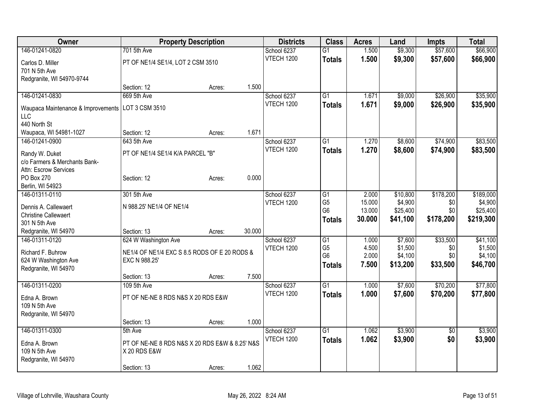| Owner                               | <b>Property Description</b>                                    |        |        | <b>Districts</b>  | <b>Class</b>                     | <b>Acres</b>   | Land               | <b>Impts</b>    | <b>Total</b>       |
|-------------------------------------|----------------------------------------------------------------|--------|--------|-------------------|----------------------------------|----------------|--------------------|-----------------|--------------------|
| 146-01241-0820                      | 701 5th Ave                                                    |        |        | School 6237       | $\overline{G1}$                  | 1.500          | \$9,300            | \$57,600        | \$66,900           |
| Carlos D. Miller                    | PT OF NE1/4 SE1/4, LOT 2 CSM 3510                              |        |        | VTECH 1200        | <b>Totals</b>                    | 1.500          | \$9,300            | \$57,600        | \$66,900           |
| 701 N 5th Ave                       |                                                                |        |        |                   |                                  |                |                    |                 |                    |
| Redgranite, WI 54970-9744           |                                                                |        |        |                   |                                  |                |                    |                 |                    |
|                                     | Section: 12                                                    | Acres: | 1.500  |                   |                                  |                |                    |                 |                    |
| 146-01241-0830                      | 669 5th Ave                                                    |        |        | School 6237       | $\overline{G1}$                  | 1.671          | \$9,000            | \$26,900        | \$35,900           |
| Waupaca Maintenance & Improvements  | LOT 3 CSM 3510                                                 |        |        | <b>VTECH 1200</b> | <b>Totals</b>                    | 1.671          | \$9,000            | \$26,900        | \$35,900           |
| LLC                                 |                                                                |        |        |                   |                                  |                |                    |                 |                    |
| 440 North St                        |                                                                |        |        |                   |                                  |                |                    |                 |                    |
| Waupaca, WI 54981-1027              | Section: 12                                                    | Acres: | 1.671  |                   |                                  |                |                    |                 |                    |
| 146-01241-0900                      | 643 5th Ave                                                    |        |        | School 6237       | $\overline{G1}$                  | 1.270          | \$8,600            | \$74,900        | \$83,500           |
|                                     |                                                                |        |        | <b>VTECH 1200</b> | <b>Totals</b>                    | 1.270          | \$8,600            | \$74,900        | \$83,500           |
| Randy W. Duket                      | PT OF NE1/4 SE1/4 K/A PARCEL "B"                               |        |        |                   |                                  |                |                    |                 |                    |
| c/o Farmers & Merchants Bank-       |                                                                |        |        |                   |                                  |                |                    |                 |                    |
| Attn: Escrow Services<br>PO Box 270 | Section: 12                                                    | Acres: | 0.000  |                   |                                  |                |                    |                 |                    |
| Berlin, WI 54923                    |                                                                |        |        |                   |                                  |                |                    |                 |                    |
| 146-01311-0110                      | 301 5th Ave                                                    |        |        | School 6237       | G <sub>1</sub>                   | 2.000          | \$10,800           | \$178,200       | \$189,000          |
|                                     |                                                                |        |        | <b>VTECH 1200</b> | G <sub>5</sub>                   | 15.000         | \$4,900            | \$0             | \$4,900            |
| Dennis A. Callewaert                | N 988.25' NE1/4 OF NE1/4                                       |        |        |                   | G <sub>6</sub>                   | 13.000         | \$25,400           | \$0             | \$25,400           |
| <b>Christine Callewaert</b>         |                                                                |        |        |                   | <b>Totals</b>                    | 30.000         | \$41,100           | \$178,200       | \$219,300          |
| 301 N 5th Ave                       |                                                                |        |        |                   |                                  |                |                    |                 |                    |
| Redgranite, WI 54970                | Section: 13                                                    | Acres: | 30.000 |                   |                                  |                |                    |                 |                    |
| 146-01311-0120                      | 624 W Washington Ave                                           |        |        | School 6237       | G1                               | 1.000          | \$7,600            | \$33,500        | \$41,100           |
| Richard F. Buhrow                   | NE1/4 OF NE1/4 EXC S 8.5 RODS OF E 20 RODS &                   |        |        | <b>VTECH 1200</b> | G <sub>5</sub><br>G <sub>6</sub> | 4.500<br>2.000 | \$1,500<br>\$4,100 | \$0<br>\$0      | \$1,500<br>\$4,100 |
| 624 W Washington Ave                | EXC N 988.25'                                                  |        |        |                   |                                  | 7.500          |                    |                 |                    |
| Redgranite, WI 54970                |                                                                |        |        |                   | <b>Totals</b>                    |                | \$13,200           | \$33,500        | \$46,700           |
|                                     | Section: 13                                                    | Acres: | 7.500  |                   |                                  |                |                    |                 |                    |
| 146-01311-0200                      | 109 5th Ave                                                    |        |        | School 6237       | $\overline{G1}$                  | 1.000          | \$7,600            | \$70,200        | \$77,800           |
| Edna A. Brown                       | PT OF NE-NE 8 RDS N&S X 20 RDS E&W                             |        |        | <b>VTECH 1200</b> | <b>Totals</b>                    | 1.000          | \$7,600            | \$70,200        | \$77,800           |
| 109 N 5th Ave                       |                                                                |        |        |                   |                                  |                |                    |                 |                    |
| Redgranite, WI 54970                |                                                                |        |        |                   |                                  |                |                    |                 |                    |
|                                     | Section: 13                                                    | Acres: | 1.000  |                   |                                  |                |                    |                 |                    |
| 146-01311-0300                      | 5th Ave                                                        |        |        | School 6237       | $\overline{G1}$                  | 1.062          | \$3,900            | $\overline{50}$ | \$3,900            |
| Edna A. Brown                       |                                                                |        |        | <b>VTECH 1200</b> | <b>Totals</b>                    | 1.062          | \$3,900            | \$0             | \$3,900            |
| 109 N 5th Ave                       | PT OF NE-NE 8 RDS N&S X 20 RDS E&W & 8.25' N&S<br>X 20 RDS E&W |        |        |                   |                                  |                |                    |                 |                    |
| Redgranite, WI 54970                |                                                                |        |        |                   |                                  |                |                    |                 |                    |
|                                     | Section: 13                                                    | Acres: | 1.062  |                   |                                  |                |                    |                 |                    |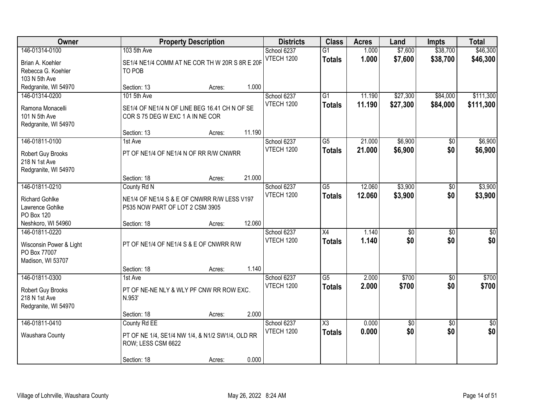| <b>Owner</b>                                                                   |                                                                | <b>Property Description</b>                             |        | <b>Districts</b>                 | <b>Class</b>                     | <b>Acres</b>     | Land                   | <b>Impts</b>           | <b>Total</b>           |
|--------------------------------------------------------------------------------|----------------------------------------------------------------|---------------------------------------------------------|--------|----------------------------------|----------------------------------|------------------|------------------------|------------------------|------------------------|
| 146-01314-0100<br>Brian A. Koehler<br>Rebecca G. Koehler<br>103 N 5th Ave      | 103 5th Ave<br>TO POB                                          | SE1/4 NE1/4 COMM AT NE COR TH W 20R S 8R E 20F          |        | School 6237<br><b>VTECH 1200</b> | $\overline{G1}$<br><b>Totals</b> | 1.000<br>1.000   | \$7,600<br>\$7,600     | \$38,700<br>\$38,700   | \$46,300<br>\$46,300   |
| Redgranite, WI 54970                                                           | Section: 13                                                    | Acres:                                                  | 1.000  |                                  |                                  |                  |                        |                        |                        |
| 146-01314-0200<br>Ramona Monacelli<br>101 N 5th Ave<br>Redgranite, WI 54970    | 101 5th Ave<br>COR S 75 DEG W EXC 1 A IN NE COR<br>Section: 13 | SE1/4 OF NE1/4 N OF LINE BEG 16.41 CH N OF SE<br>Acres: | 11.190 | School 6237<br><b>VTECH 1200</b> | $\overline{G1}$<br><b>Totals</b> | 11.190<br>11.190 | \$27,300<br>\$27,300   | \$84,000<br>\$84,000   | \$111,300<br>\$111,300 |
| 146-01811-0100                                                                 | 1st Ave                                                        |                                                         |        | School 6237                      | $\overline{G5}$                  | 21.000           | \$6,900                | $\sqrt{50}$            | \$6,900                |
| Robert Guy Brooks<br>218 N 1st Ave<br>Redgranite, WI 54970                     |                                                                | PT OF NE1/4 OF NE1/4 N OF RR R/W CNWRR                  |        | VTECH 1200                       | <b>Totals</b>                    | 21.000           | \$6,900                | \$0                    | \$6,900                |
|                                                                                | Section: 18                                                    | Acres:                                                  | 21.000 |                                  |                                  |                  |                        |                        |                        |
| 146-01811-0210<br><b>Richard Gohlke</b><br>Lawrence Gohlke<br>PO Box 120       | County Rd N<br>P535 NOW PART OF LOT 2 CSM 3905                 | NE1/4 OF NE1/4 S & E OF CNWRR R/W LESS V197             |        | School 6237<br><b>VTECH 1200</b> | $\overline{G5}$<br><b>Totals</b> | 12.060<br>12.060 | \$3,900<br>\$3,900     | \$0<br>\$0             | \$3,900<br>\$3,900     |
| Neshkoro, WI 54960                                                             | Section: 18                                                    | Acres:                                                  | 12.060 |                                  |                                  |                  |                        |                        |                        |
| 146-01811-0220<br>Wisconsin Power & Light<br>PO Box 77007<br>Madison, WI 53707 |                                                                | PT OF NE1/4 OF NE1/4 S & E OF CNWRR R/W                 | 1.140  | School 6237<br><b>VTECH 1200</b> | $\overline{X4}$<br><b>Totals</b> | 1.140<br>1.140   | $\overline{50}$<br>\$0 | $\overline{30}$<br>\$0 | \$0<br>\$0             |
| 146-01811-0300                                                                 | Section: 18<br>1st Ave                                         | Acres:                                                  |        | School 6237                      | $\overline{G5}$                  | 2.000            | \$700                  | $\overline{60}$        | \$700                  |
| Robert Guy Brooks<br>218 N 1st Ave<br>Redgranite, WI 54970                     | N.953'                                                         | PT OF NE-NE NLY & WLY PF CNW RR ROW EXC.                | 2.000  | <b>VTECH 1200</b>                | <b>Totals</b>                    | 2.000            | \$700                  | \$0                    | \$700                  |
| 146-01811-0410                                                                 | Section: 18<br>County Rd EE                                    | Acres:                                                  |        | School 6237                      | $\overline{\text{X3}}$           | 0.000            | $\overline{50}$        | $\overline{50}$        | $\overline{50}$        |
| Waushara County                                                                | ROW; LESS CSM 6622                                             | PT OF NE 1/4, SE1/4 NW 1/4, & N1/2 SW1/4, OLD RR        |        | <b>VTECH 1200</b>                | <b>Totals</b>                    | 0.000            | \$0                    | \$0                    | \$0                    |
|                                                                                | Section: 18                                                    | Acres:                                                  | 0.000  |                                  |                                  |                  |                        |                        |                        |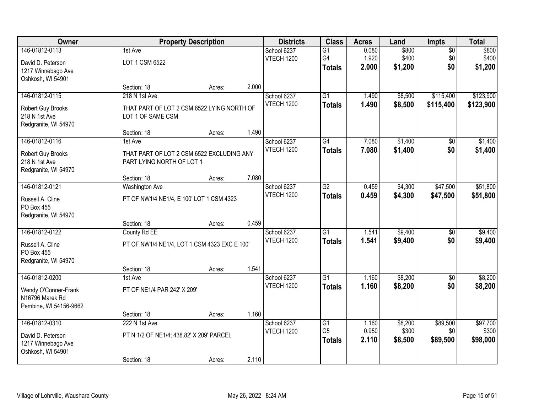| <b>Owner</b>                       |                                              | <b>Property Description</b> |       | <b>Districts</b>                 | <b>Class</b>    | <b>Acres</b> | Land    | <b>Impts</b>    | <b>Total</b> |
|------------------------------------|----------------------------------------------|-----------------------------|-------|----------------------------------|-----------------|--------------|---------|-----------------|--------------|
| 146-01812-0113                     | 1st Ave                                      |                             |       | School 6237                      | $\overline{G1}$ | 0.080        | \$800   | $\overline{50}$ | \$800        |
| David D. Peterson                  | LOT 1 CSM 6522                               |                             |       | <b>VTECH 1200</b>                | G4              | 1.920        | \$400   | \$0             | \$400        |
| 1217 Winnebago Ave                 |                                              |                             |       |                                  | <b>Totals</b>   | 2.000        | \$1,200 | \$0             | \$1,200      |
| Oshkosh, WI 54901                  |                                              |                             |       |                                  |                 |              |         |                 |              |
|                                    | Section: 18                                  | Acres:                      | 2.000 |                                  |                 |              |         |                 |              |
| 146-01812-0115                     | 218 N 1st Ave                                |                             |       | School 6237<br><b>VTECH 1200</b> | $\overline{G1}$ | 1.490        | \$8,500 | \$115,400       | \$123,900    |
| Robert Guy Brooks                  | THAT PART OF LOT 2 CSM 6522 LYING NORTH OF   |                             |       |                                  | <b>Totals</b>   | 1.490        | \$8,500 | \$115,400       | \$123,900    |
| 218 N 1st Ave                      | LOT 1 OF SAME CSM                            |                             |       |                                  |                 |              |         |                 |              |
| Redgranite, WI 54970               | Section: 18                                  |                             | 1.490 |                                  |                 |              |         |                 |              |
| 146-01812-0116                     | 1st Ave                                      | Acres:                      |       | School 6237                      | G4              | 7.080        | \$1,400 | \$0             | \$1,400      |
|                                    |                                              |                             |       | <b>VTECH 1200</b>                | <b>Totals</b>   | 7.080        | \$1,400 | \$0             | \$1,400      |
| Robert Guy Brooks                  | THAT PART OF LOT 2 CSM 6522 EXCLUDING ANY    |                             |       |                                  |                 |              |         |                 |              |
| 218 N 1st Ave                      | PART LYING NORTH OF LOT 1                    |                             |       |                                  |                 |              |         |                 |              |
| Redgranite, WI 54970               | Section: 18                                  | Acres:                      | 7.080 |                                  |                 |              |         |                 |              |
| 146-01812-0121                     | <b>Washington Ave</b>                        |                             |       | School 6237                      | $\overline{G2}$ | 0.459        | \$4,300 | \$47,500        | \$51,800     |
|                                    |                                              |                             |       | <b>VTECH 1200</b>                | <b>Totals</b>   | 0.459        | \$4,300 | \$47,500        | \$51,800     |
| Russell A. Cline                   | PT OF NW1/4 NE1/4, E 100' LOT 1 CSM 4323     |                             |       |                                  |                 |              |         |                 |              |
| PO Box 455<br>Redgranite, WI 54970 |                                              |                             |       |                                  |                 |              |         |                 |              |
|                                    | Section: 18                                  | Acres:                      | 0.459 |                                  |                 |              |         |                 |              |
| 146-01812-0122                     | County Rd EE                                 |                             |       | School 6237                      | $\overline{G1}$ | 1.541        | \$9,400 | $\overline{50}$ | \$9,400      |
|                                    |                                              |                             |       | <b>VTECH 1200</b>                | <b>Totals</b>   | 1.541        | \$9,400 | \$0             | \$9,400      |
| Russell A. Cline<br>PO Box 455     | PT OF NW1/4 NE1/4, LOT 1 CSM 4323 EXC E 100' |                             |       |                                  |                 |              |         |                 |              |
| Redgranite, WI 54970               |                                              |                             |       |                                  |                 |              |         |                 |              |
|                                    | Section: 18                                  | Acres:                      | 1.541 |                                  |                 |              |         |                 |              |
| 146-01812-0200                     | 1st Ave                                      |                             |       | School 6237                      | $\overline{G1}$ | 1.160        | \$8,200 | $\sqrt{6}$      | \$8,200      |
| Wendy O'Conner-Frank               | PT OF NE1/4 PAR 242' X 209'                  |                             |       | <b>VTECH 1200</b>                | <b>Totals</b>   | 1.160        | \$8,200 | \$0             | \$8,200      |
| N16796 Marek Rd                    |                                              |                             |       |                                  |                 |              |         |                 |              |
| Pembine, WI 54156-9662             |                                              |                             |       |                                  |                 |              |         |                 |              |
|                                    | Section: 18                                  | Acres:                      | 1.160 |                                  |                 |              |         |                 |              |
| 146-01812-0310                     | 222 N 1st Ave                                |                             |       | School 6237                      | $\overline{G1}$ | 1.160        | \$8,200 | \$89,500        | \$97,700     |
| David D. Peterson                  | PT N 1/2 OF NE1/4; 438.82' X 209' PARCEL     |                             |       | <b>VTECH 1200</b>                | G <sub>5</sub>  | 0.950        | \$300   | \$0             | \$300        |
| 1217 Winnebago Ave                 |                                              |                             |       |                                  | <b>Totals</b>   | 2.110        | \$8,500 | \$89,500        | \$98,000     |
| Oshkosh, WI 54901                  |                                              |                             |       |                                  |                 |              |         |                 |              |
|                                    | Section: 18                                  | Acres:                      | 2.110 |                                  |                 |              |         |                 |              |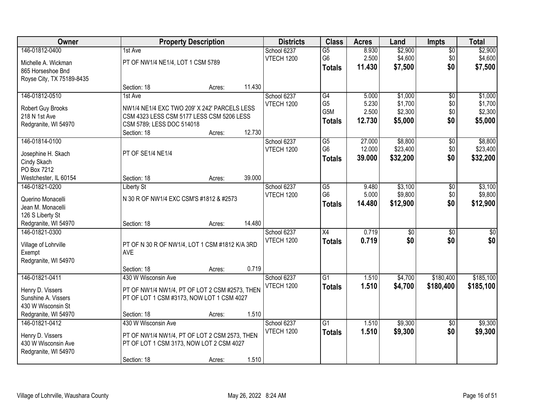| <b>Owner</b>              |                                                | <b>Property Description</b> |        | <b>Districts</b>  | <b>Class</b>    | <b>Acres</b> | Land            | <b>Impts</b>    | <b>Total</b>    |
|---------------------------|------------------------------------------------|-----------------------------|--------|-------------------|-----------------|--------------|-----------------|-----------------|-----------------|
| 146-01812-0400            | 1st Ave                                        |                             |        | School 6237       | $\overline{G5}$ | 8.930        | \$2,900         | $\sqrt{$0}$     | \$2,900         |
| Michelle A. Wickman       | PT OF NW1/4 NE1/4, LOT 1 CSM 5789              |                             |        | <b>VTECH 1200</b> | G <sub>6</sub>  | 2.500        | \$4,600         | \$0             | \$4,600         |
| 865 Horseshoe Bnd         |                                                |                             |        |                   | <b>Totals</b>   | 11.430       | \$7,500         | \$0             | \$7,500         |
| Royse City, TX 75189-8435 |                                                |                             |        |                   |                 |              |                 |                 |                 |
|                           | Section: 18                                    | Acres:                      | 11.430 |                   |                 |              |                 |                 |                 |
| 146-01812-0510            | 1st Ave                                        |                             |        | School 6237       | G4              | 5.000        | \$1,000         | $\overline{50}$ | \$1,000         |
| Robert Guy Brooks         | NW1/4 NE1/4 EXC TWO 209' X 242' PARCELS LESS   |                             |        | <b>VTECH 1200</b> | G <sub>5</sub>  | 5.230        | \$1,700         | \$0             | \$1,700         |
| 218 N 1st Ave             | CSM 4323 LESS CSM 5177 LESS CSM 5206 LESS      |                             |        |                   | G5M             | 2.500        | \$2,300         | \$0             | \$2,300         |
| Redgranite, WI 54970      | CSM 5789; LESS DOC 514018                      |                             |        |                   | <b>Totals</b>   | 12.730       | \$5,000         | \$0             | \$5,000         |
|                           | Section: 18                                    | Acres:                      | 12.730 |                   |                 |              |                 |                 |                 |
| 146-01814-0100            |                                                |                             |        | School 6237       | G5              | 27.000       | \$8,800         | \$0             | \$8,800         |
| Josephine H. Skach        | PT OF SE1/4 NE1/4                              |                             |        | <b>VTECH 1200</b> | G <sub>6</sub>  | 12.000       | \$23,400        | \$0             | \$23,400        |
| Cindy Skach               |                                                |                             |        |                   | <b>Totals</b>   | 39.000       | \$32,200        | \$0             | \$32,200        |
| PO Box 7212               |                                                |                             |        |                   |                 |              |                 |                 |                 |
| Westchester, IL 60154     | Section: 18                                    | Acres:                      | 39.000 |                   |                 |              |                 |                 |                 |
| 146-01821-0200            | <b>Liberty St</b>                              |                             |        | School 6237       | G5              | 9.480        | \$3,100         | $\sqrt[6]{3}$   | \$3,100         |
| Querino Monacelli         | N 30 R OF NW1/4 EXC CSM'S #1812 & #2573        |                             |        | <b>VTECH 1200</b> | G <sub>6</sub>  | 5.000        | \$9,800         | \$0             | \$9,800         |
| Jean M. Monacelli         |                                                |                             |        |                   | <b>Totals</b>   | 14.480       | \$12,900        | \$0             | \$12,900        |
| 126 S Liberty St          |                                                |                             |        |                   |                 |              |                 |                 |                 |
| Redgranite, WI 54970      | Section: 18                                    | Acres:                      | 14.480 |                   |                 |              |                 |                 |                 |
| 146-01821-0300            |                                                |                             |        | School 6237       | $\overline{X4}$ | 0.719        | $\overline{50}$ | $\overline{50}$ | $\overline{50}$ |
| Village of Lohrville      | PT OF N 30 R OF NW1/4, LOT 1 CSM #1812 K/A 3RD |                             |        | <b>VTECH 1200</b> | <b>Totals</b>   | 0.719        | \$0             | \$0             | \$0             |
| Exempt                    | <b>AVE</b>                                     |                             |        |                   |                 |              |                 |                 |                 |
| Redgranite, WI 54970      |                                                |                             |        |                   |                 |              |                 |                 |                 |
|                           | Section: 18                                    | Acres:                      | 0.719  |                   |                 |              |                 |                 |                 |
| 146-01821-0411            | 430 W Wisconsin Ave                            |                             |        | School 6237       | $\overline{G1}$ | 1.510        | \$4,700         | \$180,400       | \$185,100       |
| Henry D. Vissers          | PT OF NW1/4 NW1/4, PT OF LOT 2 CSM #2573, THEN |                             |        | <b>VTECH 1200</b> | <b>Totals</b>   | 1.510        | \$4,700         | \$180,400       | \$185,100       |
| Sunshine A. Vissers       | PT OF LOT 1 CSM #3173, NOW LOT 1 CSM 4027      |                             |        |                   |                 |              |                 |                 |                 |
| 430 W Wisconsin St        |                                                |                             |        |                   |                 |              |                 |                 |                 |
| Redgranite, WI 54970      | Section: 18                                    | Acres:                      | 1.510  |                   |                 |              |                 |                 |                 |
| 146-01821-0412            | 430 W Wisconsin Ave                            |                             |        | School 6237       | $\overline{G1}$ | 1.510        | \$9,300         | $\overline{50}$ | \$9,300         |
| Henry D. Vissers          | PT OF NW1/4 NW1/4, PT OF LOT 2 CSM 2573, THEN  |                             |        | <b>VTECH 1200</b> | <b>Totals</b>   | 1.510        | \$9,300         | \$0             | \$9,300         |
| 430 W Wisconsin Ave       | PT OF LOT 1 CSM 3173, NOW LOT 2 CSM 4027       |                             |        |                   |                 |              |                 |                 |                 |
| Redgranite, WI 54970      |                                                |                             |        |                   |                 |              |                 |                 |                 |
|                           | Section: 18                                    | Acres:                      | 1.510  |                   |                 |              |                 |                 |                 |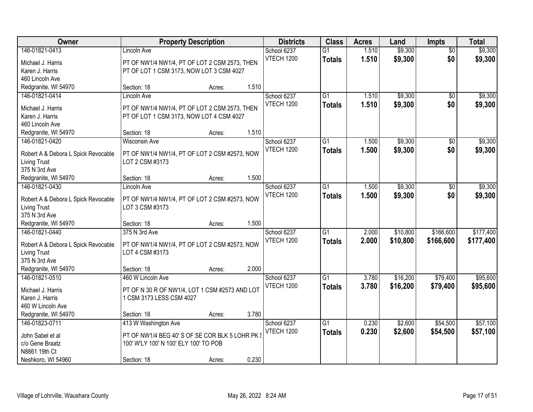| Owner                               |                                                 | <b>Property Description</b> |       | <b>Districts</b>  | <b>Class</b>    | <b>Acres</b> | Land     | <b>Impts</b>    | <b>Total</b> |
|-------------------------------------|-------------------------------------------------|-----------------------------|-------|-------------------|-----------------|--------------|----------|-----------------|--------------|
| 146-01821-0413                      | Lincoln Ave                                     |                             |       | School 6237       | $\overline{G1}$ | 1.510        | \$9,300  | $\overline{50}$ | \$9,300      |
| Michael J. Harris                   | PT OF NW1/4 NW1/4, PT OF LOT 2 CSM 2573, THEN   |                             |       | <b>VTECH 1200</b> | <b>Totals</b>   | 1.510        | \$9,300  | \$0             | \$9,300      |
| Karen J. Harris                     | PT OF LOT 1 CSM 3173, NOW LOT 3 CSM 4027        |                             |       |                   |                 |              |          |                 |              |
| 460 Lincoln Ave                     |                                                 |                             |       |                   |                 |              |          |                 |              |
| Redgranite, WI 54970                | Section: 18                                     | Acres:                      | 1.510 |                   |                 |              |          |                 |              |
| 146-01821-0414                      | <b>Lincoln Ave</b>                              |                             |       | School 6237       | $\overline{G1}$ | 1.510        | \$9,300  | $\overline{50}$ | \$9,300      |
|                                     |                                                 |                             |       | <b>VTECH 1200</b> | <b>Totals</b>   | 1.510        | \$9,300  | \$0             | \$9,300      |
| Michael J. Harris                   | PT OF NW1/4 NW1/4, PT OF LOT 2 CSM 2573, THEN   |                             |       |                   |                 |              |          |                 |              |
| Karen J. Harris                     | PT OF LOT 1 CSM 3173, NOW LOT 4 CSM 4027        |                             |       |                   |                 |              |          |                 |              |
| 460 Lincoln Ave                     | Section: 18                                     |                             | 1.510 |                   |                 |              |          |                 |              |
| Redgranite, WI 54970                |                                                 | Acres:                      |       |                   |                 |              |          |                 |              |
| 146-01821-0420                      | <b>Wisconsin Ave</b>                            |                             |       | School 6237       | $\overline{G1}$ | 1.500        | \$9,300  | \$0             | \$9,300      |
| Robert A & Debora L Spick Revocable | PT OF NW1/4 NW1/4, PT OF LOT 2 CSM #2573, NOW   |                             |       | <b>VTECH 1200</b> | <b>Totals</b>   | 1.500        | \$9,300  | \$0             | \$9,300      |
| <b>Living Trust</b>                 | LOT 2 CSM #3173                                 |                             |       |                   |                 |              |          |                 |              |
| 375 N 3rd Ave                       |                                                 |                             |       |                   |                 |              |          |                 |              |
| Redgranite, WI 54970                | Section: 18                                     | Acres:                      | 1.500 |                   |                 |              |          |                 |              |
| 146-01821-0430                      | Lincoln Ave                                     |                             |       | School 6237       | G1              | 1.500        | \$9,300  | $\sqrt[6]{3}$   | \$9,300      |
| Robert A & Debora L Spick Revocable | PT OF NW1/4 NW1/4, PT OF LOT 2 CSM #2573, NOW   |                             |       | <b>VTECH 1200</b> | <b>Totals</b>   | 1.500        | \$9,300  | \$0             | \$9,300      |
| <b>Living Trust</b>                 | LOT 3 CSM #3173                                 |                             |       |                   |                 |              |          |                 |              |
| 375 N 3rd Ave                       |                                                 |                             |       |                   |                 |              |          |                 |              |
| Redgranite, WI 54970                | Section: 18                                     | Acres:                      | 1.500 |                   |                 |              |          |                 |              |
| 146-01821-0440                      | 375 N 3rd Ave                                   |                             |       | School 6237       | $\overline{G1}$ | 2.000        | \$10,800 | \$166,600       | \$177,400    |
|                                     |                                                 |                             |       | <b>VTECH 1200</b> | <b>Totals</b>   | 2.000        | \$10,800 | \$166,600       | \$177,400    |
| Robert A & Debora L Spick Revocable | PT OF NW1/4 NW1/4, PT OF LOT 2 CSM #2573, NOW   |                             |       |                   |                 |              |          |                 |              |
| <b>Living Trust</b>                 | LOT 4 CSM #3173                                 |                             |       |                   |                 |              |          |                 |              |
| 375 N 3rd Ave                       |                                                 |                             |       |                   |                 |              |          |                 |              |
| Redgranite, WI 54970                | Section: 18                                     | Acres:                      | 2.000 |                   |                 |              |          |                 |              |
| 146-01821-0510                      | 460 W Lincoln Ave                               |                             |       | School 6237       | $\overline{G1}$ | 3.780        | \$16,200 | \$79,400        | \$95,600     |
| Michael J. Harris                   | PT OF N 30 R OF NW1/4, LOT 1 CSM #2573 AND LOT  |                             |       | <b>VTECH 1200</b> | <b>Totals</b>   | 3.780        | \$16,200 | \$79,400        | \$95,600     |
| Karen J. Harris                     | 1 CSM 3173 LESS CSM 4027                        |                             |       |                   |                 |              |          |                 |              |
| 460 W Lincoln Ave                   |                                                 |                             |       |                   |                 |              |          |                 |              |
| Redgranite, WI 54970                | Section: 18                                     | Acres:                      | 3.780 |                   |                 |              |          |                 |              |
| 146-01823-0711                      | 413 W Washington Ave                            |                             |       | School 6237       | $\overline{G1}$ | 0.230        | \$2,600  | \$54,500        | \$57,100     |
|                                     |                                                 |                             |       | VTECH 1200        | <b>Totals</b>   | 0.230        | \$2,600  | \$54,500        | \$57,100     |
| John Sabel et al                    | PT OF NW1/4 BEG 40' S OF SE COR BLK 5 LOHR PK § |                             |       |                   |                 |              |          |                 |              |
| c/o Gene Braatz                     | 100' W'LY 100' N 100' ELY 100' TO POB           |                             |       |                   |                 |              |          |                 |              |
| N8861 19th Ct                       |                                                 |                             |       |                   |                 |              |          |                 |              |
| Neshkoro, WI 54960                  | Section: 18                                     | Acres:                      | 0.230 |                   |                 |              |          |                 |              |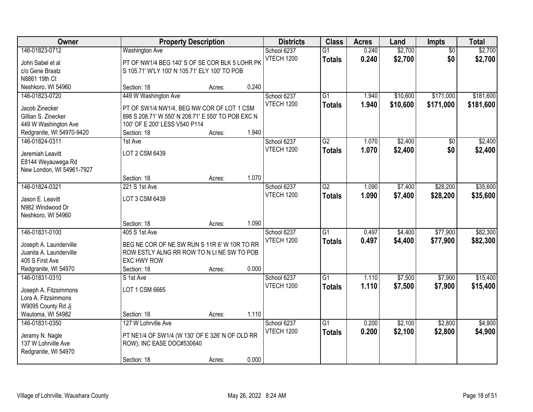| <b>Owner</b>                                      |                                                                                           | <b>Property Description</b> |       | <b>Districts</b>  | <b>Class</b>    | <b>Acres</b> | Land     | <b>Impts</b>    | <b>Total</b> |
|---------------------------------------------------|-------------------------------------------------------------------------------------------|-----------------------------|-------|-------------------|-----------------|--------------|----------|-----------------|--------------|
| 146-01823-0712                                    | <b>Washington Ave</b>                                                                     |                             |       | School 6237       | $\overline{G1}$ | 0.240        | \$2,700  | $\overline{50}$ | \$2,700      |
| John Sabel et al                                  | PT OF NW1/4 BEG 140' S OF SE COR BLK 5 LOHR PK                                            |                             |       | VTECH 1200        | <b>Totals</b>   | 0.240        | \$2,700  | \$0             | \$2,700      |
| c/o Gene Braatz                                   | S 105.71' W'LY 100' N 105.71' ELY 100' TO POB                                             |                             |       |                   |                 |              |          |                 |              |
| N8861 19th Ct                                     |                                                                                           |                             |       |                   |                 |              |          |                 |              |
| Neshkoro, WI 54960                                | Section: 18                                                                               | Acres:                      | 0.240 |                   |                 |              |          |                 |              |
| 146-01823-0720                                    | 449 W Washington Ave                                                                      |                             |       | School 6237       | $\overline{G1}$ | 1.940        | \$10,600 | \$171,000       | \$181,600    |
| Jacob Zinecker                                    | PT OF SW1/4 NW1/4, BEG NW COR OF LOT 1 CSM                                                |                             |       | <b>VTECH 1200</b> | <b>Totals</b>   | 1.940        | \$10,600 | \$171,000       | \$181,600    |
| Gillian S. Zinecker                               | 898 S 208.71' W 550' N 208.71' E 550' TO POB EXC N                                        |                             |       |                   |                 |              |          |                 |              |
| 449 W Washington Ave                              | 100' OF E 200' LESS V540 P114                                                             |                             |       |                   |                 |              |          |                 |              |
| Redgranite, WI 54970-9420                         | Section: 18                                                                               | Acres:                      | 1.940 |                   |                 |              |          |                 |              |
| 146-01824-0311                                    | 1st Ave                                                                                   |                             |       | School 6237       | $\overline{G2}$ | 1.070        | \$2,400  | \$0             | \$2,400      |
|                                                   |                                                                                           |                             |       | <b>VTECH 1200</b> | <b>Totals</b>   | 1.070        | \$2,400  | \$0             | \$2,400      |
| Jeremiah Leavitt                                  | LOT 2 CSM 6439                                                                            |                             |       |                   |                 |              |          |                 |              |
| E8144 Weyauwega Rd                                |                                                                                           |                             |       |                   |                 |              |          |                 |              |
| New London, WI 54961-7927                         |                                                                                           |                             |       |                   |                 |              |          |                 |              |
|                                                   | Section: 18                                                                               | Acres:                      | 1.070 |                   |                 |              |          |                 |              |
| 146-01824-0321                                    | 221 S 1st Ave                                                                             |                             |       | School 6237       | $\overline{G2}$ | 1.090        | \$7,400  | \$28,200        | \$35,600     |
| Jason E. Leavitt                                  | LOT 3 CSM 6439                                                                            |                             |       | VTECH 1200        | <b>Totals</b>   | 1.090        | \$7,400  | \$28,200        | \$35,600     |
| N982 Windwood Dr                                  |                                                                                           |                             |       |                   |                 |              |          |                 |              |
| Neshkoro, WI 54960                                |                                                                                           |                             |       |                   |                 |              |          |                 |              |
|                                                   | Section: 18                                                                               | Acres:                      | 1.090 |                   |                 |              |          |                 |              |
| 146-01831-0100                                    | 405 S 1st Ave                                                                             |                             |       | School 6237       | $\overline{G1}$ | 0.497        | \$4,400  | \$77,900        | \$82,300     |
|                                                   |                                                                                           |                             |       | VTECH 1200        | <b>Totals</b>   | 0.497        | \$4,400  | \$77,900        | \$82,300     |
| Joseph A. Launderville<br>Juanita A. Launderville | BEG NE COR OF NE SW RUN S 11R 6' W 10R TO RR<br>ROW ESTLY ALNG RR ROW TO N LINE SW TO POB |                             |       |                   |                 |              |          |                 |              |
| 405 S First Ave                                   | <b>EXC HWY ROW</b>                                                                        |                             |       |                   |                 |              |          |                 |              |
| Redgranite, WI 54970                              | Section: 18                                                                               | Acres:                      | 0.000 |                   |                 |              |          |                 |              |
| 146-01831-0310                                    | S 1st Ave                                                                                 |                             |       | School 6237       | $\overline{G1}$ | 1.110        | \$7,500  | \$7,900         | \$15,400     |
|                                                   |                                                                                           |                             |       | <b>VTECH 1200</b> | <b>Totals</b>   | 1.110        | \$7,500  | \$7,900         | \$15,400     |
| Joseph A. Fitzsimmons                             | LOT 1 CSM 6665                                                                            |                             |       |                   |                 |              |          |                 |              |
| Lora A. Fitzsimmons                               |                                                                                           |                             |       |                   |                 |              |          |                 |              |
| W9095 County Rd Jj                                |                                                                                           |                             |       |                   |                 |              |          |                 |              |
| Wautoma, WI 54982                                 | Section: 18                                                                               | Acres:                      | 1.110 |                   |                 |              |          |                 |              |
| 146-01831-0350                                    | 127 W Lohrville Ave                                                                       |                             |       | School 6237       | $\overline{G1}$ | 0.200        | \$2,100  | \$2,800         | \$4,900      |
| Jeramy N. Nagle                                   | PT NE1/4 OF SW1/4 (W 130' OF E 326' N OF OLD RR                                           |                             |       | <b>VTECH 1200</b> | <b>Totals</b>   | 0.200        | \$2,100  | \$2,800         | \$4,900      |
| 137 W Lohrville Ave                               | ROW); INC EASE DOC#530640                                                                 |                             |       |                   |                 |              |          |                 |              |
| Redgranite, WI 54970                              |                                                                                           |                             |       |                   |                 |              |          |                 |              |
|                                                   | Section: 18                                                                               | Acres:                      | 0.000 |                   |                 |              |          |                 |              |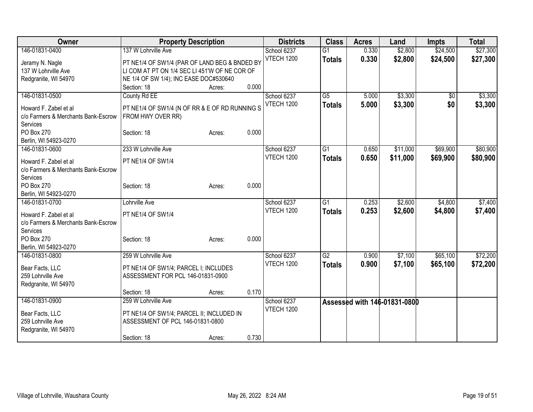| Owner                               | <b>Property Description</b>                    |       | <b>Districts</b>  | <b>Class</b>    | <b>Acres</b> | Land                         | <b>Impts</b>    | <b>Total</b> |
|-------------------------------------|------------------------------------------------|-------|-------------------|-----------------|--------------|------------------------------|-----------------|--------------|
| 146-01831-0400                      | 137 W Lohrville Ave                            |       | School 6237       | $\overline{G1}$ | 0.330        | \$2,800                      | \$24,500        | \$27,300     |
| Jeramy N. Nagle                     | PT NE1/4 OF SW1/4 (PAR OF LAND BEG & BNDED BY  |       | <b>VTECH 1200</b> | <b>Totals</b>   | 0.330        | \$2,800                      | \$24,500        | \$27,300     |
| 137 W Lohrville Ave                 | LI COM AT PT ON 1/4 SEC LI 451'W OF NE COR OF  |       |                   |                 |              |                              |                 |              |
| Redgranite, WI 54970                | NE 1/4 OF SW 1/4); INC EASE DOC#530640         |       |                   |                 |              |                              |                 |              |
|                                     | Section: 18<br>Acres:                          | 0.000 |                   |                 |              |                              |                 |              |
| 146-01831-0500                      | County Rd EE                                   |       | School 6237       | $\overline{G5}$ | 5.000        | \$3,300                      | $\overline{50}$ | \$3,300      |
|                                     |                                                |       | <b>VTECH 1200</b> | <b>Totals</b>   | 5.000        | \$3,300                      | \$0             | \$3,300      |
| Howard F. Zabel et al               | PT NE1/4 OF SW1/4 (N OF RR & E OF RD RUNNING S |       |                   |                 |              |                              |                 |              |
| c/o Farmers & Merchants Bank-Escrow | FROM HWY OVER RR)                              |       |                   |                 |              |                              |                 |              |
| Services<br>PO Box 270              | Section: 18                                    | 0.000 |                   |                 |              |                              |                 |              |
| Berlin, WI 54923-0270               | Acres:                                         |       |                   |                 |              |                              |                 |              |
| 146-01831-0600                      | 233 W Lohrville Ave                            |       | School 6237       | G1              | 0.650        | \$11,000                     | \$69,900        | \$80,900     |
|                                     |                                                |       | <b>VTECH 1200</b> |                 |              |                              |                 |              |
| Howard F. Zabel et al               | PT NE1/4 OF SW1/4                              |       |                   | <b>Totals</b>   | 0.650        | \$11,000                     | \$69,900        | \$80,900     |
| c/o Farmers & Merchants Bank-Escrow |                                                |       |                   |                 |              |                              |                 |              |
| Services                            |                                                |       |                   |                 |              |                              |                 |              |
| PO Box 270                          | Section: 18<br>Acres:                          | 0.000 |                   |                 |              |                              |                 |              |
| Berlin, WI 54923-0270               |                                                |       |                   |                 |              |                              |                 |              |
| 146-01831-0700                      | Lohrville Ave                                  |       | School 6237       | $\overline{G1}$ | 0.253        | \$2,600                      | \$4,800         | \$7,400      |
| Howard F. Zabel et al               | PT NE1/4 OF SW1/4                              |       | VTECH 1200        | <b>Totals</b>   | 0.253        | \$2,600                      | \$4,800         | \$7,400      |
| c/o Farmers & Merchants Bank-Escrow |                                                |       |                   |                 |              |                              |                 |              |
| Services                            |                                                |       |                   |                 |              |                              |                 |              |
| PO Box 270                          | Section: 18<br>Acres:                          | 0.000 |                   |                 |              |                              |                 |              |
| Berlin, WI 54923-0270               |                                                |       |                   |                 |              |                              |                 |              |
| 146-01831-0800                      | 259 W Lohrville Ave                            |       | School 6237       | $\overline{G2}$ | 0.900        | \$7,100                      | \$65,100        | \$72,200     |
|                                     |                                                |       | <b>VTECH 1200</b> | <b>Totals</b>   | 0.900        | \$7,100                      | \$65,100        | \$72,200     |
| Bear Facts, LLC                     | PT NE1/4 OF SW1/4; PARCEL I; INCLUDES          |       |                   |                 |              |                              |                 |              |
| 259 Lohrville Ave                   | ASSESSMENT FOR PCL 146-01831-0900              |       |                   |                 |              |                              |                 |              |
| Redgranite, WI 54970                |                                                |       |                   |                 |              |                              |                 |              |
|                                     | Section: 18<br>Acres:                          | 0.170 |                   |                 |              |                              |                 |              |
| 146-01831-0900                      | 259 W Lohrville Ave                            |       | School 6237       |                 |              | Assessed with 146-01831-0800 |                 |              |
| Bear Facts, LLC                     | PT NE1/4 OF SW1/4; PARCEL II; INCLUDED IN      |       | <b>VTECH 1200</b> |                 |              |                              |                 |              |
| 259 Lohrville Ave                   | ASSESSMENT OF PCL 146-01831-0800               |       |                   |                 |              |                              |                 |              |
| Redgranite, WI 54970                |                                                |       |                   |                 |              |                              |                 |              |
|                                     | Section: 18<br>Acres:                          | 0.730 |                   |                 |              |                              |                 |              |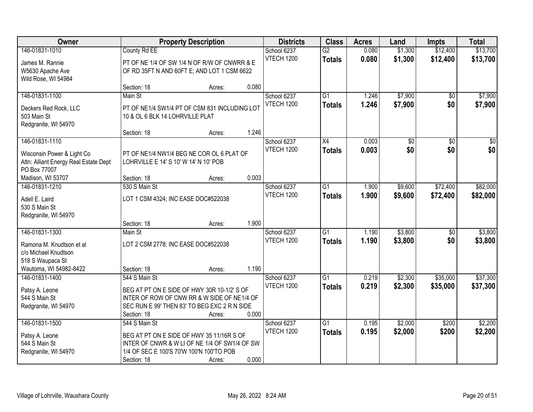| Owner                                 |                                               | <b>Property Description</b> |       | <b>Districts</b>  | <b>Class</b>    | <b>Acres</b> | Land            | <b>Impts</b>    | <b>Total</b>    |
|---------------------------------------|-----------------------------------------------|-----------------------------|-------|-------------------|-----------------|--------------|-----------------|-----------------|-----------------|
| 146-01831-1010                        | County Rd EE                                  |                             |       | School 6237       | $\overline{G2}$ | 0.080        | \$1,300         | \$12,400        | \$13,700        |
| James M. Rannie                       | PT OF NE 1/4 OF SW 1/4 N OF R/W OF CNWRR & E  |                             |       | <b>VTECH 1200</b> | <b>Totals</b>   | 0.080        | \$1,300         | \$12,400        | \$13,700        |
| W5630 Apache Ave                      | OF RD 35FT N AND 60FT E; AND LOT 1 CSM 6622   |                             |       |                   |                 |              |                 |                 |                 |
| Wild Rose, WI 54984                   |                                               |                             |       |                   |                 |              |                 |                 |                 |
|                                       | Section: 18                                   | Acres:                      | 0.080 |                   |                 |              |                 |                 |                 |
| 146-01831-1100                        | Main St                                       |                             |       | School 6237       | $\overline{G1}$ | 1.246        | \$7,900         | \$0             | \$7,900         |
| Deckers Red Rock, LLC                 | PT OF NE1/4 SW1/4 PT OF CSM 831 INCLUDING LOT |                             |       | <b>VTECH 1200</b> | <b>Totals</b>   | 1.246        | \$7,900         | \$0             | \$7,900         |
| 503 Main St                           | 10 & OL 6 BLK 14 LOHRVILLE PLAT               |                             |       |                   |                 |              |                 |                 |                 |
| Redgranite, WI 54970                  |                                               |                             |       |                   |                 |              |                 |                 |                 |
|                                       | Section: 18                                   | Acres:                      | 1.246 |                   |                 |              |                 |                 |                 |
| 146-01831-1110                        |                                               |                             |       | School 6237       | $\overline{X4}$ | 0.003        | $\overline{50}$ | $\overline{50}$ | $\overline{50}$ |
| Wisconsin Power & Light Co            | PT OF NE1/4 NW1/4 BEG NE COR OL 6 PLAT OF     |                             |       | <b>VTECH 1200</b> | <b>Totals</b>   | 0.003        | \$0             | \$0             | \$0             |
| Attn: Alliant Energy Real Estate Dept | LOHRVILLE E 14' S 10' W 14' N 10' POB         |                             |       |                   |                 |              |                 |                 |                 |
| PO Box 77007                          |                                               |                             |       |                   |                 |              |                 |                 |                 |
| Madison, WI 53707                     | Section: 18                                   | Acres:                      | 0.003 |                   |                 |              |                 |                 |                 |
| 146-01831-1210                        | 530 S Main St                                 |                             |       | School 6237       | G1              | 1.900        | \$9,600         | \$72,400        | \$82,000        |
| Adell E. Laird                        | LOT 1 CSM 4324; INC EASE DOC#522038           |                             |       | <b>VTECH 1200</b> | <b>Totals</b>   | 1.900        | \$9,600         | \$72,400        | \$82,000        |
| 530 S Main St                         |                                               |                             |       |                   |                 |              |                 |                 |                 |
| Redgranite, WI 54970                  |                                               |                             |       |                   |                 |              |                 |                 |                 |
|                                       | Section: 18                                   | Acres:                      | 1.900 |                   |                 |              |                 |                 |                 |
| 146-01831-1300                        | Main St                                       |                             |       | School 6237       | $\overline{G1}$ | 1.190        | \$3,800         | $\overline{50}$ | \$3,800         |
| Ramona M. Knudtson et al              | LOT 2 CSM 2778; INC EASE DOC#522038           |                             |       | <b>VTECH 1200</b> | <b>Totals</b>   | 1.190        | \$3,800         | \$0             | \$3,800         |
| c/o Michael Knudtson                  |                                               |                             |       |                   |                 |              |                 |                 |                 |
| 518 S Waupaca St                      |                                               |                             |       |                   |                 |              |                 |                 |                 |
| Wautoma, WI 54982-8422                | Section: 18                                   | Acres:                      | 1.190 |                   |                 |              |                 |                 |                 |
| 146-01831-1400                        | 544 S Main St                                 |                             |       | School 6237       | G1              | 0.219        | \$2,300         | \$35,000        | \$37,300        |
| Patsy A. Leone                        | BEG AT PT ON E SIDE OF HWY 30R 10-1/2' S OF   |                             |       | VTECH 1200        | <b>Totals</b>   | 0.219        | \$2,300         | \$35,000        | \$37,300        |
| 544 S Main St                         | INTER OF ROW OF CNW RR & W SIDE OF NE1/4 OF   |                             |       |                   |                 |              |                 |                 |                 |
| Redgranite, WI 54970                  | SEC RUN E 99' THEN 83' TO BEG EXC 2 R N SIDE  |                             |       |                   |                 |              |                 |                 |                 |
|                                       | Section: 18                                   | Acres:                      | 0.000 |                   |                 |              |                 |                 |                 |
| 146-01831-1500                        | 544 S Main St                                 |                             |       | School 6237       | $\overline{G1}$ | 0.195        | \$2,000         | \$200           | \$2,200         |
| Patsy A. Leone                        | BEG AT PT ON E SIDE OF HWY 35 11/16R S OF     |                             |       | <b>VTECH 1200</b> | <b>Totals</b>   | 0.195        | \$2,000         | \$200           | \$2,200         |
| 544 S Main St                         | INTER OF CNWR & W LI OF NE 1/4 OF SW1/4 OF SW |                             |       |                   |                 |              |                 |                 |                 |
| Redgranite, WI 54970                  | 1/4 OF SEC E 100'S 70'W 100'N 100'TO POB      |                             |       |                   |                 |              |                 |                 |                 |
|                                       | Section: 18                                   | Acres:                      | 0.000 |                   |                 |              |                 |                 |                 |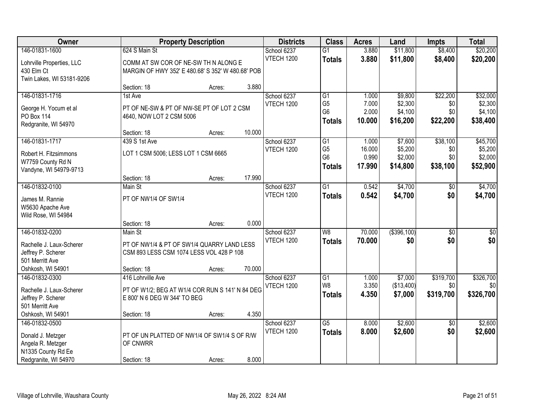| Owner                                                                                                    |                                                                                                                                 | <b>Property Description</b> |                 | <b>Districts</b>                 | <b>Class</b>                                                         | <b>Acres</b>                       | Land                                      | <b>Impts</b>                       | <b>Total</b>                               |
|----------------------------------------------------------------------------------------------------------|---------------------------------------------------------------------------------------------------------------------------------|-----------------------------|-----------------|----------------------------------|----------------------------------------------------------------------|------------------------------------|-------------------------------------------|------------------------------------|--------------------------------------------|
| 146-01831-1600<br>Lohrville Properties, LLC<br>430 Elm Ct                                                | 624 S Main St<br>COMM AT SW COR OF NE-SW TH N ALONG E<br>MARGIN OF HWY 352' E 480.68' S 352' W 480.68' POB                      |                             |                 | School 6237<br><b>VTECH 1200</b> | $\overline{G1}$<br><b>Totals</b>                                     | 3.880<br>3.880                     | \$11,800<br>\$11,800                      | \$8,400<br>\$8,400                 | \$20,200<br>\$20,200                       |
| Twin Lakes, WI 53181-9206                                                                                | Section: 18                                                                                                                     | Acres:                      | 3.880           |                                  |                                                                      |                                    |                                           |                                    |                                            |
| 146-01831-1716<br>George H. Yocum et al<br><b>PO Box 114</b><br>Redgranite, WI 54970                     | 1st Ave<br>PT OF NE-SW & PT OF NW-SE PT OF LOT 2 CSM<br>4640, NOW LOT 2 CSM 5006                                                |                             |                 | School 6237<br><b>VTECH 1200</b> | $\overline{G1}$<br>G <sub>5</sub><br>G <sub>6</sub><br><b>Totals</b> | 1.000<br>7.000<br>2.000<br>10.000  | \$9,800<br>\$2,300<br>\$4,100<br>\$16,200 | \$22,200<br>\$0<br>\$0<br>\$22,200 | \$32,000<br>\$2,300<br>\$4,100<br>\$38,400 |
| 146-01831-1717<br>Robert H. Fitzsimmons<br>W7759 County Rd N<br>Vandyne, WI 54979-9713                   | Section: 18<br>439 S 1st Ave<br>LOT 1 CSM 5006; LESS LOT 1 CSM 6665                                                             | Acres:                      | 10.000          | School 6237<br><b>VTECH 1200</b> | G1<br>G <sub>5</sub><br>G <sub>6</sub><br><b>Totals</b>              | 1.000<br>16.000<br>0.990<br>17.990 | \$7,600<br>\$5,200<br>\$2,000<br>\$14,800 | \$38,100<br>\$0<br>\$0<br>\$38,100 | \$45,700<br>\$5,200<br>\$2,000<br>\$52,900 |
| 146-01832-0100                                                                                           | Section: 18<br>Main St                                                                                                          | Acres:                      | 17.990          | School 6237                      | $\overline{G1}$                                                      | 0.542                              | \$4,700                                   | \$0                                | \$4,700                                    |
| James M. Rannie<br>W5630 Apache Ave<br>Wild Rose, WI 54984                                               | PT OF NW1/4 OF SW1/4                                                                                                            |                             |                 | <b>VTECH 1200</b>                | <b>Totals</b>                                                        | 0.542                              | \$4,700                                   | \$0                                | \$4,700                                    |
| 146-01832-0200<br>Rachelle J. Laux-Scherer<br>Jeffrey P. Scherer<br>501 Merritt Ave<br>Oshkosh, WI 54901 | Section: 18<br>Main St<br>PT OF NW1/4 & PT OF SW1/4 QUARRY LAND LESS<br>CSM 893 LESS CSM 1074 LESS VOL 428 P 108<br>Section: 18 | Acres:<br>Acres:            | 0.000<br>70.000 | School 6237<br><b>VTECH 1200</b> | $\overline{W8}$<br><b>Totals</b>                                     | 70.000<br>70.000                   | $($ \$396,100)<br>\$0                     | $\overline{30}$<br>\$0             | $\overline{\$0}$<br>\$0                    |
| 146-01832-0300<br>Rachelle J. Laux-Scherer<br>Jeffrey P. Scherer<br>501 Merritt Ave<br>Oshkosh, WI 54901 | 416 Lohrville Ave<br>PT OF W1/2; BEG AT W1/4 COR RUN S 141' N 84 DEG<br>E 800' N 6 DEG W 344' TO BEG<br>Section: 18             | Acres:                      | 4.350           | School 6237<br><b>VTECH 1200</b> | G1<br>W8<br><b>Totals</b>                                            | 1.000<br>3.350<br>4.350            | \$7,000<br>(\$13,400)<br>\$7,000          | \$319,700<br>\$0<br>\$319,700      | \$326,700<br>\$0<br>\$326,700              |
| 146-01832-0500<br>Donald J. Metzger<br>Angela R. Metzger<br>N1335 County Rd Ee<br>Redgranite, WI 54970   | PT OF UN PLATTED OF NW1/4 OF SW1/4 S OF R/W<br>OF CNWRR<br>Section: 18                                                          | Acres:                      | 8.000           | School 6237<br>VTECH 1200        | $\overline{G5}$<br><b>Totals</b>                                     | 8.000<br>8.000                     | \$2,600<br>\$2,600                        | $\overline{50}$<br>\$0             | \$2,600<br>\$2,600                         |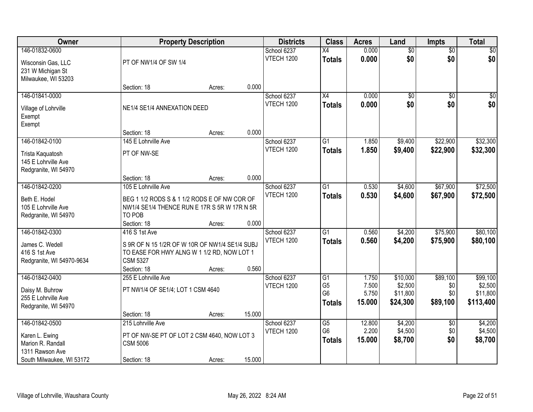| Owner                               | <b>Property Description</b>                                    |        |        | <b>Districts</b>                 | <b>Class</b>    | <b>Acres</b> | Land            | <b>Impts</b>    | <b>Total</b> |
|-------------------------------------|----------------------------------------------------------------|--------|--------|----------------------------------|-----------------|--------------|-----------------|-----------------|--------------|
| 146-01832-0600                      |                                                                |        |        | School 6237                      | $\overline{X4}$ | 0.000        | $\overline{50}$ | $\overline{50}$ | $\sqrt{50}$  |
| Wisconsin Gas, LLC                  | PT OF NW1/4 OF SW 1/4                                          |        |        | <b>VTECH 1200</b>                | <b>Totals</b>   | 0.000        | \$0             | \$0             | \$0          |
| 231 W Michigan St                   |                                                                |        |        |                                  |                 |              |                 |                 |              |
| Milwaukee, WI 53203                 |                                                                |        |        |                                  |                 |              |                 |                 |              |
|                                     | Section: 18                                                    | Acres: | 0.000  |                                  |                 |              |                 |                 |              |
| 146-01841-0000                      |                                                                |        |        | School 6237<br><b>VTECH 1200</b> | $\overline{X4}$ | 0.000        | \$0             | $\overline{50}$ | \$0          |
| Village of Lohrville                | NE1/4 SE1/4 ANNEXATION DEED                                    |        |        |                                  | <b>Totals</b>   | 0.000        | \$0             | \$0             | \$0          |
| Exempt                              |                                                                |        |        |                                  |                 |              |                 |                 |              |
| Exempt                              |                                                                |        |        |                                  |                 |              |                 |                 |              |
|                                     | Section: 18                                                    | Acres: | 0.000  |                                  |                 |              |                 |                 |              |
| 146-01842-0100                      | 145 E Lohrville Ave                                            |        |        | School 6237                      | G1              | 1.850        | \$9,400         | \$22,900        | \$32,300     |
| Trista Kaquatosh                    | PT OF NW-SE                                                    |        |        | <b>VTECH 1200</b>                | <b>Totals</b>   | 1.850        | \$9,400         | \$22,900        | \$32,300     |
| 145 E Lohrville Ave                 |                                                                |        |        |                                  |                 |              |                 |                 |              |
| Redgranite, WI 54970                |                                                                |        |        |                                  |                 |              |                 |                 |              |
|                                     | Section: 18                                                    | Acres: | 0.000  |                                  |                 |              |                 |                 |              |
| 146-01842-0200                      | 105 E Lohrville Ave                                            |        |        | School 6237                      | $\overline{G1}$ | 0.530        | \$4,600         | \$67,900        | \$72,500     |
| Beth E. Hodel                       | BEG 1 1/2 RODS S & 1 1/2 RODS E OF NW COR OF                   |        |        | VTECH 1200                       | <b>Totals</b>   | 0.530        | \$4,600         | \$67,900        | \$72,500     |
| 105 E Lohrville Ave                 | NW1/4 SE1/4 THENCE RUN E 17R S 5R W 17R N 5R                   |        |        |                                  |                 |              |                 |                 |              |
| Redgranite, WI 54970                | TO POB                                                         |        |        |                                  |                 |              |                 |                 |              |
|                                     | Section: 18                                                    | Acres: | 0.000  |                                  |                 |              |                 |                 |              |
| 146-01842-0300                      | 416 S 1st Ave                                                  |        |        | School 6237                      | $\overline{G1}$ | 0.560        | \$4,200         | \$75,900        | \$80,100     |
| James C. Wedell                     | S 9R OF N 15 1/2R OF W 10R OF NW1/4 SE1/4 SUBJ                 |        |        | VTECH 1200                       | <b>Totals</b>   | 0.560        | \$4,200         | \$75,900        | \$80,100     |
| 416 S 1st Ave                       | TO EASE FOR HWY ALNG W 1 1/2 RD, NOW LOT 1                     |        |        |                                  |                 |              |                 |                 |              |
| Redgranite, WI 54970-9634           | <b>CSM 5327</b>                                                |        |        |                                  |                 |              |                 |                 |              |
|                                     | Section: 18                                                    | Acres: | 0.560  |                                  |                 |              |                 |                 |              |
| 146-01842-0400                      | 255 E Lohrville Ave                                            |        |        | School 6237                      | $\overline{G1}$ | 1.750        | \$10,000        | \$89,100        | \$99,100     |
| Daisy M. Buhrow                     | PT NW1/4 OF SE1/4; LOT 1 CSM 4640                              |        |        | <b>VTECH 1200</b>                | G <sub>5</sub>  | 7.500        | \$2,500         | \$0             | \$2,500      |
| 255 E Lohrville Ave                 |                                                                |        |        |                                  | G <sub>6</sub>  | 5.750        | \$11,800        | \$0             | \$11,800     |
| Redgranite, WI 54970                |                                                                |        |        |                                  | <b>Totals</b>   | 15.000       | \$24,300        | \$89,100        | \$113,400    |
|                                     | Section: 18                                                    | Acres: | 15.000 |                                  |                 |              |                 |                 |              |
| 146-01842-0500                      | 215 Lohrville Ave                                              |        |        | School 6237                      | $\overline{G5}$ | 12.800       | \$4,200         | $\overline{60}$ | \$4,200      |
|                                     |                                                                |        |        | VTECH 1200                       | G <sub>6</sub>  | 2.200        | \$4,500         | \$0             | \$4,500      |
| Karen L. Ewing<br>Marion R. Randall | PT OF NW-SE PT OF LOT 2 CSM 4640, NOW LOT 3<br><b>CSM 5006</b> |        |        |                                  | <b>Totals</b>   | 15.000       | \$8,700         | \$0             | \$8,700      |
| 1311 Rawson Ave                     |                                                                |        |        |                                  |                 |              |                 |                 |              |
| South Milwaukee, WI 53172           | Section: 18                                                    | Acres: | 15.000 |                                  |                 |              |                 |                 |              |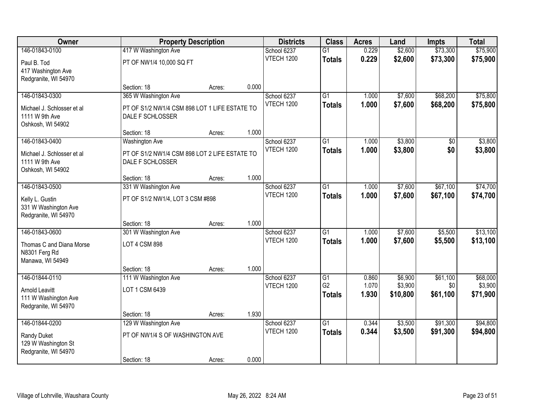| Owner                             |                                               | <b>Property Description</b> |       | <b>Districts</b>                 | <b>Class</b>    | <b>Acres</b> | Land     | <b>Impts</b> | <b>Total</b> |
|-----------------------------------|-----------------------------------------------|-----------------------------|-------|----------------------------------|-----------------|--------------|----------|--------------|--------------|
| 146-01843-0100                    | 417 W Washington Ave                          |                             |       | School 6237                      | $\overline{G1}$ | 0.229        | \$2,600  | \$73,300     | \$75,900     |
| Paul B. Tod                       | PT OF NW1/4 10,000 SQ FT                      |                             |       | <b>VTECH 1200</b>                | <b>Totals</b>   | 0.229        | \$2,600  | \$73,300     | \$75,900     |
| 417 Washington Ave                |                                               |                             |       |                                  |                 |              |          |              |              |
| Redgranite, WI 54970              |                                               |                             |       |                                  |                 |              |          |              |              |
|                                   | Section: 18                                   | Acres:                      | 0.000 |                                  |                 |              |          |              |              |
| 146-01843-0300                    | 365 W Washington Ave                          |                             |       | School 6237                      | $\overline{G1}$ | 1.000        | \$7,600  | \$68,200     | \$75,800     |
| Michael J. Schlosser et al.       | PT OF S1/2 NW1/4 CSM 898 LOT 1 LIFE ESTATE TO |                             |       | <b>VTECH 1200</b>                | <b>Totals</b>   | 1.000        | \$7,600  | \$68,200     | \$75,800     |
| 1111 W 9th Ave                    | DALE F SCHLOSSER                              |                             |       |                                  |                 |              |          |              |              |
| Oshkosh, WI 54902                 |                                               |                             |       |                                  |                 |              |          |              |              |
|                                   | Section: 18                                   | Acres:                      | 1.000 |                                  |                 |              |          |              |              |
| 146-01843-0400                    | Washington Ave                                |                             |       | School 6237<br><b>VTECH 1200</b> | G1              | 1.000        | \$3,800  | $\sqrt{6}$   | \$3,800      |
| Michael J. Schlosser et al        | PT OF S1/2 NW1/4 CSM 898 LOT 2 LIFE ESTATE TO |                             |       |                                  | <b>Totals</b>   | 1.000        | \$3,800  | \$0          | \$3,800      |
| 1111 W 9th Ave                    | DALE F SCHLOSSER                              |                             |       |                                  |                 |              |          |              |              |
| Oshkosh, WI 54902                 |                                               |                             |       |                                  |                 |              |          |              |              |
| 146-01843-0500                    | Section: 18<br>331 W Washington Ave           | Acres:                      | 1.000 | School 6237                      | G1              | 1.000        | \$7,600  | \$67,100     | \$74,700     |
|                                   |                                               |                             |       | <b>VTECH 1200</b>                | <b>Totals</b>   | 1.000        | \$7,600  | \$67,100     | \$74,700     |
| Kelly L. Gustin                   | PT OF S1/2 NW1/4, LOT 3 CSM #898              |                             |       |                                  |                 |              |          |              |              |
| 331 W Washington Ave              |                                               |                             |       |                                  |                 |              |          |              |              |
| Redgranite, WI 54970              | Section: 18                                   | Acres:                      | 1.000 |                                  |                 |              |          |              |              |
| 146-01843-0600                    | 301 W Washington Ave                          |                             |       | School 6237                      | $\overline{G1}$ | 1.000        | \$7,600  | \$5,500      | \$13,100     |
|                                   |                                               |                             |       | <b>VTECH 1200</b>                | <b>Totals</b>   | 1.000        | \$7,600  | \$5,500      | \$13,100     |
| Thomas C and Diana Morse          | <b>LOT 4 CSM 898</b>                          |                             |       |                                  |                 |              |          |              |              |
| N8301 Ferg Rd<br>Manawa, WI 54949 |                                               |                             |       |                                  |                 |              |          |              |              |
|                                   | Section: 18                                   | Acres:                      | 1.000 |                                  |                 |              |          |              |              |
| 146-01844-0110                    | 111 W Washington Ave                          |                             |       | School 6237                      | $\overline{G1}$ | 0.860        | \$6,900  | \$61,100     | \$68,000     |
| <b>Arnold Leavitt</b>             | LOT 1 CSM 6439                                |                             |       | <b>VTECH 1200</b>                | G <sub>2</sub>  | 1.070        | \$3,900  | \$0          | \$3,900      |
| 111 W Washington Ave              |                                               |                             |       |                                  | <b>Totals</b>   | 1.930        | \$10,800 | \$61,100     | \$71,900     |
| Redgranite, WI 54970              |                                               |                             |       |                                  |                 |              |          |              |              |
|                                   | Section: 18                                   | Acres:                      | 1.930 |                                  |                 |              |          |              |              |
| 146-01844-0200                    | 129 W Washington Ave                          |                             |       | School 6237                      | $\overline{G1}$ | 0.344        | \$3,500  | \$91,300     | \$94,800     |
| Randy Duket                       | PT OF NW1/4 S OF WASHINGTON AVE               |                             |       | <b>VTECH 1200</b>                | <b>Totals</b>   | 0.344        | \$3,500  | \$91,300     | \$94,800     |
| 129 W Washington St               |                                               |                             |       |                                  |                 |              |          |              |              |
| Redgranite, WI 54970              |                                               |                             |       |                                  |                 |              |          |              |              |
|                                   | Section: 18                                   | Acres:                      | 0.000 |                                  |                 |              |          |              |              |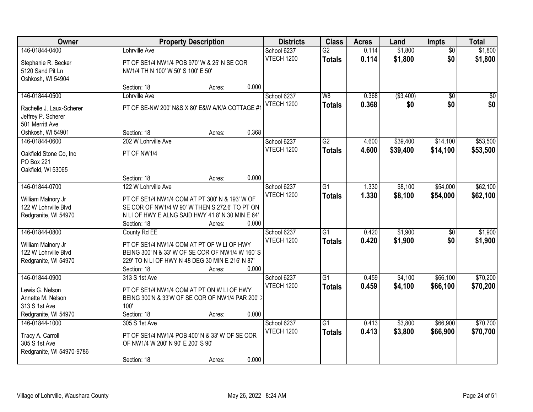| Owner                                        |                                    | <b>Property Description</b>                                                                      |       | <b>Districts</b>  | <b>Class</b>    | <b>Acres</b> | Land       | <b>Impts</b>    | <b>Total</b>     |
|----------------------------------------------|------------------------------------|--------------------------------------------------------------------------------------------------|-------|-------------------|-----------------|--------------|------------|-----------------|------------------|
| 146-01844-0400                               | Lohrville Ave                      |                                                                                                  |       | School 6237       | $\overline{G2}$ | 0.114        | \$1,800    | $\overline{50}$ | \$1,800          |
| Stephanie R. Becker                          |                                    | PT OF SE1/4 NW1/4 POB 970' W & 25' N SE COR                                                      |       | <b>VTECH 1200</b> | <b>Totals</b>   | 0.114        | \$1,800    | \$0             | \$1,800          |
| 5120 Sand Pit Ln                             | NW1/4 TH N 100' W 50' S 100' E 50' |                                                                                                  |       |                   |                 |              |            |                 |                  |
| Oshkosh, WI 54904                            |                                    |                                                                                                  |       |                   |                 |              |            |                 |                  |
|                                              | Section: 18                        | Acres:                                                                                           | 0.000 |                   |                 |              |            |                 |                  |
| 146-01844-0500                               | Lohrville Ave                      |                                                                                                  |       | School 6237       | $\overline{W8}$ | 0.368        | ( \$3,400) | $\overline{30}$ | $\overline{\$0}$ |
| Rachelle J. Laux-Scherer                     |                                    | PT OF SE-NW 200' N&S X 80' E&W A/K/A COTTAGE #1                                                  |       | <b>VTECH 1200</b> | <b>Totals</b>   | 0.368        | \$0        | \$0             | \$0              |
| Jeffrey P. Scherer                           |                                    |                                                                                                  |       |                   |                 |              |            |                 |                  |
| 501 Merritt Ave                              |                                    |                                                                                                  |       |                   |                 |              |            |                 |                  |
| Oshkosh, WI 54901                            | Section: 18                        | Acres:                                                                                           | 0.368 |                   |                 |              |            |                 |                  |
| 146-01844-0600                               | 202 W Lohrville Ave                |                                                                                                  |       | School 6237       | $\overline{G2}$ | 4.600        | \$39,400   | \$14,100        | \$53,500         |
| Oakfield Stone Co, Inc                       | PT OF NW1/4                        |                                                                                                  |       | <b>VTECH 1200</b> | <b>Totals</b>   | 4.600        | \$39,400   | \$14,100        | \$53,500         |
| PO Box 221                                   |                                    |                                                                                                  |       |                   |                 |              |            |                 |                  |
| Oakfield, WI 53065                           |                                    |                                                                                                  |       |                   |                 |              |            |                 |                  |
|                                              | Section: 18                        | Acres:                                                                                           | 0.000 |                   |                 |              |            |                 |                  |
| 146-01844-0700                               | 122 W Lohrville Ave                |                                                                                                  |       | School 6237       | G1              | 1.330        | \$8,100    | \$54,000        | \$62,100         |
|                                              |                                    |                                                                                                  |       | VTECH 1200        | <b>Totals</b>   | 1.330        | \$8,100    | \$54,000        | \$62,100         |
| William Malnory Jr<br>122 W Lohrville Blvd   |                                    | PT OF SE1/4 NW1/4 COM AT PT 300' N & 193' W OF<br>SE COR OF NW1/4 W 90' W THEN S 272.6' TO PT ON |       |                   |                 |              |            |                 |                  |
| Redgranite, WI 54970                         |                                    | N LI OF HWY E ALNG SAID HWY 41 8' N 30 MIN E 64'                                                 |       |                   |                 |              |            |                 |                  |
|                                              | Section: 18                        | Acres:                                                                                           | 0.000 |                   |                 |              |            |                 |                  |
| 146-01844-0800                               | County Rd EE                       |                                                                                                  |       | School 6237       | $\overline{G1}$ | 0.420        | \$1,900    | $\overline{50}$ | \$1,900          |
|                                              |                                    |                                                                                                  |       | <b>VTECH 1200</b> | <b>Totals</b>   | 0.420        | \$1,900    | \$0             | \$1,900          |
| William Malnory Jr                           |                                    | PT OF SE1/4 NW1/4 COM AT PT OF W LI OF HWY<br>BEING 300' N & 33' W OF SE COR OF NW1/4 W 160' S   |       |                   |                 |              |            |                 |                  |
| 122 W Lohrville Blvd<br>Redgranite, WI 54970 |                                    | 229' TO N LI OF HWY N 48 DEG 30 MIN E 216' N 87'                                                 |       |                   |                 |              |            |                 |                  |
|                                              | Section: 18                        | Acres:                                                                                           | 0.000 |                   |                 |              |            |                 |                  |
| 146-01844-0900                               | 313 S 1st Ave                      |                                                                                                  |       | School 6237       | $\overline{G1}$ | 0.459        | \$4,100    | \$66,100        | \$70,200         |
|                                              |                                    |                                                                                                  |       | <b>VTECH 1200</b> | <b>Totals</b>   | 0.459        | \$4,100    | \$66,100        | \$70,200         |
| Lewis G. Nelson                              |                                    | PT OF SE1/4 NW1/4 COM AT PT ON W LI OF HWY                                                       |       |                   |                 |              |            |                 |                  |
| Annette M. Nelson                            | 100'                               | BEING 300'N & 33'W OF SE COR OF NW1/4 PAR 200')                                                  |       |                   |                 |              |            |                 |                  |
| 313 S 1st Ave<br>Redgranite, WI 54970        | Section: 18                        | Acres:                                                                                           | 0.000 |                   |                 |              |            |                 |                  |
| 146-01844-1000                               | 305 S 1st Ave                      |                                                                                                  |       | School 6237       | $\overline{G1}$ | 0.413        | \$3,800    | \$66,900        | \$70,700         |
|                                              |                                    |                                                                                                  |       | <b>VTECH 1200</b> | <b>Totals</b>   | 0.413        | \$3,800    | \$66,900        | \$70,700         |
| Tracy A. Carroll                             |                                    | PT OF SE1/4 NW1/4 POB 400' N & 33' W OF SE COR                                                   |       |                   |                 |              |            |                 |                  |
| 305 S 1st Ave                                | OF NW1/4 W 200' N 90' E 200' S 90' |                                                                                                  |       |                   |                 |              |            |                 |                  |
| Redgranite, WI 54970-9786                    |                                    |                                                                                                  |       |                   |                 |              |            |                 |                  |
|                                              | Section: 18                        | Acres:                                                                                           | 0.000 |                   |                 |              |            |                 |                  |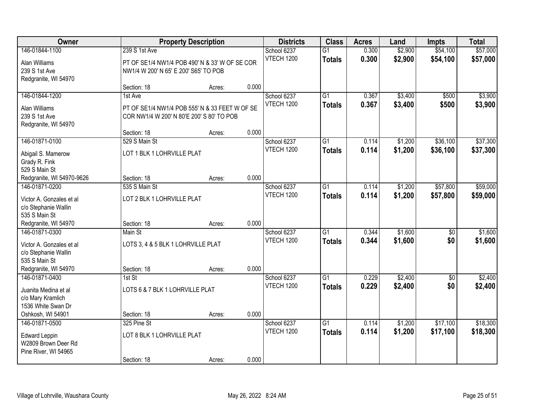| Owner                                                                                                       |                                                                                                          | <b>Property Description</b> |       | <b>Districts</b>                 | <b>Class</b>                     | <b>Acres</b>   | Land               | <b>Impts</b>         | <b>Total</b>         |
|-------------------------------------------------------------------------------------------------------------|----------------------------------------------------------------------------------------------------------|-----------------------------|-------|----------------------------------|----------------------------------|----------------|--------------------|----------------------|----------------------|
| 146-01844-1100<br>Alan Williams<br>239 S 1st Ave<br>Redgranite, WI 54970                                    | 239 S 1st Ave<br>PT OF SE1/4 NW1/4 POB 490' N & 33' W OF SE COR<br>NW1/4 W 200' N 65' E 200' S65' TO POB |                             |       | School 6237<br><b>VTECH 1200</b> | $\overline{G1}$<br><b>Totals</b> | 0.300<br>0.300 | \$2,900<br>\$2,900 | \$54,100<br>\$54,100 | \$57,000<br>\$57,000 |
|                                                                                                             | Section: 18                                                                                              | Acres:                      | 0.000 |                                  |                                  |                |                    |                      |                      |
| 146-01844-1200<br>Alan Williams<br>239 S 1st Ave<br>Redgranite, WI 54970                                    | 1st Ave<br>PT OF SE1/4 NW1/4 POB 555' N & 33 FEET W OF SE<br>COR NW1/4 W 200' N 80'E 200' S 80' TO POB   |                             |       | School 6237<br><b>VTECH 1200</b> | $\overline{G1}$<br><b>Totals</b> | 0.367<br>0.367 | \$3,400<br>\$3,400 | \$500<br>\$500       | \$3,900<br>\$3,900   |
|                                                                                                             | Section: 18                                                                                              | Acres:                      | 0.000 |                                  |                                  |                |                    |                      |                      |
| 146-01871-0100<br>Abigail S. Mamerow<br>Grady R. Fink<br>529 S Main St                                      | 529 S Main St<br>LOT 1 BLK 1 LOHRVILLE PLAT                                                              |                             |       | School 6237<br><b>VTECH 1200</b> | $\overline{G1}$<br><b>Totals</b> | 0.114<br>0.114 | \$1,200<br>\$1,200 | \$36,100<br>\$36,100 | \$37,300<br>\$37,300 |
| Redgranite, WI 54970-9626                                                                                   | Section: 18                                                                                              | Acres:                      | 0.000 |                                  |                                  |                |                    |                      |                      |
| 146-01871-0200<br>Victor A. Gonzales et al<br>c/o Stephanie Wallin<br>535 S Main St                         | 535 S Main St<br>LOT 2 BLK 1 LOHRVILLE PLAT                                                              |                             |       | School 6237<br><b>VTECH 1200</b> | $\overline{G1}$<br><b>Totals</b> | 0.114<br>0.114 | \$1,200<br>\$1,200 | \$57,800<br>\$57,800 | \$59,000<br>\$59,000 |
| Redgranite, WI 54970                                                                                        | Section: 18                                                                                              | Acres:                      | 0.000 |                                  |                                  |                |                    |                      |                      |
| 146-01871-0300<br>Victor A. Gonzales et al<br>c/o Stephanie Wallin<br>535 S Main St<br>Redgranite, WI 54970 | Main St<br>LOTS 3, 4 & 5 BLK 1 LOHRVILLE PLAT<br>Section: 18                                             | Acres:                      | 0.000 | School 6237<br><b>VTECH 1200</b> | $\overline{G1}$<br><b>Totals</b> | 0.344<br>0.344 | \$1,600<br>\$1,600 | \$0<br>\$0           | \$1,600<br>\$1,600   |
| 146-01871-0400                                                                                              | $1st$ St                                                                                                 |                             |       | School 6237                      | $\overline{G1}$                  | 0.229          | \$2,400            | \$0                  | \$2,400              |
| Juanita Medina et al<br>c/o Mary Kramlich<br>1536 White Swan Dr<br>Oshkosh, WI 54901                        | LOTS 6 & 7 BLK 1 LOHRVILLE PLAT<br>Section: 18                                                           | Acres:                      | 0.000 | <b>VTECH 1200</b>                | <b>Totals</b>                    | 0.229          | \$2,400            | \$0                  | \$2,400              |
| 146-01871-0500                                                                                              | 325 Pine St                                                                                              |                             |       | School 6237                      | $\overline{G1}$                  | 0.114          | \$1,200            | \$17,100             | \$18,300             |
| <b>Edward Leppin</b><br>W2809 Brown Deer Rd<br>Pine River, WI 54965                                         | LOT 8 BLK 1 LOHRVILLE PLAT                                                                               |                             | 0.000 | <b>VTECH 1200</b>                | <b>Totals</b>                    | 0.114          | \$1,200            | \$17,100             | \$18,300             |
|                                                                                                             | Section: 18                                                                                              | Acres:                      |       |                                  |                                  |                |                    |                      |                      |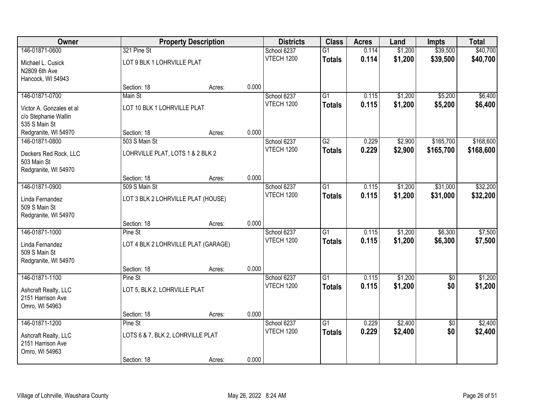| Owner                            |                                     | <b>Property Description</b> |       | <b>Districts</b>          | <b>Class</b>    | <b>Acres</b> | Land               | <b>Impts</b>    | <b>Total</b> |
|----------------------------------|-------------------------------------|-----------------------------|-------|---------------------------|-----------------|--------------|--------------------|-----------------|--------------|
| 146-01871-0600                   | 321 Pine St                         |                             |       | School 6237               | $\overline{G1}$ | 0.114        | \$1,200            | \$39,500        | \$40,700     |
| Michael L. Cusick                | LOT 9 BLK 1 LOHRVILLE PLAT          |                             |       | VTECH 1200                | <b>Totals</b>   | 0.114        | \$1,200            | \$39,500        | \$40,700     |
| N2809 6th Ave                    |                                     |                             |       |                           |                 |              |                    |                 |              |
| Hancock, WI 54943                |                                     |                             |       |                           |                 |              |                    |                 |              |
|                                  | Section: 18                         | Acres:                      | 0.000 |                           |                 |              |                    |                 |              |
| 146-01871-0700                   | Main St                             |                             |       | School 6237               | $\overline{G1}$ | 0.115        | \$1,200            | \$5,200         | \$6,400      |
| Victor A. Gonzales et al.        | LOT 10 BLK 1 LOHRVILLE PLAT         |                             |       | <b>VTECH 1200</b>         | <b>Totals</b>   | 0.115        | \$1,200            | \$5,200         | \$6,400      |
| c/o Stephanie Wallin             |                                     |                             |       |                           |                 |              |                    |                 |              |
| 535 S Main St                    |                                     |                             |       |                           |                 |              |                    |                 |              |
| Redgranite, WI 54970             | Section: 18<br>503 S Main St        | Acres:                      | 0.000 |                           | G2              | 0.229        |                    | \$165,700       | \$168,600    |
| 146-01871-0800                   |                                     |                             |       | School 6237<br>VTECH 1200 |                 | 0.229        | \$2,900<br>\$2,900 | \$165,700       | \$168,600    |
| Deckers Red Rock, LLC            | LOHRVILLE PLAT, LOTS 1 & 2 BLK 2    |                             |       |                           | <b>Totals</b>   |              |                    |                 |              |
| 503 Main St                      |                                     |                             |       |                           |                 |              |                    |                 |              |
| Redgranite, WI 54970             | Section: 18                         | Acres:                      | 0.000 |                           |                 |              |                    |                 |              |
| 146-01871-0900                   | 509 S Main St                       |                             |       | School 6237               | $\overline{G1}$ | 0.115        | \$1,200            | \$31,000        | \$32,200     |
|                                  |                                     |                             |       | VTECH 1200                | <b>Totals</b>   | 0.115        | \$1,200            | \$31,000        | \$32,200     |
| Linda Fernandez<br>509 S Main St | LOT 3 BLK 2 LOHRVILLE PLAT (HOUSE)  |                             |       |                           |                 |              |                    |                 |              |
| Redgranite, WI 54970             |                                     |                             |       |                           |                 |              |                    |                 |              |
|                                  | Section: 18                         | Acres:                      | 0.000 |                           |                 |              |                    |                 |              |
| 146-01871-1000                   | Pine St                             |                             |       | School 6237               | $\overline{G1}$ | 0.115        | \$1,200            | \$6,300         | \$7,500      |
| Linda Fernandez                  | LOT 4 BLK 2 LOHRVILLE PLAT (GARAGE) |                             |       | <b>VTECH 1200</b>         | <b>Totals</b>   | 0.115        | \$1,200            | \$6,300         | \$7,500      |
| 509 S Main St                    |                                     |                             |       |                           |                 |              |                    |                 |              |
| Redgranite, WI 54970             |                                     |                             |       |                           |                 |              |                    |                 |              |
|                                  | Section: 18                         | Acres:                      | 0.000 |                           |                 |              |                    |                 |              |
| 146-01871-1100                   | Pine St                             |                             |       | School 6237               | G1              | 0.115        | \$1,200            | $\overline{50}$ | \$1,200      |
| Ashcraft Realty, LLC             | LOT 5, BLK 2, LOHRVILLE PLAT        |                             |       | VTECH 1200                | <b>Totals</b>   | 0.115        | \$1,200            | \$0             | \$1,200      |
| 2151 Harrison Ave                |                                     |                             |       |                           |                 |              |                    |                 |              |
| Omro, WI 54963                   |                                     |                             |       |                           |                 |              |                    |                 |              |
|                                  | Section: 18                         | Acres:                      | 0.000 |                           |                 |              |                    |                 |              |
| 146-01871-1200                   | Pine St                             |                             |       | School 6237               | $\overline{G1}$ | 0.229        | \$2,400            | $\overline{50}$ | \$2,400      |
| Ashcraft Realty, LLC             | LOTS 6 & 7, BLK 2, LOHRVILLE PLAT   |                             |       | VTECH 1200                | <b>Totals</b>   | 0.229        | \$2,400            | \$0             | \$2,400      |
| 2151 Harrison Ave                |                                     |                             |       |                           |                 |              |                    |                 |              |
| Omro, WI 54963                   |                                     |                             |       |                           |                 |              |                    |                 |              |
|                                  | Section: 18                         | Acres:                      | 0.000 |                           |                 |              |                    |                 |              |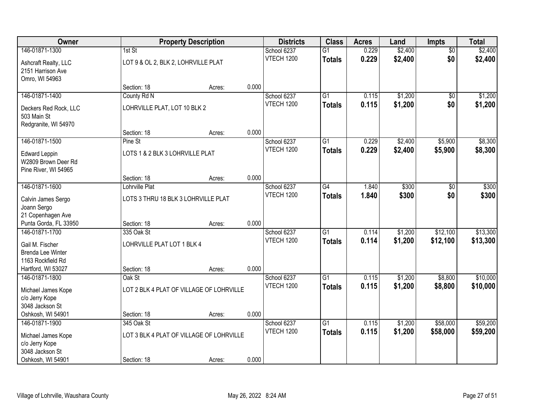| Owner                                                               |                                     | <b>Property Description</b>              |       | <b>Districts</b>  | <b>Class</b>    | <b>Acres</b> | Land    | <b>Impts</b>    | <b>Total</b> |
|---------------------------------------------------------------------|-------------------------------------|------------------------------------------|-------|-------------------|-----------------|--------------|---------|-----------------|--------------|
| 146-01871-1300                                                      | 1st St                              |                                          |       | School 6237       | $\overline{G1}$ | 0.229        | \$2,400 | $\overline{60}$ | \$2,400      |
| Ashcraft Realty, LLC<br>2151 Harrison Ave<br>Omro, WI 54963         | LOT 9 & OL 2, BLK 2, LOHRVILLE PLAT |                                          |       | <b>VTECH 1200</b> | <b>Totals</b>   | 0.229        | \$2,400 | \$0             | \$2,400      |
|                                                                     | Section: 18                         | Acres:                                   | 0.000 |                   |                 |              |         |                 |              |
| 146-01871-1400                                                      | County Rd N                         |                                          |       | School 6237       | $\overline{G1}$ | 0.115        | \$1,200 | \$0             | \$1,200      |
| Deckers Red Rock, LLC<br>503 Main St<br>Redgranite, WI 54970        | LOHRVILLE PLAT, LOT 10 BLK 2        |                                          |       | <b>VTECH 1200</b> | <b>Totals</b>   | 0.115        | \$1,200 | \$0             | \$1,200      |
|                                                                     | Section: 18                         | Acres:                                   | 0.000 |                   |                 |              |         |                 |              |
| 146-01871-1500                                                      | Pine St                             |                                          |       | School 6237       | $\overline{G1}$ | 0.229        | \$2,400 | \$5,900         | \$8,300      |
| <b>Edward Leppin</b><br>W2809 Brown Deer Rd<br>Pine River, WI 54965 | LOTS 1 & 2 BLK 3 LOHRVILLE PLAT     |                                          |       | <b>VTECH 1200</b> | <b>Totals</b>   | 0.229        | \$2,400 | \$5,900         | \$8,300      |
|                                                                     | Section: 18                         | Acres:                                   | 0.000 |                   |                 |              |         |                 |              |
| 146-01871-1600                                                      | Lohrville Plat                      |                                          |       | School 6237       | $\overline{G4}$ | 1.840        | \$300   | \$0             | \$300        |
| Calvin James Sergo<br>Joann Sergo                                   | LOTS 3 THRU 18 BLK 3 LOHRVILLE PLAT |                                          |       | <b>VTECH 1200</b> | <b>Totals</b>   | 1.840        | \$300   | \$0             | \$300        |
| 21 Copenhagen Ave                                                   |                                     |                                          |       |                   |                 |              |         |                 |              |
| Punta Gorda, FL 33950                                               | Section: 18                         | Acres:                                   | 0.000 |                   |                 |              |         |                 |              |
| 146-01871-1700                                                      | 335 Oak St                          |                                          |       | School 6237       | $\overline{G1}$ | 0.114        | \$1,200 | \$12,100        | \$13,300     |
| Gail M. Fischer                                                     | LOHRVILLE PLAT LOT 1 BLK 4          |                                          |       | <b>VTECH 1200</b> | <b>Totals</b>   | 0.114        | \$1,200 | \$12,100        | \$13,300     |
| <b>Brenda Lee Winter</b>                                            |                                     |                                          |       |                   |                 |              |         |                 |              |
| 1163 Rockfield Rd                                                   |                                     |                                          |       |                   |                 |              |         |                 |              |
| Hartford, WI 53027                                                  | Section: 18                         | Acres:                                   | 0.000 |                   |                 |              |         |                 |              |
| 146-01871-1800                                                      | Oak St                              |                                          |       | School 6237       | $\overline{G1}$ | 0.115        | \$1,200 | \$8,800         | \$10,000     |
| Michael James Kope                                                  |                                     | LOT 2 BLK 4 PLAT OF VILLAGE OF LOHRVILLE |       | <b>VTECH 1200</b> | <b>Totals</b>   | 0.115        | \$1,200 | \$8,800         | \$10,000     |
| c/o Jerry Kope                                                      |                                     |                                          |       |                   |                 |              |         |                 |              |
| 3048 Jackson St                                                     |                                     |                                          |       |                   |                 |              |         |                 |              |
| Oshkosh, WI 54901                                                   | Section: 18                         | Acres:                                   | 0.000 |                   |                 |              |         |                 |              |
| 146-01871-1900                                                      | 345 Oak St                          |                                          |       | School 6237       | $\overline{G1}$ | 0.115        | \$1,200 | \$58,000        | \$59,200     |
| Michael James Kope                                                  |                                     | LOT 3 BLK 4 PLAT OF VILLAGE OF LOHRVILLE |       | <b>VTECH 1200</b> | <b>Totals</b>   | 0.115        | \$1,200 | \$58,000        | \$59,200     |
| c/o Jerry Kope                                                      |                                     |                                          |       |                   |                 |              |         |                 |              |
| 3048 Jackson St                                                     |                                     |                                          |       |                   |                 |              |         |                 |              |
| Oshkosh, WI 54901                                                   | Section: 18                         | Acres:                                   | 0.000 |                   |                 |              |         |                 |              |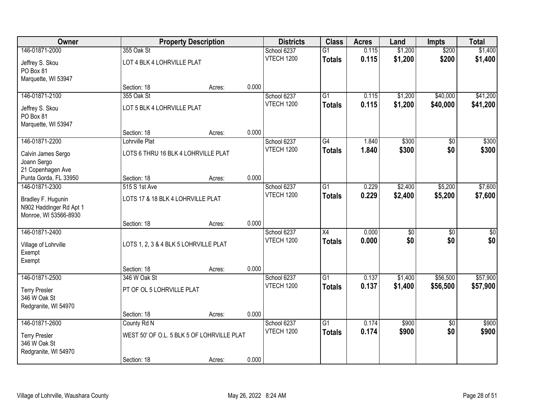| Owner                   |                                            | <b>Property Description</b> |       | <b>Districts</b>  | <b>Class</b>    | <b>Acres</b> | Land    | <b>Impts</b>    | <b>Total</b> |
|-------------------------|--------------------------------------------|-----------------------------|-------|-------------------|-----------------|--------------|---------|-----------------|--------------|
| 146-01871-2000          | 355 Oak St                                 |                             |       | School 6237       | $\overline{G1}$ | 0.115        | \$1,200 | \$200           | \$1,400      |
| Jeffrey S. Skou         | LOT 4 BLK 4 LOHRVILLE PLAT                 |                             |       | <b>VTECH 1200</b> | <b>Totals</b>   | 0.115        | \$1,200 | \$200           | \$1,400      |
| PO Box 81               |                                            |                             |       |                   |                 |              |         |                 |              |
| Marquette, WI 53947     |                                            |                             |       |                   |                 |              |         |                 |              |
|                         | Section: 18                                | Acres:                      | 0.000 |                   |                 |              |         |                 |              |
| 146-01871-2100          | 355 Oak St                                 |                             |       | School 6237       | $\overline{G1}$ | 0.115        | \$1,200 | \$40,000        | \$41,200     |
| Jeffrey S. Skou         | LOT 5 BLK 4 LOHRVILLE PLAT                 |                             |       | <b>VTECH 1200</b> | <b>Totals</b>   | 0.115        | \$1,200 | \$40,000        | \$41,200     |
| PO Box 81               |                                            |                             |       |                   |                 |              |         |                 |              |
| Marquette, WI 53947     |                                            |                             |       |                   |                 |              |         |                 |              |
|                         | Section: 18                                | Acres:                      | 0.000 |                   |                 |              |         |                 |              |
| 146-01871-2200          | Lohrville Plat                             |                             |       | School 6237       | G4              | 1.840        | \$300   | \$0             | \$300        |
| Calvin James Sergo      | LOTS 6 THRU 16 BLK 4 LOHRVILLE PLAT        |                             |       | <b>VTECH 1200</b> | <b>Totals</b>   | 1.840        | \$300   | \$0             | \$300        |
| Joann Sergo             |                                            |                             |       |                   |                 |              |         |                 |              |
| 21 Copenhagen Ave       |                                            |                             |       |                   |                 |              |         |                 |              |
| Punta Gorda, FL 33950   | Section: 18                                | Acres:                      | 0.000 |                   |                 |              |         |                 |              |
| 146-01871-2300          | 515 S 1st Ave                              |                             |       | School 6237       | $\overline{G1}$ | 0.229        | \$2,400 | \$5,200         | \$7,600      |
| Bradley F. Hugunin      | LOTS 17 & 18 BLK 4 LOHRVILLE PLAT          |                             |       | <b>VTECH 1200</b> | <b>Totals</b>   | 0.229        | \$2,400 | \$5,200         | \$7,600      |
| N902 Haddinger Rd Apt 1 |                                            |                             |       |                   |                 |              |         |                 |              |
| Monroe, WI 53566-8930   |                                            |                             |       |                   |                 |              |         |                 |              |
|                         | Section: 18                                | Acres:                      | 0.000 |                   |                 |              |         |                 |              |
| 146-01871-2400          |                                            |                             |       | School 6237       | $\overline{X4}$ | 0.000        | \$0     | $\overline{50}$ | \$0          |
| Village of Lohrville    | LOTS 1, 2, 3 & 4 BLK 5 LOHRVILLE PLAT      |                             |       | <b>VTECH 1200</b> | <b>Totals</b>   | 0.000        | \$0     | \$0             | \$0          |
| Exempt                  |                                            |                             |       |                   |                 |              |         |                 |              |
| Exempt                  |                                            |                             |       |                   |                 |              |         |                 |              |
|                         | Section: 18                                | Acres:                      | 0.000 |                   |                 |              |         |                 |              |
| 146-01871-2500          | 346 W Oak St                               |                             |       | School 6237       | $\overline{G1}$ | 0.137        | \$1,400 | \$56,500        | \$57,900     |
| <b>Terry Presler</b>    | PT OF OL 5 LOHRVILLE PLAT                  |                             |       | <b>VTECH 1200</b> | <b>Totals</b>   | 0.137        | \$1,400 | \$56,500        | \$57,900     |
| 346 W Oak St            |                                            |                             |       |                   |                 |              |         |                 |              |
| Redgranite, WI 54970    |                                            |                             |       |                   |                 |              |         |                 |              |
|                         | Section: 18                                | Acres:                      | 0.000 |                   |                 |              |         |                 |              |
| 146-01871-2600          | County Rd N                                |                             |       | School 6237       | $\overline{G1}$ | 0.174        | \$900   | $\overline{30}$ | \$900        |
| <b>Terry Presler</b>    | WEST 50' OF O.L. 5 BLK 5 OF LOHRVILLE PLAT |                             |       | <b>VTECH 1200</b> | <b>Totals</b>   | 0.174        | \$900   | \$0             | \$900        |
| 346 W Oak St            |                                            |                             |       |                   |                 |              |         |                 |              |
| Redgranite, WI 54970    |                                            |                             |       |                   |                 |              |         |                 |              |
|                         | Section: 18                                | Acres:                      | 0.000 |                   |                 |              |         |                 |              |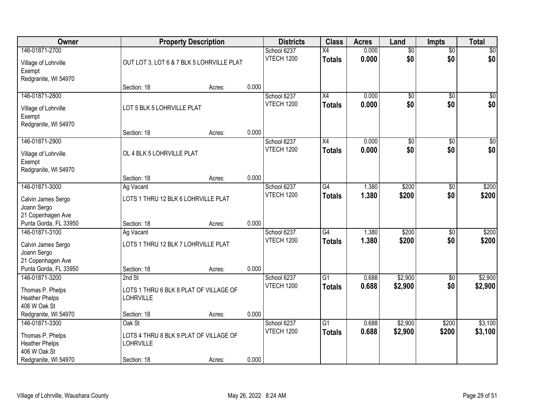| <b>Owner</b>                   |                                        | <b>Property Description</b>               |       | <b>Districts</b>  | <b>Class</b>    | <b>Acres</b> | Land            | <b>Impts</b>    | <b>Total</b>     |
|--------------------------------|----------------------------------------|-------------------------------------------|-------|-------------------|-----------------|--------------|-----------------|-----------------|------------------|
| 146-01871-2700                 |                                        |                                           |       | School 6237       | $\overline{X4}$ | 0.000        | $\overline{50}$ | $\overline{$0}$ | $\sqrt{50}$      |
| Village of Lohrville<br>Exempt |                                        | OUT LOT 3, LOT 6 & 7 BLK 5 LOHRVILLE PLAT |       | <b>VTECH 1200</b> | <b>Totals</b>   | 0.000        | \$0             | \$0             | \$0              |
| Redgranite, WI 54970           |                                        |                                           |       |                   |                 |              |                 |                 |                  |
|                                | Section: 18                            | Acres:                                    | 0.000 |                   |                 |              |                 |                 |                  |
| 146-01871-2800                 |                                        |                                           |       | School 6237       | $\overline{X4}$ | 0.000        | $\overline{50}$ | $\overline{50}$ | \$0              |
| Village of Lohrville           | LOT 5 BLK 5 LOHRVILLE PLAT             |                                           |       | <b>VTECH 1200</b> | <b>Totals</b>   | 0.000        | \$0             | \$0             | \$0              |
| Exempt                         |                                        |                                           |       |                   |                 |              |                 |                 |                  |
| Redgranite, WI 54970           |                                        |                                           |       |                   |                 |              |                 |                 |                  |
|                                | Section: 18                            | Acres:                                    | 0.000 |                   |                 |              |                 |                 |                  |
| 146-01871-2900                 |                                        |                                           |       | School 6237       | X4              | 0.000        | \$0             | \$0             | $\overline{\$0}$ |
| Village of Lohrville           | OL 4 BLK 5 LOHRVILLE PLAT              |                                           |       | <b>VTECH 1200</b> | <b>Totals</b>   | 0.000        | \$0             | \$0             | \$0              |
| Exempt                         |                                        |                                           |       |                   |                 |              |                 |                 |                  |
| Redgranite, WI 54970           |                                        |                                           |       |                   |                 |              |                 |                 |                  |
|                                | Section: 18                            | Acres:                                    | 0.000 |                   |                 |              |                 |                 |                  |
| 146-01871-3000                 | Ag Vacant                              |                                           |       | School 6237       | $\overline{G4}$ | 1.380        | \$200           | \$0             | \$200            |
| Calvin James Sergo             | LOTS 1 THRU 12 BLK 6 LOHRVILLE PLAT    |                                           |       | <b>VTECH 1200</b> | <b>Totals</b>   | 1.380        | \$200           | \$0             | \$200            |
| Joann Sergo                    |                                        |                                           |       |                   |                 |              |                 |                 |                  |
| 21 Copenhagen Ave              |                                        |                                           |       |                   |                 |              |                 |                 |                  |
| Punta Gorda, FL 33950          | Section: 18                            | Acres:                                    | 0.000 |                   |                 |              |                 |                 |                  |
| 146-01871-3100                 | Ag Vacant                              |                                           |       | School 6237       | $\overline{G4}$ | 1.380        | \$200           | \$0             | \$200            |
| Calvin James Sergo             | LOTS 1 THRU 12 BLK 7 LOHRVILLE PLAT    |                                           |       | <b>VTECH 1200</b> | <b>Totals</b>   | 1.380        | \$200           | \$0             | \$200            |
| Joann Sergo                    |                                        |                                           |       |                   |                 |              |                 |                 |                  |
| 21 Copenhagen Ave              |                                        |                                           |       |                   |                 |              |                 |                 |                  |
| Punta Gorda, FL 33950          | Section: 18                            | Acres:                                    | 0.000 |                   |                 |              |                 |                 |                  |
| 146-01871-3200                 | 2nd St                                 |                                           |       | School 6237       | $\overline{G1}$ | 0.688        | \$2,900         | \$0             | \$2,900          |
| Thomas P. Phelps               | LOTS 1 THRU 6 BLK 8 PLAT OF VILLAGE OF |                                           |       | <b>VTECH 1200</b> | <b>Totals</b>   | 0.688        | \$2,900         | \$0             | \$2,900          |
| <b>Heather Phelps</b>          | LOHRVILLE                              |                                           |       |                   |                 |              |                 |                 |                  |
| 406 W Oak St                   |                                        |                                           |       |                   |                 |              |                 |                 |                  |
| Redgranite, WI 54970           | Section: 18                            | Acres:                                    | 0.000 |                   |                 |              |                 |                 |                  |
| 146-01871-3300                 | Oak St                                 |                                           |       | School 6237       | $\overline{G1}$ | 0.688        | \$2,900         | \$200           | \$3,100          |
| Thomas P. Phelps               | LOTS 4 THRU 8 BLK 9 PLAT OF VILLAGE OF |                                           |       | VTECH 1200        | <b>Totals</b>   | 0.688        | \$2,900         | \$200           | \$3,100          |
| <b>Heather Phelps</b>          | <b>LOHRVILLE</b>                       |                                           |       |                   |                 |              |                 |                 |                  |
| 406 W Oak St                   |                                        |                                           |       |                   |                 |              |                 |                 |                  |
| Redgranite, WI 54970           | Section: 18                            | Acres:                                    | 0.000 |                   |                 |              |                 |                 |                  |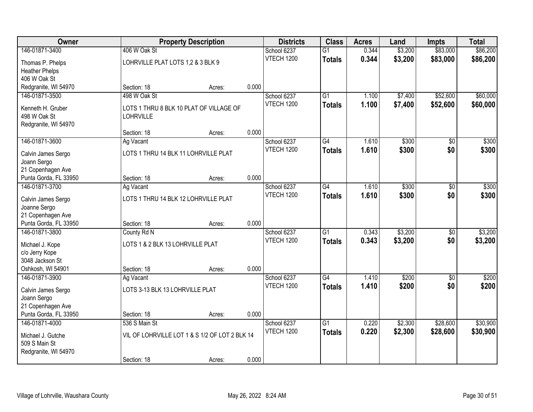| Owner                 |                                      | <b>Property Description</b>                    |       | <b>Districts</b>  | <b>Class</b>    | <b>Acres</b> | Land    | <b>Impts</b>    | <b>Total</b> |
|-----------------------|--------------------------------------|------------------------------------------------|-------|-------------------|-----------------|--------------|---------|-----------------|--------------|
| 146-01871-3400        | 406 W Oak St                         |                                                |       | School 6237       | $\overline{G1}$ | 0.344        | \$3,200 | \$83,000        | \$86,200     |
| Thomas P. Phelps      | LOHRVILLE PLAT LOTS 1,2 & 3 BLK 9    |                                                |       | <b>VTECH 1200</b> | <b>Totals</b>   | 0.344        | \$3,200 | \$83,000        | \$86,200     |
| <b>Heather Phelps</b> |                                      |                                                |       |                   |                 |              |         |                 |              |
| 406 W Oak St          |                                      |                                                |       |                   |                 |              |         |                 |              |
| Redgranite, WI 54970  | Section: 18                          | Acres:                                         | 0.000 |                   |                 |              |         |                 |              |
| 146-01871-3500        | 498 W Oak St                         |                                                |       | School 6237       | $\overline{G1}$ | 1.100        | \$7,400 | \$52,600        | \$60,000     |
| Kenneth H. Gruber     |                                      | LOTS 1 THRU 8 BLK 10 PLAT OF VILLAGE OF        |       | <b>VTECH 1200</b> | <b>Totals</b>   | 1.100        | \$7,400 | \$52,600        | \$60,000     |
| 498 W Oak St          | <b>LOHRVILLE</b>                     |                                                |       |                   |                 |              |         |                 |              |
| Redgranite, WI 54970  |                                      |                                                |       |                   |                 |              |         |                 |              |
|                       | Section: 18                          | Acres:                                         | 0.000 |                   |                 |              |         |                 |              |
| 146-01871-3600        | Ag Vacant                            |                                                |       | School 6237       | G4              | 1.610        | \$300   | \$0             | \$300        |
| Calvin James Sergo    | LOTS 1 THRU 14 BLK 11 LOHRVILLE PLAT |                                                |       | <b>VTECH 1200</b> | <b>Totals</b>   | 1.610        | \$300   | \$0             | \$300        |
| Joann Sergo           |                                      |                                                |       |                   |                 |              |         |                 |              |
| 21 Copenhagen Ave     |                                      |                                                |       |                   |                 |              |         |                 |              |
| Punta Gorda, FL 33950 | Section: 18                          | Acres:                                         | 0.000 |                   |                 |              |         |                 |              |
| 146-01871-3700        | Ag Vacant                            |                                                |       | School 6237       | G4              | 1.610        | \$300   | \$0             | \$300        |
| Calvin James Sergo    | LOTS 1 THRU 14 BLK 12 LOHRVILLE PLAT |                                                |       | <b>VTECH 1200</b> | <b>Totals</b>   | 1.610        | \$300   | \$0             | \$300        |
| Joanne Sergo          |                                      |                                                |       |                   |                 |              |         |                 |              |
| 21 Copenhagen Ave     |                                      |                                                |       |                   |                 |              |         |                 |              |
| Punta Gorda, FL 33950 | Section: 18                          | Acres:                                         | 0.000 |                   |                 |              |         |                 |              |
| 146-01871-3800        | County Rd N                          |                                                |       | School 6237       | $\overline{G1}$ | 0.343        | \$3,200 | \$0             | \$3,200      |
| Michael J. Kope       | LOTS 1 & 2 BLK 13 LOHRVILLE PLAT     |                                                |       | <b>VTECH 1200</b> | <b>Totals</b>   | 0.343        | \$3,200 | \$0             | \$3,200      |
| c/o Jerry Kope        |                                      |                                                |       |                   |                 |              |         |                 |              |
| 3048 Jackson St       |                                      |                                                |       |                   |                 |              |         |                 |              |
| Oshkosh, WI 54901     | Section: 18                          | Acres:                                         | 0.000 |                   |                 |              |         |                 |              |
| 146-01871-3900        | Ag Vacant                            |                                                |       | School 6237       | G4              | 1.410        | \$200   | $\overline{50}$ | \$200        |
| Calvin James Sergo    | LOTS 3-13 BLK 13 LOHRVILLE PLAT      |                                                |       | <b>VTECH 1200</b> | <b>Totals</b>   | 1.410        | \$200   | \$0             | \$200        |
| Joann Sergo           |                                      |                                                |       |                   |                 |              |         |                 |              |
| 21 Copenhagen Ave     |                                      |                                                |       |                   |                 |              |         |                 |              |
| Punta Gorda, FL 33950 | Section: 18                          | Acres:                                         | 0.000 |                   |                 |              |         |                 |              |
| 146-01871-4000        | 536 S Main St                        |                                                |       | School 6237       | $\overline{G1}$ | 0.220        | \$2,300 | \$28,600        | \$30,900     |
| Michael J. Gutche     |                                      | VIL OF LOHRVILLE LOT 1 & S 1/2 OF LOT 2 BLK 14 |       | <b>VTECH 1200</b> | <b>Totals</b>   | 0.220        | \$2,300 | \$28,600        | \$30,900     |
| 509 S Main St         |                                      |                                                |       |                   |                 |              |         |                 |              |
| Redgranite, WI 54970  |                                      |                                                |       |                   |                 |              |         |                 |              |
|                       | Section: 18                          | Acres:                                         | 0.000 |                   |                 |              |         |                 |              |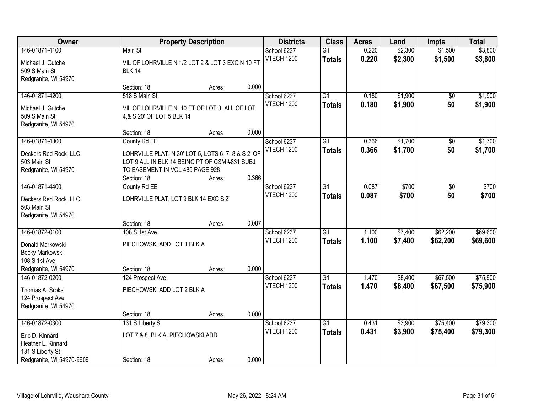| Owner                                                        |                                                                                                                                                        | <b>Property Description</b> |       | <b>Districts</b>                 | <b>Class</b>                     | <b>Acres</b>   | Land               | <b>Impts</b>         | <b>Total</b>         |
|--------------------------------------------------------------|--------------------------------------------------------------------------------------------------------------------------------------------------------|-----------------------------|-------|----------------------------------|----------------------------------|----------------|--------------------|----------------------|----------------------|
| 146-01871-4100                                               | Main St                                                                                                                                                |                             |       | School 6237                      | G1                               | 0.220          | \$2,300            | \$1,500              | \$3,800              |
| Michael J. Gutche<br>509 S Main St<br>Redgranite, WI 54970   | VIL OF LOHRVILLE N 1/2 LOT 2 & LOT 3 EXC N 10 FT<br><b>BLK 14</b>                                                                                      |                             |       | <b>VTECH 1200</b>                | <b>Totals</b>                    | 0.220          | \$2,300            | \$1,500              | \$3,800              |
|                                                              | Section: 18                                                                                                                                            | Acres:                      | 0.000 |                                  |                                  |                |                    |                      |                      |
| 146-01871-4200                                               | 518 S Main St                                                                                                                                          |                             |       | School 6237                      | $\overline{G1}$                  | 0.180          | \$1,900            | $\overline{50}$      | \$1,900              |
| Michael J. Gutche<br>509 S Main St<br>Redgranite, WI 54970   | VIL OF LOHRVILLE N. 10 FT OF LOT 3, ALL OF LOT<br>4,& S 20' OF LOT 5 BLK 14                                                                            |                             |       | <b>VTECH 1200</b>                | <b>Totals</b>                    | 0.180          | \$1,900            | \$0                  | \$1,900              |
|                                                              | Section: 18                                                                                                                                            | Acres:                      | 0.000 |                                  |                                  |                |                    |                      |                      |
| 146-01871-4300                                               | County Rd EE                                                                                                                                           |                             |       | School 6237                      | $\overline{G1}$                  | 0.366          | \$1,700            | \$0                  | \$1,700              |
| Deckers Red Rock, LLC<br>503 Main St<br>Redgranite, WI 54970 | LOHRVILLE PLAT, N 30' LOT 5, LOTS 6, 7, 8 & S 2' OF<br>LOT 9 ALL IN BLK 14 BEING PT OF CSM #831 SUBJ<br>TO EASEMENT IN VOL 485 PAGE 928<br>Section: 18 | Acres:                      | 0.366 | <b>VTECH 1200</b>                | <b>Totals</b>                    | 0.366          | \$1,700            | \$0                  | \$1,700              |
| 146-01871-4400                                               | County Rd EE                                                                                                                                           |                             |       | School 6237                      | $\overline{G1}$                  | 0.087          | \$700              | $\overline{50}$      | \$700                |
| Deckers Red Rock, LLC<br>503 Main St<br>Redgranite, WI 54970 | LOHRVILLE PLAT, LOT 9 BLK 14 EXC S 2'                                                                                                                  |                             |       | <b>VTECH 1200</b>                | <b>Totals</b>                    | 0.087          | \$700              | \$0                  | \$700                |
|                                                              | Section: 18                                                                                                                                            | Acres:                      | 0.087 |                                  |                                  |                |                    |                      |                      |
| 146-01872-0100<br>Donald Markowski                           | 108 S 1st Ave<br>PIECHOWSKI ADD LOT 1 BLK A                                                                                                            |                             |       | School 6237<br><b>VTECH 1200</b> | $\overline{G1}$<br><b>Totals</b> | 1.100<br>1.100 | \$7,400<br>\$7,400 | \$62,200<br>\$62,200 | \$69,600<br>\$69,600 |
| Becky Markowski<br>108 S 1st Ave                             |                                                                                                                                                        |                             |       |                                  |                                  |                |                    |                      |                      |
| Redgranite, WI 54970                                         | Section: 18                                                                                                                                            | Acres:                      | 0.000 |                                  |                                  |                |                    |                      |                      |
| 146-01872-0200                                               | 124 Prospect Ave                                                                                                                                       |                             |       | School 6237                      | $\overline{G1}$                  | 1.470          | \$8,400            | \$67,500             | \$75,900             |
| Thomas A. Sroka<br>124 Prospect Ave<br>Redgranite, WI 54970  | PIECHOWSKI ADD LOT 2 BLK A                                                                                                                             |                             |       | <b>VTECH 1200</b>                | <b>Totals</b>                    | 1.470          | \$8,400            | \$67,500             | \$75,900             |
|                                                              | Section: 18                                                                                                                                            | Acres:                      | 0.000 |                                  |                                  |                |                    |                      |                      |
| 146-01872-0300                                               | 131 S Liberty St                                                                                                                                       |                             |       | School 6237                      | $\overline{G1}$                  | 0.431          | \$3,900            | \$75,400             | \$79,300             |
| Eric D. Kinnard<br>Heather L. Kinnard<br>131 S Liberty St    | LOT 7 & 8, BLK A, PIECHOWSKI ADD                                                                                                                       |                             |       | <b>VTECH 1200</b>                | <b>Totals</b>                    | 0.431          | \$3,900            | \$75,400             | \$79,300             |
| Redgranite, WI 54970-9609                                    | Section: 18                                                                                                                                            | Acres:                      | 0.000 |                                  |                                  |                |                    |                      |                      |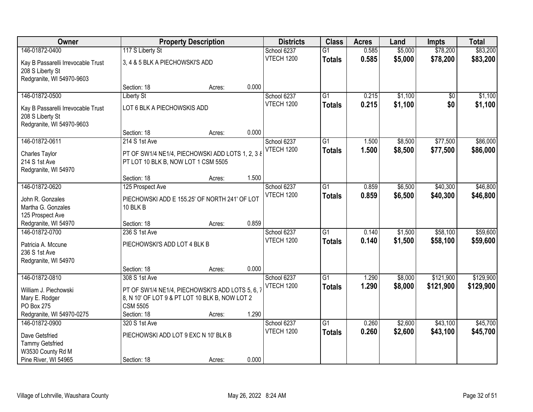| <b>Owner</b>                                                                        |                                                                                                                                      | <b>Property Description</b> |       | <b>Districts</b>  | <b>Class</b>    | <b>Acres</b> | Land    | <b>Impts</b>    | <b>Total</b> |
|-------------------------------------------------------------------------------------|--------------------------------------------------------------------------------------------------------------------------------------|-----------------------------|-------|-------------------|-----------------|--------------|---------|-----------------|--------------|
| 146-01872-0400                                                                      | 117 S Liberty St                                                                                                                     |                             |       | School 6237       | $\overline{G1}$ | 0.585        | \$5,000 | \$78,200        | \$83,200     |
| Kay B Passarelli Irrevocable Trust<br>208 S Liberty St<br>Redgranite, WI 54970-9603 | 3, 4 & 5 BLK A PIECHOWSKI'S ADD                                                                                                      |                             |       | <b>VTECH 1200</b> | <b>Totals</b>   | 0.585        | \$5,000 | \$78,200        | \$83,200     |
|                                                                                     | Section: 18                                                                                                                          | Acres:                      | 0.000 |                   |                 |              |         |                 |              |
| 146-01872-0500                                                                      | <b>Liberty St</b>                                                                                                                    |                             |       | School 6237       | $\overline{G1}$ | 0.215        | \$1,100 | $\overline{50}$ | \$1,100      |
| Kay B Passarelli Irrevocable Trust<br>208 S Liberty St<br>Redgranite, WI 54970-9603 | LOT 6 BLK A PIECHOWSKIS ADD                                                                                                          |                             |       | <b>VTECH 1200</b> | <b>Totals</b>   | 0.215        | \$1,100 | \$0             | \$1,100      |
|                                                                                     | Section: 18                                                                                                                          | Acres:                      | 0.000 |                   |                 |              |         |                 |              |
| 146-01872-0611                                                                      | 214 S 1st Ave                                                                                                                        |                             |       | School 6237       | G1              | 1.500        | \$8,500 | \$77,500        | \$86,000     |
| Charles Taylor<br>214 S 1st Ave<br>Redgranite, WI 54970                             | PT OF SW1/4 NE1/4, PIECHOWSKI ADD LOTS 1, 2, 3 8<br>PT LOT 10 BLK B, NOW LOT 1 CSM 5505                                              |                             |       | <b>VTECH 1200</b> | <b>Totals</b>   | 1.500        | \$8,500 | \$77,500        | \$86,000     |
|                                                                                     | Section: 18                                                                                                                          | Acres:                      | 1.500 |                   |                 |              |         |                 |              |
| 146-01872-0620                                                                      | 125 Prospect Ave                                                                                                                     |                             |       | School 6237       | G1              | 0.859        | \$6,500 | \$40,300        | \$46,800     |
| John R. Gonzales<br>Martha G. Gonzales<br>125 Prospect Ave                          | PIECHOWSKI ADD E 155.25' OF NORTH 241' OF LOT<br>10 BLK B                                                                            |                             |       | <b>VTECH 1200</b> | <b>Totals</b>   | 0.859        | \$6,500 | \$40,300        | \$46,800     |
| Redgranite, WI 54970                                                                | Section: 18                                                                                                                          | Acres:                      | 0.859 |                   |                 |              |         |                 |              |
| 146-01872-0700                                                                      | 236 S 1st Ave                                                                                                                        |                             |       | School 6237       | $\overline{G1}$ | 0.140        | \$1,500 | \$58,100        | \$59,600     |
| Patricia A. Mccune                                                                  | PIECHOWSKI'S ADD LOT 4 BLK B                                                                                                         |                             |       | <b>VTECH 1200</b> | <b>Totals</b>   | 0.140        | \$1,500 | \$58,100        | \$59,600     |
| 236 S 1st Ave                                                                       |                                                                                                                                      |                             |       |                   |                 |              |         |                 |              |
| Redgranite, WI 54970                                                                |                                                                                                                                      |                             |       |                   |                 |              |         |                 |              |
|                                                                                     | Section: 18                                                                                                                          | Acres:                      | 0.000 |                   |                 |              |         |                 |              |
| 146-01872-0810                                                                      | 308 S 1st Ave                                                                                                                        |                             |       | School 6237       | $\overline{G1}$ | 1.290        | \$8,000 | \$121,900       | \$129,900    |
| William J. Piechowski<br>Mary E. Rodger<br>PO Box 275<br>Redgranite, WI 54970-0275  | PT OF SW1/4 NE1/4, PIECHOWSKI'S ADD LOTS 5, 6, 7<br>8, N 10' OF LOT 9 & PT LOT 10 BLK B, NOW LOT 2<br><b>CSM 5505</b><br>Section: 18 | Acres:                      | 1.290 | <b>VTECH 1200</b> | <b>Totals</b>   | 1.290        | \$8,000 | \$121,900       | \$129,900    |
| 146-01872-0900                                                                      | 320 S 1st Ave                                                                                                                        |                             |       | School 6237       | $\overline{G1}$ | 0.260        | \$2,600 | \$43,100        | \$45,700     |
| Dave Getsfried<br><b>Tammy Getsfried</b><br>W3530 County Rd M                       | PIECHOWSKI ADD LOT 9 EXC N 10' BLK B                                                                                                 |                             |       | <b>VTECH 1200</b> | <b>Totals</b>   | 0.260        | \$2,600 | \$43,100        | \$45,700     |
| Pine River, WI 54965                                                                | Section: 18                                                                                                                          | Acres:                      | 0.000 |                   |                 |              |         |                 |              |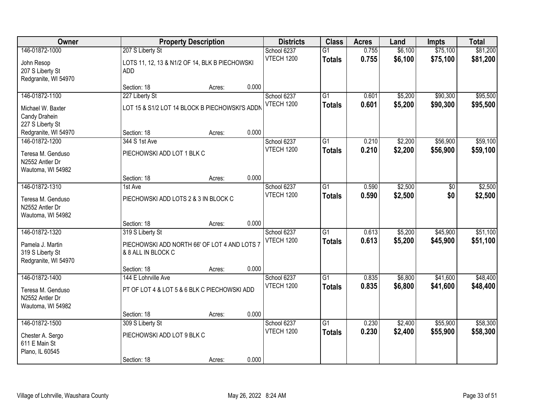| Owner                                                                          |                                                                                        | <b>Property Description</b> |       |                                  | <b>Class</b>                     | <b>Acres</b>   | Land               | <b>Impts</b>         | <b>Total</b>         |
|--------------------------------------------------------------------------------|----------------------------------------------------------------------------------------|-----------------------------|-------|----------------------------------|----------------------------------|----------------|--------------------|----------------------|----------------------|
| 146-01872-1000<br>John Resop<br>207 S Liberty St                               | 207 S Liberty St<br>LOTS 11, 12, 13 & N1/2 OF 14, BLK B PIECHOWSKI<br>ADD              |                             |       | School 6237<br>VTECH 1200        | $\overline{G1}$<br><b>Totals</b> | 0.755<br>0.755 | \$6,100<br>\$6,100 | \$75,100<br>\$75,100 | \$81,200<br>\$81,200 |
| Redgranite, WI 54970                                                           | Section: 18                                                                            | Acres:                      | 0.000 |                                  |                                  |                |                    |                      |                      |
| 146-01872-1100<br>Michael W. Baxter<br>Candy Drahein                           | 227 Liberty St<br>LOT 15 & S1/2 LOT 14 BLOCK B PIECHOWSKI'S ADDN                       |                             |       | School 6237<br><b>VTECH 1200</b> | $\overline{G1}$<br><b>Totals</b> | 0.601<br>0.601 | \$5,200<br>\$5,200 | \$90,300<br>\$90,300 | \$95,500<br>\$95,500 |
| 227 S Liberty St<br>Redgranite, WI 54970                                       | Section: 18                                                                            | Acres:                      | 0.000 |                                  |                                  |                |                    |                      |                      |
| 146-01872-1200<br>Teresa M. Genduso<br>N2552 Antler Dr<br>Wautoma, WI 54982    | 344 S 1st Ave<br>PIECHOWSKI ADD LOT 1 BLK C                                            |                             |       | School 6237<br><b>VTECH 1200</b> | $\overline{G1}$<br><b>Totals</b> | 0.210<br>0.210 | \$2,200<br>\$2,200 | \$56,900<br>\$56,900 | \$59,100<br>\$59,100 |
|                                                                                | Section: 18                                                                            | Acres:                      | 0.000 |                                  |                                  |                |                    |                      |                      |
| 146-01872-1310<br>Teresa M. Genduso<br>N2552 Antler Dr<br>Wautoma, WI 54982    | 1st Ave<br>PIECHOWSKI ADD LOTS 2 & 3 IN BLOCK C                                        |                             |       | School 6237<br><b>VTECH 1200</b> | G1<br><b>Totals</b>              | 0.590<br>0.590 | \$2,500<br>\$2,500 | \$0<br>\$0           | \$2,500<br>\$2,500   |
|                                                                                | Section: 18                                                                            | Acres:                      | 0.000 |                                  |                                  |                |                    |                      |                      |
| 146-01872-1320<br>Pamela J. Martin<br>319 S Liberty St<br>Redgranite, WI 54970 | 319 S Liberty St<br>PIECHOWSKI ADD NORTH 66' OF LOT 4 AND LOTS 7<br>& 8 ALL IN BLOCK C |                             |       | School 6237<br><b>VTECH 1200</b> | $\overline{G1}$<br><b>Totals</b> | 0.613<br>0.613 | \$5,200<br>\$5,200 | \$45,900<br>\$45,900 | \$51,100<br>\$51,100 |
| 146-01872-1400                                                                 | Section: 18<br>144 E Lohrville Ave                                                     | Acres:                      | 0.000 | School 6237                      | $\overline{G1}$                  | 0.835          | \$6,800            | \$41,600             | \$48,400             |
| Teresa M. Genduso<br>N2552 Antler Dr<br>Wautoma, WI 54982                      | PT OF LOT 4 & LOT 5 & 6 BLK C PIECHOWSKI ADD                                           |                             |       | <b>VTECH 1200</b>                | <b>Totals</b>                    | 0.835          | \$6,800            | \$41,600             | \$48,400             |
|                                                                                | Section: 18                                                                            | Acres:                      | 0.000 |                                  |                                  |                |                    |                      |                      |
| 146-01872-1500<br>Chester A. Sergo<br>611 E Main St<br>Plano, IL 60545         | 309 S Liberty St<br>PIECHOWSKI ADD LOT 9 BLK C<br>Section: 18                          | Acres:                      | 0.000 | School 6237<br><b>VTECH 1200</b> | $\overline{G1}$<br><b>Totals</b> | 0.230<br>0.230 | \$2,400<br>\$2,400 | \$55,900<br>\$55,900 | \$58,300<br>\$58,300 |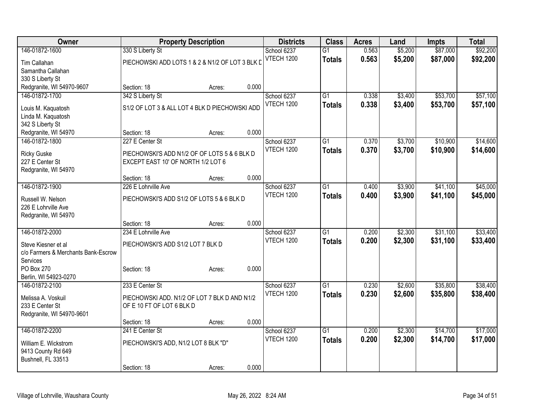| Owner                               |                                                 | <b>Property Description</b> |       | <b>Districts</b>  | <b>Class</b>    | <b>Acres</b> | Land    | Impts    | <b>Total</b> |
|-------------------------------------|-------------------------------------------------|-----------------------------|-------|-------------------|-----------------|--------------|---------|----------|--------------|
| 146-01872-1600                      | 330 S Liberty St                                |                             |       | School 6237       | $\overline{G1}$ | 0.563        | \$5,200 | \$87,000 | \$92,200     |
| Tim Callahan                        | PIECHOWSKI ADD LOTS 1 & 2 & N1/2 OF LOT 3 BLK D |                             |       | <b>VTECH 1200</b> | <b>Totals</b>   | 0.563        | \$5,200 | \$87,000 | \$92,200     |
| Samantha Callahan                   |                                                 |                             |       |                   |                 |              |         |          |              |
| 330 S Liberty St                    |                                                 |                             |       |                   |                 |              |         |          |              |
| Redgranite, WI 54970-9607           | Section: 18                                     | Acres:                      | 0.000 |                   |                 |              |         |          |              |
| 146-01872-1700                      | 342 S Liberty St                                |                             |       | School 6237       | $\overline{G1}$ | 0.338        | \$3,400 | \$53,700 | \$57,100     |
| Louis M. Kaquatosh                  | S1/2 OF LOT 3 & ALL LOT 4 BLK D PIECHOWSKI ADD  |                             |       | <b>VTECH 1200</b> | <b>Totals</b>   | 0.338        | \$3,400 | \$53,700 | \$57,100     |
| Linda M. Kaquatosh                  |                                                 |                             |       |                   |                 |              |         |          |              |
| 342 S Liberty St                    |                                                 |                             |       |                   |                 |              |         |          |              |
| Redgranite, WI 54970                | Section: 18                                     | Acres:                      | 0.000 |                   |                 |              |         |          |              |
| 146-01872-1800                      | 227 E Center St                                 |                             |       | School 6237       | G1              | 0.370        | \$3,700 | \$10,900 | \$14,600     |
| <b>Ricky Guske</b>                  | PIECHOWSKI'S ADD N1/2 OF OF LOTS 5 & 6 BLK D    |                             |       | <b>VTECH 1200</b> | <b>Totals</b>   | 0.370        | \$3,700 | \$10,900 | \$14,600     |
| 227 E Center St                     | EXCEPT EAST 10' OF NORTH 1/2 LOT 6              |                             |       |                   |                 |              |         |          |              |
| Redgranite, WI 54970                |                                                 |                             |       |                   |                 |              |         |          |              |
|                                     | Section: 18                                     | Acres:                      | 0.000 |                   |                 |              |         |          |              |
| 146-01872-1900                      | 226 E Lohrville Ave                             |                             |       | School 6237       | $\overline{G1}$ | 0.400        | \$3,900 | \$41,100 | \$45,000     |
| Russell W. Nelson                   | PIECHOWSKI'S ADD S1/2 OF LOTS 5 & 6 BLK D       |                             |       | VTECH 1200        | <b>Totals</b>   | 0.400        | \$3,900 | \$41,100 | \$45,000     |
| 226 E Lohrville Ave                 |                                                 |                             |       |                   |                 |              |         |          |              |
| Redgranite, WI 54970                |                                                 |                             |       |                   |                 |              |         |          |              |
|                                     | Section: 18                                     | Acres:                      | 0.000 |                   |                 |              |         |          |              |
| 146-01872-2000                      | 234 E Lohrville Ave                             |                             |       | School 6237       | $\overline{G1}$ | 0.200        | \$2,300 | \$31,100 | \$33,400     |
| Steve Kiesner et al                 | PIECHOWSKI'S ADD S1/2 LOT 7 BLK D               |                             |       | VTECH 1200        | <b>Totals</b>   | 0.200        | \$2,300 | \$31,100 | \$33,400     |
| c/o Farmers & Merchants Bank-Escrow |                                                 |                             |       |                   |                 |              |         |          |              |
| Services                            |                                                 |                             |       |                   |                 |              |         |          |              |
| PO Box 270                          | Section: 18                                     | Acres:                      | 0.000 |                   |                 |              |         |          |              |
| Berlin, WI 54923-0270               |                                                 |                             |       |                   |                 |              |         |          |              |
| 146-01872-2100                      | 233 E Center St                                 |                             |       | School 6237       | $\overline{G1}$ | 0.230        | \$2,600 | \$35,800 | \$38,400     |
| Melissa A. Voskuil                  | PIECHOWSKI ADD. N1/2 OF LOT 7 BLK D AND N1/2    |                             |       | <b>VTECH 1200</b> | <b>Totals</b>   | 0.230        | \$2,600 | \$35,800 | \$38,400     |
| 233 E Center St                     | OF E 10 FT OF LOT 6 BLK D                       |                             |       |                   |                 |              |         |          |              |
| Redgranite, WI 54970-9601           |                                                 |                             |       |                   |                 |              |         |          |              |
|                                     | Section: 18                                     | Acres:                      | 0.000 |                   |                 |              |         |          |              |
| 146-01872-2200                      | 241 E Center St                                 |                             |       | School 6237       | $\overline{G1}$ | 0.200        | \$2,300 | \$14,700 | \$17,000     |
| William E. Wickstrom                | PIECHOWSKI'S ADD, N1/2 LOT 8 BLK "D"            |                             |       | <b>VTECH 1200</b> | <b>Totals</b>   | 0.200        | \$2,300 | \$14,700 | \$17,000     |
| 9413 County Rd 649                  |                                                 |                             |       |                   |                 |              |         |          |              |
| Bushnell, FL 33513                  |                                                 |                             |       |                   |                 |              |         |          |              |
|                                     | Section: 18                                     | Acres:                      | 0.000 |                   |                 |              |         |          |              |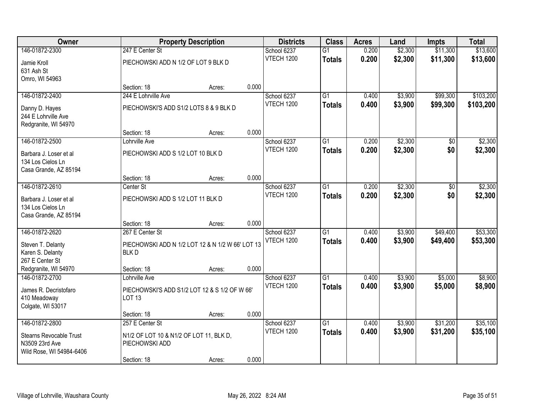| Owner                                       |                                                  | <b>Property Description</b> |       | <b>Districts</b>                 | <b>Class</b>    | <b>Acres</b>   | Land    | <b>Impts</b> | <b>Total</b> |
|---------------------------------------------|--------------------------------------------------|-----------------------------|-------|----------------------------------|-----------------|----------------|---------|--------------|--------------|
| 146-01872-2300                              | 247 E Center St                                  |                             |       | School 6237                      | $\overline{G1}$ | 0.200          | \$2,300 | \$11,300     | \$13,600     |
| Jamie Kroll                                 | PIECHOWSKI ADD N 1/2 OF LOT 9 BLK D              |                             |       | <b>VTECH 1200</b>                | <b>Totals</b>   | 0.200          | \$2,300 | \$11,300     | \$13,600     |
| 631 Ash St                                  |                                                  |                             |       |                                  |                 |                |         |              |              |
| Omro, WI 54963                              |                                                  |                             |       |                                  |                 |                |         |              |              |
|                                             | Section: 18                                      | Acres:                      | 0.000 |                                  |                 |                |         |              |              |
| 146-01872-2400                              | 244 E Lohrville Ave                              |                             |       | School 6237                      | $\overline{G1}$ | 0.400          | \$3,900 | \$99,300     | \$103,200    |
| Danny D. Hayes                              | PIECHOWSKI'S ADD S1/2 LOTS 8 & 9 BLK D           |                             |       | <b>VTECH 1200</b>                | <b>Totals</b>   | 0.400          | \$3,900 | \$99,300     | \$103,200    |
| 244 E Lohrville Ave                         |                                                  |                             |       |                                  |                 |                |         |              |              |
| Redgranite, WI 54970                        |                                                  |                             |       |                                  |                 |                |         |              |              |
| 146-01872-2500                              | Section: 18                                      | Acres:                      | 0.000 |                                  | $\overline{G1}$ |                | \$2,300 |              |              |
|                                             | Lohrville Ave                                    |                             |       | School 6237<br><b>VTECH 1200</b> |                 | 0.200<br>0.200 | \$2,300 | \$0<br>\$0   | \$2,300      |
| Barbara J. Loser et al                      | PIECHOWSKI ADD S 1/2 LOT 10 BLK D                |                             |       |                                  | <b>Totals</b>   |                |         |              | \$2,300      |
| 134 Los Cielos Ln                           |                                                  |                             |       |                                  |                 |                |         |              |              |
| Casa Grande, AZ 85194                       | Section: 18                                      | Acres:                      | 0.000 |                                  |                 |                |         |              |              |
| 146-01872-2610                              | Center St                                        |                             |       | School 6237                      | $\overline{G1}$ | 0.200          | \$2,300 | \$0          | \$2,300      |
|                                             |                                                  |                             |       | <b>VTECH 1200</b>                | <b>Totals</b>   | 0.200          | \$2,300 | \$0          | \$2,300      |
| Barbara J. Loser et al<br>134 Los Cielos Ln | PIECHOWSKI ADD S 1/2 LOT 11 BLK D                |                             |       |                                  |                 |                |         |              |              |
| Casa Grande, AZ 85194                       |                                                  |                             |       |                                  |                 |                |         |              |              |
|                                             | Section: 18                                      | Acres:                      | 0.000 |                                  |                 |                |         |              |              |
| 146-01872-2620                              | 267 E Center St                                  |                             |       | School 6237                      | $\overline{G1}$ | 0.400          | \$3,900 | \$49,400     | \$53,300     |
| Steven T. Delanty                           | PIECHOWSKI ADD N 1/2 LOT 12 & N 1/2 W 66' LOT 13 |                             |       | <b>VTECH 1200</b>                | <b>Totals</b>   | 0.400          | \$3,900 | \$49,400     | \$53,300     |
| Karen S. Delanty                            | <b>BLKD</b>                                      |                             |       |                                  |                 |                |         |              |              |
| 267 E Center St                             |                                                  |                             |       |                                  |                 |                |         |              |              |
| Redgranite, WI 54970                        | Section: 18                                      | Acres:                      | 0.000 |                                  |                 |                |         |              |              |
| 146-01872-2700                              | Lohrville Ave                                    |                             |       | School 6237                      | $\overline{G1}$ | 0.400          | \$3,900 | \$5,000      | \$8,900      |
| James R. Decristofaro                       | PIECHOWSKI'S ADD S1/2 LOT 12 & S 1/2 OF W 66'    |                             |       | <b>VTECH 1200</b>                | <b>Totals</b>   | 0.400          | \$3,900 | \$5,000      | \$8,900      |
| 410 Meadoway                                | <b>LOT 13</b>                                    |                             |       |                                  |                 |                |         |              |              |
| Colgate, WI 53017                           |                                                  |                             |       |                                  |                 |                |         |              |              |
|                                             | Section: 18                                      | Acres:                      | 0.000 |                                  |                 |                |         |              |              |
| 146-01872-2800                              | 257 E Center St                                  |                             |       | School 6237                      | $\overline{G1}$ | 0.400          | \$3,900 | \$31,200     | \$35,100     |
| <b>Stearns Revocable Trust</b>              | N1/2 OF LOT 10 & N1/2 OF LOT 11, BLK D,          |                             |       | <b>VTECH 1200</b>                | <b>Totals</b>   | 0.400          | \$3,900 | \$31,200     | \$35,100     |
| N3509 23rd Ave                              | PIECHOWSKI ADD                                   |                             |       |                                  |                 |                |         |              |              |
| Wild Rose, WI 54984-6406                    |                                                  |                             |       |                                  |                 |                |         |              |              |
|                                             | Section: 18                                      | Acres:                      | 0.000 |                                  |                 |                |         |              |              |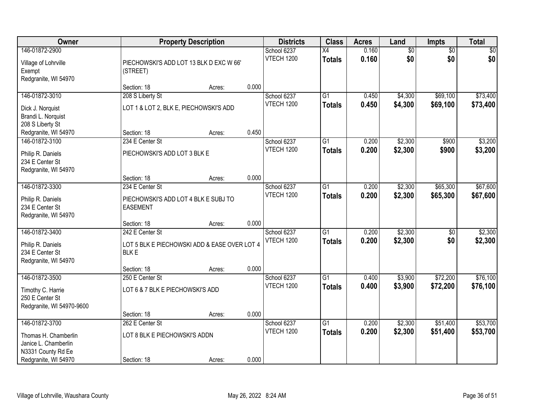| Owner                                                                    |                                                             | <b>Property Description</b> |       | <b>Districts</b>                 | <b>Class</b>                     | <b>Acres</b>   | Land                   | <b>Impts</b>           | <b>Total</b>           |
|--------------------------------------------------------------------------|-------------------------------------------------------------|-----------------------------|-------|----------------------------------|----------------------------------|----------------|------------------------|------------------------|------------------------|
| 146-01872-2900<br>Village of Lohrville<br>Exempt<br>Redgranite, WI 54970 | PIECHOWSKI'S ADD LOT 13 BLK D EXC W 66'<br>(STREET)         |                             |       | School 6237<br><b>VTECH 1200</b> | $\overline{X4}$<br><b>Totals</b> | 0.160<br>0.160 | $\overline{50}$<br>\$0 | $\overline{50}$<br>\$0 | $\overline{30}$<br>\$0 |
|                                                                          | Section: 18                                                 | Acres:                      | 0.000 |                                  |                                  |                |                        |                        |                        |
| 146-01872-3010                                                           | 208 S Liberty St<br>LOT 1 & LOT 2, BLK E, PIECHOWSKI'S ADD  |                             |       | School 6237<br>VTECH 1200        | G1<br><b>Totals</b>              | 0.450<br>0.450 | \$4,300<br>\$4,300     | \$69,100<br>\$69,100   | \$73,400<br>\$73,400   |
| Dick J. Norquist<br>Brandi L. Norquist<br>208 S Liberty St               |                                                             |                             |       |                                  |                                  |                |                        |                        |                        |
| Redgranite, WI 54970                                                     | Section: 18                                                 | Acres:                      | 0.450 |                                  |                                  |                |                        |                        |                        |
| 146-01872-3100                                                           | 234 E Center St                                             |                             |       | School 6237                      | $\overline{G1}$                  | 0.200          | \$2,300                | \$900                  | \$3,200                |
| Philip R. Daniels<br>234 E Center St<br>Redgranite, WI 54970             | PIECHOWSKI'S ADD LOT 3 BLK E                                |                             |       | <b>VTECH 1200</b>                | <b>Totals</b>                    | 0.200          | \$2,300                | \$900                  | \$3,200                |
|                                                                          | Section: 18                                                 | Acres:                      | 0.000 |                                  |                                  |                |                        |                        |                        |
| 146-01872-3300                                                           | 234 E Center St                                             |                             |       | School 6237                      | $\overline{G1}$                  | 0.200          | \$2,300                | \$65,300               | \$67,600               |
| Philip R. Daniels<br>234 E Center St<br>Redgranite, WI 54970             | PIECHOWSKI'S ADD LOT 4 BLK E SUBJ TO<br><b>EASEMENT</b>     |                             |       | <b>VTECH 1200</b>                | <b>Totals</b>                    | 0.200          | \$2,300                | \$65,300               | \$67,600               |
|                                                                          | Section: 18                                                 | Acres:                      | 0.000 |                                  |                                  |                |                        |                        |                        |
| 146-01872-3400                                                           | 242 E Center St                                             |                             |       | School 6237<br><b>VTECH 1200</b> | $\overline{G1}$<br><b>Totals</b> | 0.200<br>0.200 | \$2,300<br>\$2,300     | \$0<br>\$0             | \$2,300<br>\$2,300     |
| Philip R. Daniels<br>234 E Center St<br>Redgranite, WI 54970             | LOT 5 BLK E PIECHOWSKI ADD & EASE OVER LOT 4<br><b>BLKE</b> |                             |       |                                  |                                  |                |                        |                        |                        |
|                                                                          | Section: 18                                                 | Acres:                      | 0.000 |                                  |                                  |                |                        |                        |                        |
| 146-01872-3500                                                           | 250 E Center St                                             |                             |       | School 6237                      | $\overline{G1}$                  | 0.400          | \$3,900                | \$72,200               | \$76,100               |
| Timothy C. Harrie<br>250 E Center St<br>Redgranite, WI 54970-9600        | LOT 6 & 7 BLK E PIECHOWSKI'S ADD                            |                             |       | <b>VTECH 1200</b>                | <b>Totals</b>                    | 0.400          | \$3,900                | \$72,200               | \$76,100               |
|                                                                          | Section: 18                                                 | Acres:                      | 0.000 |                                  |                                  |                |                        |                        |                        |
| 146-01872-3700                                                           | 262 E Center St                                             |                             |       | School 6237                      | $\overline{G1}$                  | 0.200          | \$2,300                | \$51,400               | \$53,700               |
| Thomas H. Chamberlin<br>Janice L. Chamberlin                             | LOT 8 BLK E PIECHOWSKI'S ADDN                               |                             |       | <b>VTECH 1200</b>                | <b>Totals</b>                    | 0.200          | \$2,300                | \$51,400               | \$53,700               |
| N3331 County Rd Ee<br>Redgranite, WI 54970                               | Section: 18                                                 | Acres:                      | 0.000 |                                  |                                  |                |                        |                        |                        |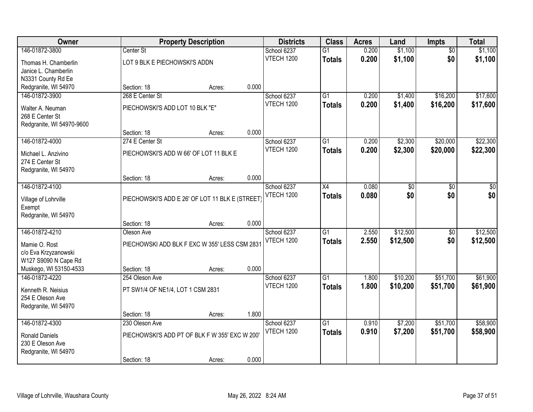| Owner                     |                                                | <b>Property Description</b> |       | <b>Districts</b>  | <b>Class</b>    | <b>Acres</b> | Land            | <b>Impts</b>    | <b>Total</b> |
|---------------------------|------------------------------------------------|-----------------------------|-------|-------------------|-----------------|--------------|-----------------|-----------------|--------------|
| 146-01872-3800            | Center St                                      |                             |       | School 6237       | $\overline{G1}$ | 0.200        | \$1,100         | $\overline{50}$ | \$1,100      |
| Thomas H. Chamberlin      | LOT 9 BLK E PIECHOWSKI'S ADDN                  |                             |       | VTECH 1200        | <b>Totals</b>   | 0.200        | \$1,100         | \$0             | \$1,100      |
| Janice L. Chamberlin      |                                                |                             |       |                   |                 |              |                 |                 |              |
| N3331 County Rd Ee        |                                                |                             |       |                   |                 |              |                 |                 |              |
| Redgranite, WI 54970      | Section: 18                                    | Acres:                      | 0.000 |                   |                 |              |                 |                 |              |
| 146-01872-3900            | 268 E Center St                                |                             |       | School 6237       | $\overline{G1}$ | 0.200        | \$1,400         | \$16,200        | \$17,600     |
| Walter A. Neuman          | PIECHOWSKI'S ADD LOT 10 BLK "E"                |                             |       | <b>VTECH 1200</b> | <b>Totals</b>   | 0.200        | \$1,400         | \$16,200        | \$17,600     |
| 268 E Center St           |                                                |                             |       |                   |                 |              |                 |                 |              |
| Redgranite, WI 54970-9600 |                                                |                             |       |                   |                 |              |                 |                 |              |
|                           | Section: 18                                    | Acres:                      | 0.000 |                   |                 |              |                 |                 |              |
| 146-01872-4000            | 274 E Center St                                |                             |       | School 6237       | $\overline{G1}$ | 0.200        | \$2,300         | \$20,000        | \$22,300     |
| Michael L. Anzivino       | PIECHOWSKI'S ADD W 66' OF LOT 11 BLK E         |                             |       | <b>VTECH 1200</b> | <b>Totals</b>   | 0.200        | \$2,300         | \$20,000        | \$22,300     |
| 274 E Center St           |                                                |                             |       |                   |                 |              |                 |                 |              |
| Redgranite, WI 54970      |                                                |                             |       |                   |                 |              |                 |                 |              |
|                           | Section: 18                                    | Acres:                      | 0.000 |                   |                 |              |                 |                 |              |
| 146-01872-4100            |                                                |                             |       | School 6237       | X4              | 0.080        | $\overline{50}$ | \$0             | \$0          |
| Village of Lohrville      | PIECHOWSKI'S ADD E 26' OF LOT 11 BLK E (STREET |                             |       | <b>VTECH 1200</b> | <b>Totals</b>   | 0.080        | \$0             | \$0             | \$0          |
| Exempt                    |                                                |                             |       |                   |                 |              |                 |                 |              |
| Redgranite, WI 54970      |                                                |                             |       |                   |                 |              |                 |                 |              |
|                           | Section: 18                                    | Acres:                      | 0.000 |                   |                 |              |                 |                 |              |
| 146-01872-4210            | Oleson Ave                                     |                             |       | School 6237       | $\overline{G1}$ | 2.550        | \$12,500        | \$0             | \$12,500     |
| Mamie O. Rost             | PIECHOWSKI ADD BLK F EXC W 355' LESS CSM 2831  |                             |       | <b>VTECH 1200</b> | <b>Totals</b>   | 2.550        | \$12,500        | \$0             | \$12,500     |
| c/o Eva Krzyzanowski      |                                                |                             |       |                   |                 |              |                 |                 |              |
| W127 S9090 N Cape Rd      |                                                |                             |       |                   |                 |              |                 |                 |              |
| Muskego, WI 53150-4533    | Section: 18                                    | Acres:                      | 0.000 |                   |                 |              |                 |                 |              |
| 146-01872-4220            | 254 Oleson Ave                                 |                             |       | School 6237       | $\overline{G1}$ | 1.800        | \$10,200        | \$51,700        | \$61,900     |
| Kenneth R. Neisius        | PT SW1/4 OF NE1/4, LOT 1 CSM 2831              |                             |       | VTECH 1200        | <b>Totals</b>   | 1.800        | \$10,200        | \$51,700        | \$61,900     |
| 254 E Oleson Ave          |                                                |                             |       |                   |                 |              |                 |                 |              |
| Redgranite, WI 54970      |                                                |                             |       |                   |                 |              |                 |                 |              |
|                           | Section: 18                                    | Acres:                      | 1.800 |                   |                 |              |                 |                 |              |
| 146-01872-4300            | 230 Oleson Ave                                 |                             |       | School 6237       | $\overline{G1}$ | 0.910        | \$7,200         | \$51,700        | \$58,900     |
| <b>Ronald Daniels</b>     | PIECHOWSKI'S ADD PT OF BLK F W 355' EXC W 200' |                             |       | <b>VTECH 1200</b> | <b>Totals</b>   | 0.910        | \$7,200         | \$51,700        | \$58,900     |
| 230 E Oleson Ave          |                                                |                             |       |                   |                 |              |                 |                 |              |
| Redgranite, WI 54970      |                                                |                             |       |                   |                 |              |                 |                 |              |
|                           | Section: 18                                    | Acres:                      | 0.000 |                   |                 |              |                 |                 |              |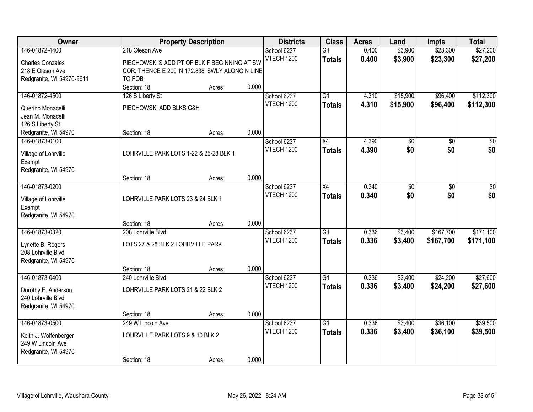| Owner                                                                                      |                                                                                                                             | <b>Property Description</b> |       | <b>Districts</b>                 | <b>Class</b>                     | <b>Acres</b>   | Land                   | <b>Impts</b>           | <b>Total</b>           |
|--------------------------------------------------------------------------------------------|-----------------------------------------------------------------------------------------------------------------------------|-----------------------------|-------|----------------------------------|----------------------------------|----------------|------------------------|------------------------|------------------------|
| 146-01872-4400<br><b>Charles Gonzales</b><br>218 E Oleson Ave<br>Redgranite, WI 54970-9611 | 218 Oleson Ave<br>PIECHOWSKI'S ADD PT OF BLK F BEGINNING AT SW<br>COR, THENCE E 200' N 172.838' SWLY ALONG N LINE<br>TO POB |                             |       | School 6237<br><b>VTECH 1200</b> | $\overline{G1}$<br><b>Totals</b> | 0.400<br>0.400 | \$3,900<br>\$3,900     | \$23,300<br>\$23,300   | \$27,200<br>\$27,200   |
|                                                                                            | Section: 18                                                                                                                 | Acres:                      | 0.000 |                                  |                                  |                |                        |                        |                        |
| 146-01872-4500<br>Querino Monacelli<br>Jean M. Monacelli<br>126 S Liberty St               | 126 S Liberty St<br>PIECHOWSKI ADD BLKS G&H                                                                                 |                             |       | School 6237<br>VTECH 1200        | $\overline{G1}$<br><b>Totals</b> | 4.310<br>4.310 | \$15,900<br>\$15,900   | \$96,400<br>\$96,400   | \$112,300<br>\$112,300 |
| Redgranite, WI 54970                                                                       | Section: 18                                                                                                                 | Acres:                      | 0.000 |                                  |                                  |                |                        |                        |                        |
| 146-01873-0100<br>Village of Lohrville<br>Exempt<br>Redgranite, WI 54970                   | LOHRVILLE PARK LOTS 1-22 & 25-28 BLK 1                                                                                      |                             |       | School 6237<br><b>VTECH 1200</b> | $\overline{X4}$<br><b>Totals</b> | 4.390<br>4.390 | \$0<br>\$0             | $\overline{50}$<br>\$0 | $\overline{50}$<br>\$0 |
|                                                                                            | Section: 18                                                                                                                 | Acres:                      | 0.000 |                                  |                                  |                |                        |                        |                        |
| 146-01873-0200<br>Village of Lohrville<br>Exempt<br>Redgranite, WI 54970                   | LOHRVILLE PARK LOTS 23 & 24 BLK 1                                                                                           |                             |       | School 6237<br><b>VTECH 1200</b> | $\overline{X4}$<br><b>Totals</b> | 0.340<br>0.340 | $\overline{50}$<br>\$0 | $\overline{30}$<br>\$0 | $\overline{50}$<br>\$0 |
|                                                                                            | Section: 18                                                                                                                 | Acres:                      | 0.000 |                                  |                                  |                |                        |                        |                        |
| 146-01873-0320<br>Lynette B. Rogers<br>208 Lohrville Blvd<br>Redgranite, WI 54970          | 208 Lohrville Blvd<br>LOTS 27 & 28 BLK 2 LOHRVILLE PARK<br>Section: 18                                                      | Acres:                      | 0.000 | School 6237<br>VTECH 1200        | $\overline{G1}$<br><b>Totals</b> | 0.336<br>0.336 | \$3,400<br>\$3,400     | \$167,700<br>\$167,700 | \$171,100<br>\$171,100 |
| 146-01873-0400                                                                             | 240 Lohrville Blvd                                                                                                          |                             |       | School 6237                      | $\overline{G1}$                  | 0.336          | \$3,400                | \$24,200               | \$27,600               |
| Dorothy E. Anderson<br>240 Lohrville Blvd<br>Redgranite, WI 54970                          | LOHRVILLE PARK LOTS 21 & 22 BLK 2                                                                                           |                             |       | <b>VTECH 1200</b>                | <b>Totals</b>                    | 0.336          | \$3,400                | \$24,200               | \$27,600               |
|                                                                                            | Section: 18                                                                                                                 | Acres:                      | 0.000 |                                  |                                  |                |                        |                        |                        |
| 146-01873-0500<br>Keith J. Wolfenberger<br>249 W Lincoln Ave<br>Redgranite, WI 54970       | 249 W Lincoln Ave<br>LOHRVILLE PARK LOTS 9 & 10 BLK 2<br>Section: 18                                                        | Acres:                      | 0.000 | School 6237<br>VTECH 1200        | $\overline{G1}$<br><b>Totals</b> | 0.336<br>0.336 | \$3,400<br>\$3,400     | \$36,100<br>\$36,100   | \$39,500<br>\$39,500   |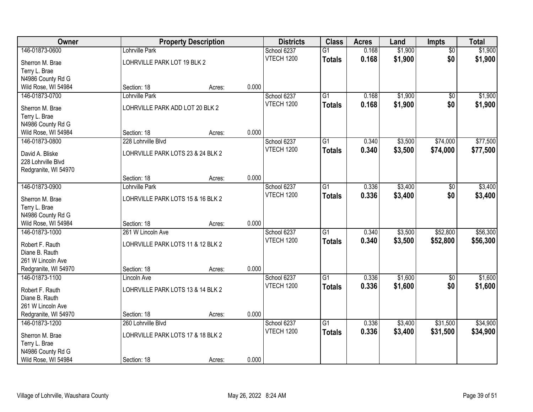| Owner                                  |                                   | <b>Property Description</b> |       | <b>Districts</b>  | <b>Class</b>    | <b>Acres</b> | Land    | <b>Impts</b>    | <b>Total</b> |
|----------------------------------------|-----------------------------------|-----------------------------|-------|-------------------|-----------------|--------------|---------|-----------------|--------------|
| 146-01873-0600                         | Lohrville Park                    |                             |       | School 6237       | $\overline{G1}$ | 0.168        | \$1,900 | $\overline{50}$ | \$1,900      |
| Sherron M. Brae                        | LOHRVILLE PARK LOT 19 BLK 2       |                             |       | <b>VTECH 1200</b> | <b>Totals</b>   | 0.168        | \$1,900 | \$0             | \$1,900      |
| Terry L. Brae                          |                                   |                             |       |                   |                 |              |         |                 |              |
| N4986 County Rd G                      |                                   |                             |       |                   |                 |              |         |                 |              |
| Wild Rose, WI 54984                    | Section: 18                       | Acres:                      | 0.000 |                   |                 |              |         |                 |              |
| 146-01873-0700                         | Lohrville Park                    |                             |       | School 6237       | $\overline{G1}$ | 0.168        | \$1,900 | $\overline{50}$ | \$1,900      |
| Sherron M. Brae                        | LOHRVILLE PARK ADD LOT 20 BLK 2   |                             |       | <b>VTECH 1200</b> | <b>Totals</b>   | 0.168        | \$1,900 | \$0             | \$1,900      |
| Terry L. Brae                          |                                   |                             |       |                   |                 |              |         |                 |              |
| N4986 County Rd G                      |                                   |                             |       |                   |                 |              |         |                 |              |
| Wild Rose, WI 54984                    | Section: 18                       | Acres:                      | 0.000 |                   |                 |              |         |                 |              |
| 146-01873-0800                         | 228 Lohrville Blvd                |                             |       | School 6237       | G1              | 0.340        | \$3,500 | \$74,000        | \$77,500     |
| David A. Bliske                        | LOHRVILLE PARK LOTS 23 & 24 BLK 2 |                             |       | <b>VTECH 1200</b> | <b>Totals</b>   | 0.340        | \$3,500 | \$74,000        | \$77,500     |
| 228 Lohrville Blvd                     |                                   |                             |       |                   |                 |              |         |                 |              |
| Redgranite, WI 54970                   |                                   |                             |       |                   |                 |              |         |                 |              |
|                                        | Section: 18                       | Acres:                      | 0.000 |                   |                 |              |         |                 |              |
| 146-01873-0900                         | <b>Lohrville Park</b>             |                             |       | School 6237       | G1              | 0.336        | \$3,400 | \$0             | \$3,400      |
|                                        |                                   |                             |       | <b>VTECH 1200</b> | <b>Totals</b>   | 0.336        | \$3,400 | \$0             | \$3,400      |
| Sherron M. Brae<br>Terry L. Brae       | LOHRVILLE PARK LOTS 15 & 16 BLK 2 |                             |       |                   |                 |              |         |                 |              |
| N4986 County Rd G                      |                                   |                             |       |                   |                 |              |         |                 |              |
| Wild Rose, WI 54984                    | Section: 18                       | Acres:                      | 0.000 |                   |                 |              |         |                 |              |
| 146-01873-1000                         | 261 W Lincoln Ave                 |                             |       | School 6237       | $\overline{G1}$ | 0.340        | \$3,500 | \$52,800        | \$56,300     |
|                                        |                                   |                             |       | <b>VTECH 1200</b> | Totals          | 0.340        | \$3,500 | \$52,800        | \$56,300     |
| Robert F. Rauth                        | LOHRVILLE PARK LOTS 11 & 12 BLK 2 |                             |       |                   |                 |              |         |                 |              |
| Diane B. Rauth                         |                                   |                             |       |                   |                 |              |         |                 |              |
| 261 W Lincoln Ave                      | Section: 18                       |                             | 0.000 |                   |                 |              |         |                 |              |
| Redgranite, WI 54970<br>146-01873-1100 | <b>Lincoln Ave</b>                | Acres:                      |       | School 6237       | $\overline{G1}$ | 0.336        | \$1,600 | $\overline{60}$ | \$1,600      |
|                                        |                                   |                             |       | <b>VTECH 1200</b> | <b>Totals</b>   | 0.336        | \$1,600 | \$0             | \$1,600      |
| Robert F. Rauth                        | LOHRVILLE PARK LOTS 13 & 14 BLK 2 |                             |       |                   |                 |              |         |                 |              |
| Diane B. Rauth                         |                                   |                             |       |                   |                 |              |         |                 |              |
| 261 W Lincoln Ave                      |                                   |                             |       |                   |                 |              |         |                 |              |
| Redgranite, WI 54970                   | Section: 18                       | Acres:                      | 0.000 |                   |                 |              |         |                 |              |
| 146-01873-1200                         | 260 Lohrville Blvd                |                             |       | School 6237       | $\overline{G1}$ | 0.336        | \$3,400 | \$31,500        | \$34,900     |
| Sherron M. Brae                        | LOHRVILLE PARK LOTS 17 & 18 BLK 2 |                             |       | <b>VTECH 1200</b> | <b>Totals</b>   | 0.336        | \$3,400 | \$31,500        | \$34,900     |
| Terry L. Brae                          |                                   |                             |       |                   |                 |              |         |                 |              |
| N4986 County Rd G                      |                                   |                             |       |                   |                 |              |         |                 |              |
| Wild Rose, WI 54984                    | Section: 18                       | Acres:                      | 0.000 |                   |                 |              |         |                 |              |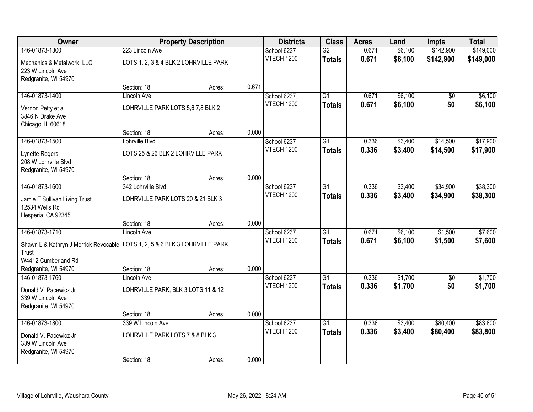| Owner                                                                                           |                                                          | <b>Property Description</b> |       | <b>Districts</b>                 | <b>Class</b>                     | <b>Acres</b>   | Land               | <b>Impts</b>       | <b>Total</b>       |
|-------------------------------------------------------------------------------------------------|----------------------------------------------------------|-----------------------------|-------|----------------------------------|----------------------------------|----------------|--------------------|--------------------|--------------------|
| 146-01873-1300                                                                                  | 223 Lincoln Ave                                          |                             |       | School 6237                      | $\overline{G2}$                  | 0.671          | \$6,100            | \$142,900          | \$149,000          |
| Mechanics & Metalwork, LLC<br>223 W Lincoln Ave<br>Redgranite, WI 54970                         | LOTS 1, 2, 3 & 4 BLK 2 LOHRVILLE PARK                    |                             |       | <b>VTECH 1200</b>                | <b>Totals</b>                    | 0.671          | \$6,100            | \$142,900          | \$149,000          |
|                                                                                                 | Section: 18                                              | Acres:                      | 0.671 |                                  |                                  |                |                    |                    |                    |
| 146-01873-1400                                                                                  | Lincoln Ave                                              |                             |       | School 6237                      | $\overline{G1}$                  | 0.671          | \$6,100            | \$0                | \$6,100            |
| Vernon Petty et al<br>3846 N Drake Ave<br>Chicago, IL 60618                                     | LOHRVILLE PARK LOTS 5,6,7,8 BLK 2                        |                             |       | <b>VTECH 1200</b>                | <b>Totals</b>                    | 0.671          | \$6,100            | \$0                | \$6,100            |
|                                                                                                 | Section: 18                                              | Acres:                      | 0.000 |                                  |                                  |                |                    |                    |                    |
| 146-01873-1500                                                                                  | Lohrville Blvd                                           |                             |       | School 6237                      | $\overline{G1}$                  | 0.336          | \$3,400            | \$14,500           | \$17,900           |
| Lynette Rogers<br>208 W Lohrville Blvd<br>Redgranite, WI 54970                                  | LOTS 25 & 26 BLK 2 LOHRVILLE PARK                        |                             |       | <b>VTECH 1200</b>                | <b>Totals</b>                    | 0.336          | \$3,400            | \$14,500           | \$17,900           |
|                                                                                                 | Section: 18                                              | Acres:                      | 0.000 |                                  |                                  |                |                    |                    |                    |
| 146-01873-1600                                                                                  | 342 Lohrville Blvd                                       |                             |       | School 6237                      | $\overline{G1}$                  | 0.336          | \$3,400            | \$34,900           | \$38,300           |
| Jamie E Sullivan Living Trust<br>12534 Wells Rd<br>Hesperia, CA 92345                           | LOHRVILLE PARK LOTS 20 & 21 BLK 3                        |                             |       | VTECH 1200                       | <b>Totals</b>                    | 0.336          | \$3,400            | \$34,900           | \$38,300           |
|                                                                                                 | Section: 18                                              | Acres:                      | 0.000 |                                  |                                  |                |                    |                    |                    |
| 146-01873-1710<br>Shawn L & Kathryn J Merrick Revocable   LOTS 1, 2, 5 & 6 BLK 3 LOHRVILLE PARK | <b>Lincoln Ave</b>                                       |                             |       | School 6237<br><b>VTECH 1200</b> | $\overline{G1}$<br><b>Totals</b> | 0.671<br>0.671 | \$6,100<br>\$6,100 | \$1,500<br>\$1,500 | \$7,600<br>\$7,600 |
| Trust                                                                                           |                                                          |                             |       |                                  |                                  |                |                    |                    |                    |
| W4412 Cumberland Rd                                                                             |                                                          |                             |       |                                  |                                  |                |                    |                    |                    |
| Redgranite, WI 54970                                                                            | Section: 18                                              | Acres:                      | 0.000 |                                  |                                  |                |                    |                    |                    |
| 146-01873-1760<br>Donald V. Pacewicz Jr                                                         | <b>Lincoln Ave</b><br>LOHRVILLE PARK, BLK 3 LOTS 11 & 12 |                             |       | School 6237<br><b>VTECH 1200</b> | $\overline{G1}$<br><b>Totals</b> | 0.336<br>0.336 | \$1,700<br>\$1,700 | $\sqrt{6}$<br>\$0  | \$1,700<br>\$1,700 |
| 339 W Lincoln Ave<br>Redgranite, WI 54970                                                       |                                                          |                             |       |                                  |                                  |                |                    |                    |                    |
|                                                                                                 | Section: 18                                              | Acres:                      | 0.000 |                                  |                                  |                |                    |                    |                    |
| 146-01873-1800                                                                                  | 339 W Lincoln Ave                                        |                             |       | School 6237                      | $\overline{G1}$                  | 0.336          | \$3,400            | \$80,400           | \$83,800           |
| Donald V. Pacewicz Jr<br>339 W Lincoln Ave                                                      | LOHRVILLE PARK LOTS 7 & 8 BLK 3                          |                             |       | VTECH 1200                       | <b>Totals</b>                    | 0.336          | \$3,400            | \$80,400           | \$83,800           |
| Redgranite, WI 54970                                                                            | Section: 18                                              | Acres:                      | 0.000 |                                  |                                  |                |                    |                    |                    |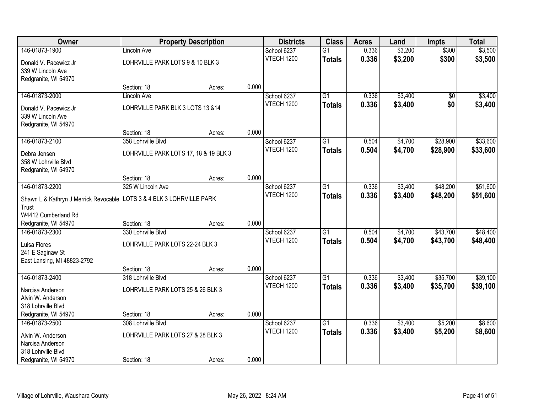| Owner                                                                   |                                       | <b>Property Description</b> |       | <b>Districts</b>  | <b>Class</b>    | <b>Acres</b> | Land    | <b>Impts</b>    | <b>Total</b> |
|-------------------------------------------------------------------------|---------------------------------------|-----------------------------|-------|-------------------|-----------------|--------------|---------|-----------------|--------------|
| 146-01873-1900                                                          | <b>Lincoln Ave</b>                    |                             |       | School 6237       | $\overline{G1}$ | 0.336        | \$3,200 | \$300           | \$3,500      |
| Donald V. Pacewicz Jr                                                   | LOHRVILLE PARK LOTS 9 & 10 BLK 3      |                             |       | <b>VTECH 1200</b> | <b>Totals</b>   | 0.336        | \$3,200 | \$300           | \$3,500      |
| 339 W Lincoln Ave                                                       |                                       |                             |       |                   |                 |              |         |                 |              |
| Redgranite, WI 54970                                                    |                                       |                             |       |                   |                 |              |         |                 |              |
|                                                                         | Section: 18                           | Acres:                      | 0.000 |                   |                 |              |         |                 |              |
| 146-01873-2000                                                          | <b>Lincoln Ave</b>                    |                             |       | School 6237       | $\overline{G1}$ | 0.336        | \$3,400 | $\overline{50}$ | \$3,400      |
| Donald V. Pacewicz Jr                                                   | LOHRVILLE PARK BLK 3 LOTS 13 &14      |                             |       | <b>VTECH 1200</b> | <b>Totals</b>   | 0.336        | \$3,400 | \$0             | \$3,400      |
| 339 W Lincoln Ave                                                       |                                       |                             |       |                   |                 |              |         |                 |              |
| Redgranite, WI 54970                                                    |                                       |                             |       |                   |                 |              |         |                 |              |
|                                                                         | Section: 18                           | Acres:                      | 0.000 |                   |                 |              |         |                 |              |
| 146-01873-2100                                                          | 358 Lohrville Blvd                    |                             |       | School 6237       | $\overline{G1}$ | 0.504        | \$4,700 | \$28,900        | \$33,600     |
| Debra Jensen                                                            | LOHRVILLE PARK LOTS 17, 18 & 19 BLK 3 |                             |       | <b>VTECH 1200</b> | <b>Totals</b>   | 0.504        | \$4,700 | \$28,900        | \$33,600     |
| 358 W Lohrville Blvd                                                    |                                       |                             |       |                   |                 |              |         |                 |              |
| Redgranite, WI 54970                                                    |                                       |                             |       |                   |                 |              |         |                 |              |
|                                                                         | Section: 18                           | Acres:                      | 0.000 |                   |                 |              |         |                 |              |
| 146-01873-2200                                                          | 325 W Lincoln Ave                     |                             |       | School 6237       | $\overline{G1}$ | 0.336        | \$3,400 | \$48,200        | \$51,600     |
| Shawn L & Kathryn J Merrick Revocable   LOTS 3 & 4 BLK 3 LOHRVILLE PARK |                                       |                             |       | <b>VTECH 1200</b> | <b>Totals</b>   | 0.336        | \$3,400 | \$48,200        | \$51,600     |
| Trust                                                                   |                                       |                             |       |                   |                 |              |         |                 |              |
| W4412 Cumberland Rd                                                     |                                       |                             |       |                   |                 |              |         |                 |              |
| Redgranite, WI 54970                                                    | Section: 18                           | Acres:                      | 0.000 |                   |                 |              |         |                 |              |
| 146-01873-2300                                                          | 330 Lohrville Blvd                    |                             |       | School 6237       | $\overline{G1}$ | 0.504        | \$4,700 | \$43,700        | \$48,400     |
| Luisa Flores                                                            | LOHRVILLE PARK LOTS 22-24 BLK 3       |                             |       | <b>VTECH 1200</b> | <b>Totals</b>   | 0.504        | \$4,700 | \$43,700        | \$48,400     |
| 241 E Saginaw St                                                        |                                       |                             |       |                   |                 |              |         |                 |              |
| East Lansing, MI 48823-2792                                             |                                       |                             |       |                   |                 |              |         |                 |              |
|                                                                         | Section: 18                           | Acres:                      | 0.000 |                   |                 |              |         |                 |              |
| 146-01873-2400                                                          | 318 Lohrville Blvd                    |                             |       | School 6237       | $\overline{G1}$ | 0.336        | \$3,400 | \$35,700        | \$39,100     |
| Narcisa Anderson                                                        | LOHRVILLE PARK LOTS 25 & 26 BLK 3     |                             |       | <b>VTECH 1200</b> | <b>Totals</b>   | 0.336        | \$3,400 | \$35,700        | \$39,100     |
| Alvin W. Anderson                                                       |                                       |                             |       |                   |                 |              |         |                 |              |
| 318 Lohrville Blvd                                                      |                                       |                             |       |                   |                 |              |         |                 |              |
| Redgranite, WI 54970                                                    | Section: 18                           | Acres:                      | 0.000 |                   |                 |              |         |                 |              |
| 146-01873-2500                                                          | 308 Lohrville Blvd                    |                             |       | School 6237       | $\overline{G1}$ | 0.336        | \$3,400 | \$5,200         | \$8,600      |
| Alvin W. Anderson                                                       | LOHRVILLE PARK LOTS 27 & 28 BLK 3     |                             |       | <b>VTECH 1200</b> | <b>Totals</b>   | 0.336        | \$3,400 | \$5,200         | \$8,600      |
| Narcisa Anderson                                                        |                                       |                             |       |                   |                 |              |         |                 |              |
| 318 Lohrville Blvd                                                      |                                       |                             |       |                   |                 |              |         |                 |              |
| Redgranite, WI 54970                                                    | Section: 18                           | Acres:                      | 0.000 |                   |                 |              |         |                 |              |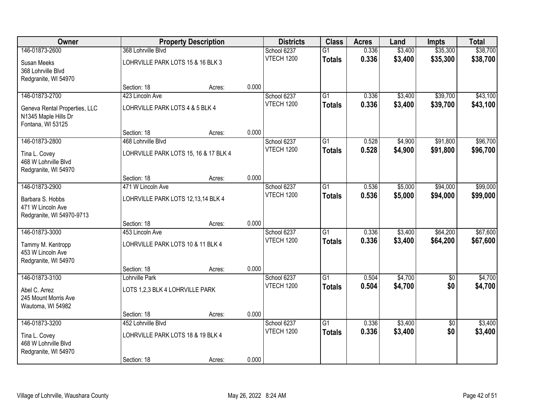| Owner                                     |                                       | <b>Property Description</b> |       | <b>Districts</b>                 | <b>Class</b>    | <b>Acres</b> | Land    | <b>Impts</b>    | <b>Total</b> |
|-------------------------------------------|---------------------------------------|-----------------------------|-------|----------------------------------|-----------------|--------------|---------|-----------------|--------------|
| 146-01873-2600                            | 368 Lohrville Blvd                    |                             |       | School 6237                      | $\overline{G1}$ | 0.336        | \$3,400 | \$35,300        | \$38,700     |
| Susan Meeks                               | LOHRVILLE PARK LOTS 15 & 16 BLK 3     |                             |       | <b>VTECH 1200</b>                | <b>Totals</b>   | 0.336        | \$3,400 | \$35,300        | \$38,700     |
| 368 Lohrville Blvd                        |                                       |                             |       |                                  |                 |              |         |                 |              |
| Redgranite, WI 54970                      |                                       |                             |       |                                  |                 |              |         |                 |              |
|                                           | Section: 18                           | Acres:                      | 0.000 |                                  |                 |              |         |                 |              |
| 146-01873-2700                            | 423 Lincoln Ave                       |                             |       | School 6237<br><b>VTECH 1200</b> | $\overline{G1}$ | 0.336        | \$3,400 | \$39,700        | \$43,100     |
| Geneva Rental Properties, LLC             | LOHRVILLE PARK LOTS 4 & 5 BLK 4       |                             |       |                                  | <b>Totals</b>   | 0.336        | \$3,400 | \$39,700        | \$43,100     |
| N1345 Maple Hills Dr<br>Fontana, WI 53125 |                                       |                             |       |                                  |                 |              |         |                 |              |
|                                           | Section: 18                           | Acres:                      | 0.000 |                                  |                 |              |         |                 |              |
| 146-01873-2800                            | 468 Lohrville Blvd                    |                             |       | School 6237                      | $\overline{G1}$ | 0.528        | \$4,900 | \$91,800        | \$96,700     |
| Tina L. Covey                             | LOHRVILLE PARK LOTS 15, 16 & 17 BLK 4 |                             |       | <b>VTECH 1200</b>                | <b>Totals</b>   | 0.528        | \$4,900 | \$91,800        | \$96,700     |
| 468 W Lohrville Blvd                      |                                       |                             |       |                                  |                 |              |         |                 |              |
| Redgranite, WI 54970                      |                                       |                             |       |                                  |                 |              |         |                 |              |
|                                           | Section: 18                           | Acres:                      | 0.000 |                                  |                 |              |         |                 |              |
| 146-01873-2900                            | 471 W Lincoln Ave                     |                             |       | School 6237                      | G1              | 0.536        | \$5,000 | \$94,000        | \$99,000     |
| Barbara S. Hobbs                          | LOHRVILLE PARK LOTS 12,13,14 BLK 4    |                             |       | <b>VTECH 1200</b>                | <b>Totals</b>   | 0.536        | \$5,000 | \$94,000        | \$99,000     |
| 471 W Lincoln Ave                         |                                       |                             |       |                                  |                 |              |         |                 |              |
| Redgranite, WI 54970-9713                 |                                       |                             | 0.000 |                                  |                 |              |         |                 |              |
| 146-01873-3000                            | Section: 18<br>453 Lincoln Ave        | Acres:                      |       | School 6237                      | $\overline{G1}$ | 0.336        | \$3,400 | \$64,200        | \$67,600     |
|                                           |                                       |                             |       | <b>VTECH 1200</b>                | <b>Totals</b>   | 0.336        | \$3,400 | \$64,200        | \$67,600     |
| Tammy M. Kentropp                         | LOHRVILLE PARK LOTS 10 & 11 BLK 4     |                             |       |                                  |                 |              |         |                 |              |
| 453 W Lincoln Ave<br>Redgranite, WI 54970 |                                       |                             |       |                                  |                 |              |         |                 |              |
|                                           | Section: 18                           | Acres:                      | 0.000 |                                  |                 |              |         |                 |              |
| 146-01873-3100                            | Lohrville Park                        |                             |       | School 6237                      | $\overline{G1}$ | 0.504        | \$4,700 | \$0             | \$4,700      |
| Abel C. Arrez                             | LOTS 1,2,3 BLK 4 LOHRVILLE PARK       |                             |       | <b>VTECH 1200</b>                | <b>Totals</b>   | 0.504        | \$4,700 | \$0             | \$4,700      |
| 245 Mount Morris Ave                      |                                       |                             |       |                                  |                 |              |         |                 |              |
| Wautoma, WI 54982                         |                                       |                             |       |                                  |                 |              |         |                 |              |
|                                           | Section: 18                           | Acres:                      | 0.000 |                                  |                 |              |         |                 |              |
| 146-01873-3200                            | 452 Lohrville Blvd                    |                             |       | School 6237                      | $\overline{G1}$ | 0.336        | \$3,400 | $\overline{50}$ | \$3,400      |
| Tina L. Covey                             | LOHRVILLE PARK LOTS 18 & 19 BLK 4     |                             |       | <b>VTECH 1200</b>                | <b>Totals</b>   | 0.336        | \$3,400 | \$0             | \$3,400      |
| 468 W Lohrville Blvd                      |                                       |                             |       |                                  |                 |              |         |                 |              |
| Redgranite, WI 54970                      | Section: 18                           |                             | 0.000 |                                  |                 |              |         |                 |              |
|                                           |                                       | Acres:                      |       |                                  |                 |              |         |                 |              |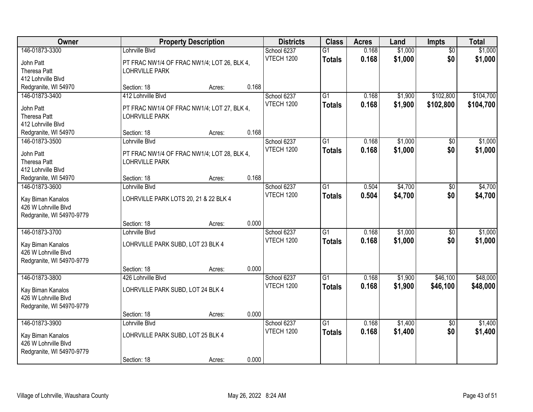| <b>Owner</b>                                                                             |                                                                                            | <b>Property Description</b> |       | <b>Districts</b>                 | <b>Class</b>                     | <b>Acres</b>   | Land               | Impts                  | <b>Total</b>           |
|------------------------------------------------------------------------------------------|--------------------------------------------------------------------------------------------|-----------------------------|-------|----------------------------------|----------------------------------|----------------|--------------------|------------------------|------------------------|
| 146-01873-3300<br>John Patt<br><b>Theresa Patt</b><br>412 Lohrville Blvd                 | Lohrville Blvd<br>PT FRAC NW1/4 OF FRAC NW1/4; LOT 26, BLK 4,<br><b>LOHRVILLE PARK</b>     |                             |       | School 6237<br>VTECH 1200        | $\overline{G1}$<br><b>Totals</b> | 0.168<br>0.168 | \$1,000<br>\$1,000 | $\overline{50}$<br>\$0 | \$1,000<br>\$1,000     |
| Redgranite, WI 54970                                                                     | Section: 18                                                                                | Acres:                      | 0.168 |                                  |                                  |                |                    |                        |                        |
| 146-01873-3400<br>John Patt<br><b>Theresa Patt</b><br>412 Lohrville Blvd                 | 412 Lohrville Blvd<br>PT FRAC NW1/4 OF FRAC NW1/4; LOT 27, BLK 4,<br><b>LOHRVILLE PARK</b> |                             |       | School 6237<br><b>VTECH 1200</b> | $\overline{G1}$<br><b>Totals</b> | 0.168<br>0.168 | \$1,900<br>\$1,900 | \$102,800<br>\$102,800 | \$104,700<br>\$104,700 |
| Redgranite, WI 54970                                                                     | Section: 18                                                                                | Acres:                      | 0.168 |                                  |                                  |                |                    |                        |                        |
| 146-01873-3500<br>John Patt<br><b>Theresa Patt</b><br>412 Lohrville Blvd                 | Lohrville Blvd<br>PT FRAC NW1/4 OF FRAC NW1/4; LOT 28, BLK 4,<br><b>LOHRVILLE PARK</b>     |                             |       | School 6237<br><b>VTECH 1200</b> | $\overline{G1}$<br><b>Totals</b> | 0.168<br>0.168 | \$1,000<br>\$1,000 | \$0<br>\$0             | \$1,000<br>\$1,000     |
| Redgranite, WI 54970                                                                     | Section: 18                                                                                | Acres:                      | 0.168 |                                  |                                  |                |                    |                        |                        |
| 146-01873-3600<br>Kay Biman Kanalos<br>426 W Lohrville Blvd<br>Redgranite, WI 54970-9779 | Lohrville Blvd<br>LOHRVILLE PARK LOTS 20, 21 & 22 BLK 4                                    |                             |       | School 6237<br><b>VTECH 1200</b> | $\overline{G1}$<br><b>Totals</b> | 0.504<br>0.504 | \$4,700<br>\$4,700 | \$0<br>\$0             | \$4,700<br>\$4,700     |
|                                                                                          | Section: 18                                                                                | Acres:                      | 0.000 |                                  |                                  |                |                    |                        |                        |
| 146-01873-3700<br>Kay Biman Kanalos<br>426 W Lohrville Blvd<br>Redgranite, WI 54970-9779 | Lohrville Blvd<br>LOHRVILLE PARK SUBD, LOT 23 BLK 4<br>Section: 18                         | Acres:                      | 0.000 | School 6237<br>VTECH 1200        | $\overline{G1}$<br><b>Totals</b> | 0.168<br>0.168 | \$1,000<br>\$1,000 | $\overline{50}$<br>\$0 | \$1,000<br>\$1,000     |
| 146-01873-3800<br>Kay Biman Kanalos<br>426 W Lohrville Blvd<br>Redgranite, WI 54970-9779 | 426 Lohrville Blvd<br>LOHRVILLE PARK SUBD, LOT 24 BLK 4                                    |                             |       | School 6237<br><b>VTECH 1200</b> | $\overline{G1}$<br><b>Totals</b> | 0.168<br>0.168 | \$1,900<br>\$1,900 | \$46,100<br>\$46,100   | \$48,000<br>\$48,000   |
|                                                                                          | Section: 18                                                                                | Acres:                      | 0.000 |                                  |                                  |                |                    |                        |                        |
| 146-01873-3900<br>Kay Biman Kanalos<br>426 W Lohrville Blvd<br>Redgranite, WI 54970-9779 | Lohrville Blvd<br>LOHRVILLE PARK SUBD, LOT 25 BLK 4<br>Section: 18                         | Acres:                      | 0.000 | School 6237<br>VTECH 1200        | $\overline{G1}$<br><b>Totals</b> | 0.168<br>0.168 | \$1,400<br>\$1,400 | $\overline{50}$<br>\$0 | \$1,400<br>\$1,400     |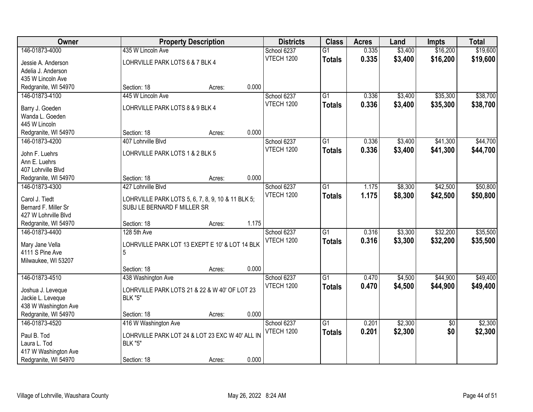| Owner                                        |                                                                                  | <b>Property Description</b> |       | <b>Districts</b>  | <b>Class</b>    | <b>Acres</b> | Land    | <b>Impts</b>    | <b>Total</b> |
|----------------------------------------------|----------------------------------------------------------------------------------|-----------------------------|-------|-------------------|-----------------|--------------|---------|-----------------|--------------|
| 146-01873-4000                               | 435 W Lincoln Ave                                                                |                             |       | School 6237       | $\overline{G1}$ | 0.335        | \$3,400 | \$16,200        | \$19,600     |
| Jessie A. Anderson                           | LOHRVILLE PARK LOTS 6 & 7 BLK 4                                                  |                             |       | <b>VTECH 1200</b> | <b>Totals</b>   | 0.335        | \$3,400 | \$16,200        | \$19,600     |
| Adelia J. Anderson                           |                                                                                  |                             |       |                   |                 |              |         |                 |              |
| 435 W Lincoln Ave                            |                                                                                  |                             |       |                   |                 |              |         |                 |              |
| Redgranite, WI 54970                         | Section: 18                                                                      | Acres:                      | 0.000 |                   |                 |              |         |                 |              |
| 146-01873-4100                               | 445 W Lincoln Ave                                                                |                             |       | School 6237       | $\overline{G1}$ | 0.336        | \$3,400 | \$35,300        | \$38,700     |
|                                              |                                                                                  |                             |       | <b>VTECH 1200</b> | <b>Totals</b>   | 0.336        | \$3,400 | \$35,300        | \$38,700     |
| Barry J. Goeden                              | LOHRVILLE PARK LOTS 8 & 9 BLK 4                                                  |                             |       |                   |                 |              |         |                 |              |
| Wanda L. Goeden                              |                                                                                  |                             |       |                   |                 |              |         |                 |              |
| 445 W Lincoln                                |                                                                                  |                             |       |                   |                 |              |         |                 |              |
| Redgranite, WI 54970                         | Section: 18                                                                      | Acres:                      | 0.000 |                   |                 |              |         |                 |              |
| 146-01873-4200                               | 407 Lohrville Blvd                                                               |                             |       | School 6237       | G1              | 0.336        | \$3,400 | \$41,300        | \$44,700     |
| John F. Luehrs                               | LOHRVILLE PARK LOTS 1 & 2 BLK 5                                                  |                             |       | <b>VTECH 1200</b> | <b>Totals</b>   | 0.336        | \$3,400 | \$41,300        | \$44,700     |
| Ann E. Luehrs                                |                                                                                  |                             |       |                   |                 |              |         |                 |              |
| 407 Lohrville Blvd                           |                                                                                  |                             |       |                   |                 |              |         |                 |              |
| Redgranite, WI 54970                         | Section: 18                                                                      | Acres:                      | 0.000 |                   |                 |              |         |                 |              |
| 146-01873-4300                               | 427 Lohrville Blvd                                                               |                             |       | School 6237       | $\overline{G1}$ | 1.175        | \$8,300 | \$42,500        | \$50,800     |
|                                              |                                                                                  |                             |       | VTECH 1200        | <b>Totals</b>   | 1.175        | \$8,300 | \$42,500        | \$50,800     |
| Carol J. Tiedt                               | LOHRVILLE PARK LOTS 5, 6, 7, 8, 9, 10 & 11 BLK 5;<br>SUBJ LE BERNARD F MILLER SR |                             |       |                   |                 |              |         |                 |              |
| Bernard F. Miller Sr<br>427 W Lohrville Blvd |                                                                                  |                             |       |                   |                 |              |         |                 |              |
| Redgranite, WI 54970                         | Section: 18                                                                      | Acres:                      | 1.175 |                   |                 |              |         |                 |              |
| 146-01873-4400                               | 128 5th Ave                                                                      |                             |       | School 6237       | $\overline{G1}$ | 0.316        | \$3,300 | \$32,200        | \$35,500     |
|                                              |                                                                                  |                             |       | VTECH 1200        |                 |              |         |                 |              |
| Mary Jane Vella                              | LOHRVILLE PARK LOT 13 EXEPT E 10' & LOT 14 BLK                                   |                             |       |                   | <b>Totals</b>   | 0.316        | \$3,300 | \$32,200        | \$35,500     |
| 4111 S Pine Ave                              | 5                                                                                |                             |       |                   |                 |              |         |                 |              |
| Milwaukee, WI 53207                          |                                                                                  |                             |       |                   |                 |              |         |                 |              |
|                                              | Section: 18                                                                      | Acres:                      | 0.000 |                   |                 |              |         |                 |              |
| 146-01873-4510                               | 438 Washington Ave                                                               |                             |       | School 6237       | $\overline{G1}$ | 0.470        | \$4,500 | \$44,900        | \$49,400     |
| Joshua J. Leveque                            | LOHRVILLE PARK LOTS 21 & 22 & W 40' OF LOT 23                                    |                             |       | <b>VTECH 1200</b> | <b>Totals</b>   | 0.470        | \$4,500 | \$44,900        | \$49,400     |
| Jackie L. Leveque                            | <b>BLK "5"</b>                                                                   |                             |       |                   |                 |              |         |                 |              |
| 438 W Washington Ave                         |                                                                                  |                             |       |                   |                 |              |         |                 |              |
| Redgranite, WI 54970                         | Section: 18                                                                      | Acres:                      | 0.000 |                   |                 |              |         |                 |              |
| 146-01873-4520                               | 416 W Washington Ave                                                             |                             |       | School 6237       | $\overline{G1}$ | 0.201        | \$2,300 | $\overline{50}$ | \$2,300      |
|                                              |                                                                                  |                             |       | VTECH 1200        | <b>Totals</b>   | 0.201        | \$2,300 | \$0             | \$2,300      |
| Paul B. Tod                                  | LOHRVILLE PARK LOT 24 & LOT 23 EXC W 40' ALL IN                                  |                             |       |                   |                 |              |         |                 |              |
| Laura L. Tod                                 | <b>BLK "5"</b>                                                                   |                             |       |                   |                 |              |         |                 |              |
| 417 W Washington Ave                         |                                                                                  |                             |       |                   |                 |              |         |                 |              |
| Redgranite, WI 54970                         | Section: 18                                                                      | Acres:                      | 0.000 |                   |                 |              |         |                 |              |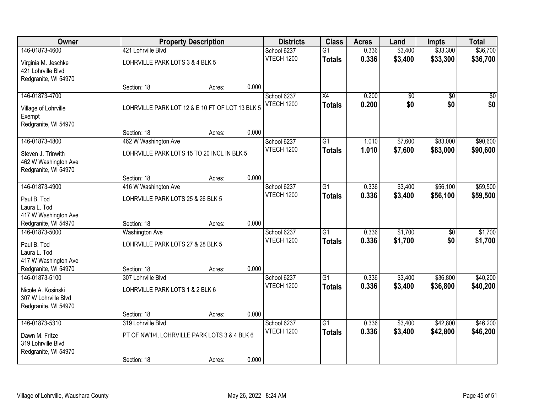| Owner                                        |                                                 | <b>Property Description</b> |       | <b>Districts</b>                 | <b>Class</b>    | <b>Acres</b>   | Land                   | Impts                  | <b>Total</b>           |
|----------------------------------------------|-------------------------------------------------|-----------------------------|-------|----------------------------------|-----------------|----------------|------------------------|------------------------|------------------------|
| 146-01873-4600                               | 421 Lohrville Blvd                              |                             |       | School 6237                      | $\overline{G1}$ | 0.336          | \$3,400                | \$33,300               | \$36,700               |
| Virginia M. Jeschke                          | LOHRVILLE PARK LOTS 3 & 4 BLK 5                 |                             |       | <b>VTECH 1200</b>                | <b>Totals</b>   | 0.336          | \$3,400                | \$33,300               | \$36,700               |
| 421 Lohrville Blvd                           |                                                 |                             |       |                                  |                 |                |                        |                        |                        |
| Redgranite, WI 54970                         |                                                 |                             |       |                                  |                 |                |                        |                        |                        |
|                                              | Section: 18                                     | Acres:                      | 0.000 |                                  |                 |                |                        |                        |                        |
| 146-01873-4700                               |                                                 |                             |       | School 6237<br><b>VTECH 1200</b> | $\overline{X4}$ | 0.200<br>0.200 | $\overline{50}$<br>\$0 | $\overline{30}$<br>\$0 | $\overline{50}$<br>\$0 |
| Village of Lohrville                         | LOHRVILLE PARK LOT 12 & E 10 FT OF LOT 13 BLK 5 |                             |       |                                  | <b>Totals</b>   |                |                        |                        |                        |
| Exempt                                       |                                                 |                             |       |                                  |                 |                |                        |                        |                        |
| Redgranite, WI 54970                         | Section: 18                                     | Acres:                      | 0.000 |                                  |                 |                |                        |                        |                        |
| 146-01873-4800                               | 462 W Washington Ave                            |                             |       | School 6237                      | $\overline{G1}$ | 1.010          | \$7,600                | \$83,000               | \$90,600               |
|                                              |                                                 |                             |       | <b>VTECH 1200</b>                | <b>Totals</b>   | 1.010          | \$7,600                | \$83,000               | \$90,600               |
| Steven J. Trinwith                           | LOHRVILLE PARK LOTS 15 TO 20 INCL IN BLK 5      |                             |       |                                  |                 |                |                        |                        |                        |
| 462 W Washington Ave<br>Redgranite, WI 54970 |                                                 |                             |       |                                  |                 |                |                        |                        |                        |
|                                              | Section: 18                                     | Acres:                      | 0.000 |                                  |                 |                |                        |                        |                        |
| 146-01873-4900                               | 416 W Washington Ave                            |                             |       | School 6237                      | $\overline{G1}$ | 0.336          | \$3,400                | \$56,100               | \$59,500               |
| Paul B. Tod                                  | LOHRVILLE PARK LOTS 25 & 26 BLK 5               |                             |       | <b>VTECH 1200</b>                | <b>Totals</b>   | 0.336          | \$3,400                | \$56,100               | \$59,500               |
| Laura L. Tod                                 |                                                 |                             |       |                                  |                 |                |                        |                        |                        |
| 417 W Washington Ave                         |                                                 |                             |       |                                  |                 |                |                        |                        |                        |
| Redgranite, WI 54970                         | Section: 18                                     | Acres:                      | 0.000 |                                  |                 |                |                        |                        |                        |
| 146-01873-5000                               | Washington Ave                                  |                             |       | School 6237                      | $\overline{G1}$ | 0.336          | \$1,700                | \$0                    | \$1,700                |
| Paul B. Tod                                  | LOHRVILLE PARK LOTS 27 & 28 BLK 5               |                             |       | <b>VTECH 1200</b>                | <b>Totals</b>   | 0.336          | \$1,700                | \$0                    | \$1,700                |
| Laura L. Tod                                 |                                                 |                             |       |                                  |                 |                |                        |                        |                        |
| 417 W Washington Ave                         |                                                 |                             |       |                                  |                 |                |                        |                        |                        |
| Redgranite, WI 54970<br>146-01873-5100       | Section: 18                                     | Acres:                      | 0.000 |                                  |                 |                |                        |                        |                        |
|                                              | 307 Lohrville Blvd                              |                             |       | School 6237<br><b>VTECH 1200</b> | $\overline{G1}$ | 0.336<br>0.336 | \$3,400<br>\$3,400     | \$36,800<br>\$36,800   | \$40,200<br>\$40,200   |
| Nicole A. Kosinski                           | LOHRVILLE PARK LOTS 1 & 2 BLK 6                 |                             |       |                                  | <b>Totals</b>   |                |                        |                        |                        |
| 307 W Lohrville Blvd                         |                                                 |                             |       |                                  |                 |                |                        |                        |                        |
| Redgranite, WI 54970                         | Section: 18                                     | Acres:                      | 0.000 |                                  |                 |                |                        |                        |                        |
| 146-01873-5310                               | 319 Lohrville Blvd                              |                             |       | School 6237                      | $\overline{G1}$ | 0.336          | \$3,400                | \$42,800               | \$46,200               |
|                                              |                                                 |                             |       | <b>VTECH 1200</b>                | <b>Totals</b>   | 0.336          | \$3,400                | \$42,800               | \$46,200               |
| Dawn M. Fritze<br>319 Lohrville Blvd         | PT OF NW1/4, LOHRVILLE PARK LOTS 3 & 4 BLK 6    |                             |       |                                  |                 |                |                        |                        |                        |
| Redgranite, WI 54970                         |                                                 |                             |       |                                  |                 |                |                        |                        |                        |
|                                              | Section: 18                                     | Acres:                      | 0.000 |                                  |                 |                |                        |                        |                        |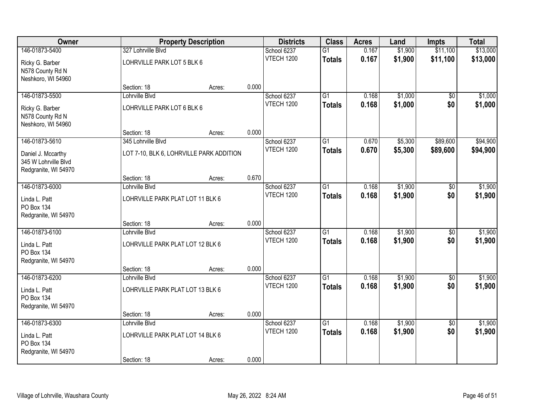| Owner                              |                                          | <b>Property Description</b> |       | <b>Districts</b>                 | <b>Class</b>    | <b>Acres</b>   | Land               | <b>Impts</b>    | <b>Total</b> |
|------------------------------------|------------------------------------------|-----------------------------|-------|----------------------------------|-----------------|----------------|--------------------|-----------------|--------------|
| 146-01873-5400                     | 327 Lohrville Blvd                       |                             |       | School 6237                      | $\overline{G1}$ | 0.167          | \$1,900            | \$11,100        | \$13,000     |
| Ricky G. Barber                    | LOHRVILLE PARK LOT 5 BLK 6               |                             |       | VTECH 1200                       | <b>Totals</b>   | 0.167          | \$1,900            | \$11,100        | \$13,000     |
| N578 County Rd N                   |                                          |                             |       |                                  |                 |                |                    |                 |              |
| Neshkoro, WI 54960                 |                                          |                             |       |                                  |                 |                |                    |                 |              |
|                                    | Section: 18                              | Acres:                      | 0.000 |                                  |                 |                |                    |                 |              |
| 146-01873-5500                     | Lohrville Blvd                           |                             |       | School 6237                      | $\overline{G1}$ | 0.168          | \$1,000            | $\overline{50}$ | \$1,000      |
| Ricky G. Barber                    | LOHRVILLE PARK LOT 6 BLK 6               |                             |       | VTECH 1200                       | <b>Totals</b>   | 0.168          | \$1,000            | \$0             | \$1,000      |
| N578 County Rd N                   |                                          |                             |       |                                  |                 |                |                    |                 |              |
| Neshkoro, WI 54960                 |                                          |                             |       |                                  |                 |                |                    |                 |              |
| 146-01873-5610                     | Section: 18                              | Acres:                      | 0.000 |                                  |                 |                |                    | \$89,600        | \$94,900     |
|                                    | 345 Lohrville Blvd                       |                             |       | School 6237<br><b>VTECH 1200</b> | G1              | 0.670<br>0.670 | \$5,300<br>\$5,300 | \$89,600        | \$94,900     |
| Daniel J. Mccarthy                 | LOT 7-10, BLK 6, LOHRVILLE PARK ADDITION |                             |       |                                  | <b>Totals</b>   |                |                    |                 |              |
| 345 W Lohrville Blvd               |                                          |                             |       |                                  |                 |                |                    |                 |              |
| Redgranite, WI 54970               | Section: 18                              | Acres:                      | 0.670 |                                  |                 |                |                    |                 |              |
| 146-01873-6000                     | Lohrville Blvd                           |                             |       | School 6237                      | G1              | 0.168          | \$1,900            | \$0             | \$1,900      |
|                                    |                                          |                             |       | <b>VTECH 1200</b>                | <b>Totals</b>   | 0.168          | \$1,900            | \$0             | \$1,900      |
| Linda L. Patt                      | LOHRVILLE PARK PLAT LOT 11 BLK 6         |                             |       |                                  |                 |                |                    |                 |              |
| PO Box 134<br>Redgranite, WI 54970 |                                          |                             |       |                                  |                 |                |                    |                 |              |
|                                    | Section: 18                              | Acres:                      | 0.000 |                                  |                 |                |                    |                 |              |
| 146-01873-6100                     | Lohrville Blvd                           |                             |       | School 6237                      | $\overline{G1}$ | 0.168          | \$1,900            | $\overline{50}$ | \$1,900      |
| Linda L. Patt                      | LOHRVILLE PARK PLAT LOT 12 BLK 6         |                             |       | VTECH 1200                       | <b>Totals</b>   | 0.168          | \$1,900            | \$0             | \$1,900      |
| PO Box 134                         |                                          |                             |       |                                  |                 |                |                    |                 |              |
| Redgranite, WI 54970               |                                          |                             |       |                                  |                 |                |                    |                 |              |
|                                    | Section: 18                              | Acres:                      | 0.000 |                                  |                 |                |                    |                 |              |
| 146-01873-6200                     | Lohrville Blvd                           |                             |       | School 6237                      | $\overline{G1}$ | 0.168          | \$1,900            | $\overline{50}$ | \$1,900      |
| Linda L. Patt                      | LOHRVILLE PARK PLAT LOT 13 BLK 6         |                             |       | <b>VTECH 1200</b>                | <b>Totals</b>   | 0.168          | \$1,900            | \$0             | \$1,900      |
| PO Box 134                         |                                          |                             |       |                                  |                 |                |                    |                 |              |
| Redgranite, WI 54970               |                                          |                             |       |                                  |                 |                |                    |                 |              |
|                                    | Section: 18                              | Acres:                      | 0.000 |                                  |                 |                |                    |                 |              |
| 146-01873-6300                     | Lohrville Blvd                           |                             |       | School 6237                      | $\overline{G1}$ | 0.168          | \$1,900            | $\overline{50}$ | \$1,900      |
| Linda L. Patt                      | LOHRVILLE PARK PLAT LOT 14 BLK 6         |                             |       | VTECH 1200                       | <b>Totals</b>   | 0.168          | \$1,900            | \$0             | \$1,900      |
| PO Box 134                         |                                          |                             |       |                                  |                 |                |                    |                 |              |
| Redgranite, WI 54970               |                                          |                             |       |                                  |                 |                |                    |                 |              |
|                                    | Section: 18                              | Acres:                      | 0.000 |                                  |                 |                |                    |                 |              |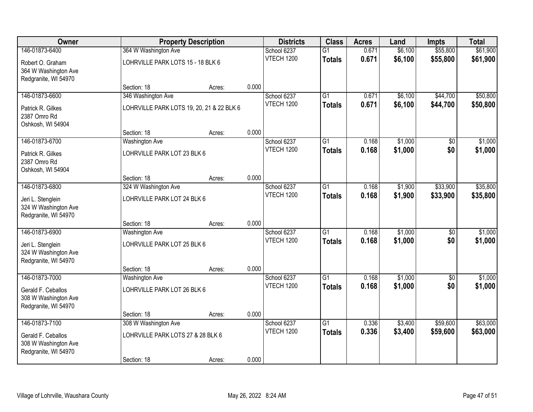| Owner                                                              |                                           | <b>Property Description</b> |       | <b>Districts</b>  | <b>Class</b>    | <b>Acres</b> | Land    | Impts           | <b>Total</b> |
|--------------------------------------------------------------------|-------------------------------------------|-----------------------------|-------|-------------------|-----------------|--------------|---------|-----------------|--------------|
| 146-01873-6400                                                     | 364 W Washington Ave                      |                             |       | School 6237       | $\overline{G1}$ | 0.671        | \$6,100 | \$55,800        | \$61,900     |
| Robert O. Graham<br>364 W Washington Ave<br>Redgranite, WI 54970   | LOHRVILLE PARK LOTS 15 - 18 BLK 6         |                             |       | <b>VTECH 1200</b> | <b>Totals</b>   | 0.671        | \$6,100 | \$55,800        | \$61,900     |
|                                                                    | Section: 18                               | Acres:                      | 0.000 |                   |                 |              |         |                 |              |
| 146-01873-6600                                                     | 346 Washington Ave                        |                             |       | School 6237       | $\overline{G1}$ | 0.671        | \$6,100 | \$44,700        | \$50,800     |
| Patrick R. Gilkes<br>2387 Omro Rd<br>Oshkosh, WI 54904             | LOHRVILLE PARK LOTS 19, 20, 21 & 22 BLK 6 |                             |       | <b>VTECH 1200</b> | <b>Totals</b>   | 0.671        | \$6,100 | \$44,700        | \$50,800     |
|                                                                    | Section: 18                               | Acres:                      | 0.000 |                   |                 |              |         |                 |              |
| 146-01873-6700                                                     | <b>Washington Ave</b>                     |                             |       | School 6237       | $\overline{G1}$ | 0.168        | \$1,000 | $\overline{50}$ | \$1,000      |
| Patrick R. Gilkes<br>2387 Omro Rd<br>Oshkosh, WI 54904             | LOHRVILLE PARK LOT 23 BLK 6               |                             |       | <b>VTECH 1200</b> | <b>Totals</b>   | 0.168        | \$1,000 | \$0             | \$1,000      |
|                                                                    | Section: 18                               | Acres:                      | 0.000 |                   |                 |              |         |                 |              |
| 146-01873-6800                                                     | 324 W Washington Ave                      |                             |       | School 6237       | $\overline{G1}$ | 0.168        | \$1,900 | \$33,900        | \$35,800     |
| Jeri L. Stenglein<br>324 W Washington Ave<br>Redgranite, WI 54970  | LOHRVILLE PARK LOT 24 BLK 6               |                             |       | <b>VTECH 1200</b> | <b>Totals</b>   | 0.168        | \$1,900 | \$33,900        | \$35,800     |
|                                                                    | Section: 18                               | Acres:                      | 0.000 |                   |                 |              |         |                 |              |
| 146-01873-6900                                                     | <b>Washington Ave</b>                     |                             |       | School 6237       | $\overline{G1}$ | 0.168        | \$1,000 | \$0             | \$1,000      |
| Jeri L. Stenglein<br>324 W Washington Ave<br>Redgranite, WI 54970  | LOHRVILLE PARK LOT 25 BLK 6               |                             |       | VTECH 1200        | <b>Totals</b>   | 0.168        | \$1,000 | \$0             | \$1,000      |
|                                                                    | Section: 18                               | Acres:                      | 0.000 |                   |                 |              |         |                 |              |
| 146-01873-7000                                                     | <b>Washington Ave</b>                     |                             |       | School 6237       | $\overline{G1}$ | 0.168        | \$1,000 | $\sqrt{6}$      | \$1,000      |
| Gerald F. Ceballos<br>308 W Washington Ave<br>Redgranite, WI 54970 | LOHRVILLE PARK LOT 26 BLK 6               |                             |       | <b>VTECH 1200</b> | <b>Totals</b>   | 0.168        | \$1,000 | \$0             | \$1,000      |
|                                                                    | Section: 18                               | Acres:                      | 0.000 |                   |                 |              |         |                 |              |
| 146-01873-7100                                                     | 308 W Washington Ave                      |                             |       | School 6237       | $\overline{G1}$ | 0.336        | \$3,400 | \$59,600        | \$63,000     |
| Gerald F. Ceballos<br>308 W Washington Ave<br>Redgranite, WI 54970 | LOHRVILLE PARK LOTS 27 & 28 BLK 6         |                             |       | <b>VTECH 1200</b> | <b>Totals</b>   | 0.336        | \$3,400 | \$59,600        | \$63,000     |
|                                                                    | Section: 18                               | Acres:                      | 0.000 |                   |                 |              |         |                 |              |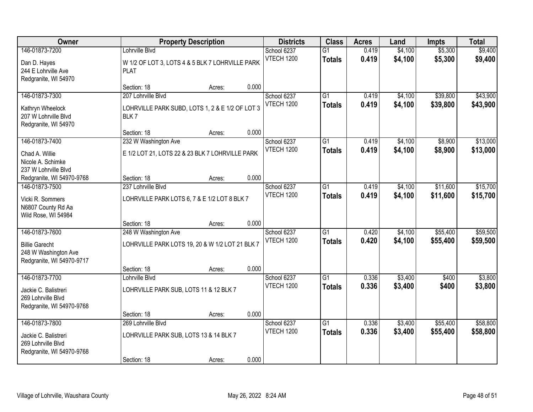| Owner                                                                      |                                                                | <b>Property Description</b> |       | <b>Districts</b>  | <b>Class</b>    | <b>Acres</b> | Land    | <b>Impts</b> | <b>Total</b> |
|----------------------------------------------------------------------------|----------------------------------------------------------------|-----------------------------|-------|-------------------|-----------------|--------------|---------|--------------|--------------|
| 146-01873-7200                                                             | Lohrville Blvd                                                 |                             |       | School 6237       | $\overline{G1}$ | 0.419        | \$4,100 | \$5,300      | \$9,400      |
| Dan D. Hayes<br>244 E Lohrville Ave<br>Redgranite, WI 54970                | W 1/2 OF LOT 3, LOTS 4 & 5 BLK 7 LOHRVILLE PARK<br><b>PLAT</b> |                             |       | <b>VTECH 1200</b> | <b>Totals</b>   | 0.419        | \$4,100 | \$5,300      | \$9,400      |
|                                                                            | Section: 18                                                    | Acres:                      | 0.000 |                   |                 |              |         |              |              |
| 146-01873-7300                                                             | 207 Lohrville Blvd                                             |                             |       | School 6237       | $\overline{G1}$ | 0.419        | \$4,100 | \$39,800     | \$43,900     |
| Kathryn Wheelock<br>207 W Lohrville Blvd<br>Redgranite, WI 54970           | LOHRVILLE PARK SUBD, LOTS 1, 2 & E 1/2 OF LOT 3<br>BLK7        |                             |       | <b>VTECH 1200</b> | <b>Totals</b>   | 0.419        | \$4,100 | \$39,800     | \$43,900     |
|                                                                            | Section: 18                                                    | Acres:                      | 0.000 |                   |                 |              |         |              |              |
| 146-01873-7400                                                             | 232 W Washington Ave                                           |                             |       | School 6237       | $\overline{G1}$ | 0.419        | \$4,100 | \$8,900      | \$13,000     |
| Chad A. Willie<br>Nicole A. Schimke<br>237 W Lohrville Blvd                | E 1/2 LOT 21, LOTS 22 & 23 BLK 7 LOHRVILLE PARK                |                             |       | <b>VTECH 1200</b> | <b>Totals</b>   | 0.419        | \$4,100 | \$8,900      | \$13,000     |
| Redgranite, WI 54970-9768                                                  | Section: 18                                                    | Acres:                      | 0.000 |                   |                 |              |         |              |              |
| 146-01873-7500                                                             | 237 Lohrville Blvd                                             |                             |       | School 6237       | G1              | 0.419        | \$4,100 | \$11,600     | \$15,700     |
| Vicki R. Sommers<br>N6807 County Rd Aa<br>Wild Rose, WI 54984              | LOHRVILLE PARK LOTS 6, 7 & E 1/2 LOT 8 BLK 7                   |                             |       | <b>VTECH 1200</b> | <b>Totals</b>   | 0.419        | \$4,100 | \$11,600     | \$15,700     |
|                                                                            | Section: 18                                                    | Acres:                      | 0.000 |                   |                 |              |         |              |              |
| 146-01873-7600                                                             | 248 W Washington Ave                                           |                             |       | School 6237       | $\overline{G1}$ | 0.420        | \$4,100 | \$55,400     | \$59,500     |
| <b>Billie Garecht</b><br>248 W Washington Ave<br>Redgranite, WI 54970-9717 | LOHRVILLE PARK LOTS 19, 20 & W 1/2 LOT 21 BLK 7                |                             |       | <b>VTECH 1200</b> | <b>Totals</b>   | 0.420        | \$4,100 | \$55,400     | \$59,500     |
|                                                                            | Section: 18                                                    | Acres:                      | 0.000 |                   |                 |              |         |              |              |
| 146-01873-7700                                                             | Lohrville Blvd                                                 |                             |       | School 6237       | $\overline{G1}$ | 0.336        | \$3,400 | \$400        | \$3,800      |
| Jackie C. Balistreri<br>269 Lohrville Blvd<br>Redgranite, WI 54970-9768    | LOHRVILLE PARK SUB, LOTS 11 & 12 BLK 7                         |                             |       | <b>VTECH 1200</b> | <b>Totals</b>   | 0.336        | \$3,400 | \$400        | \$3,800      |
|                                                                            | Section: 18                                                    | Acres:                      | 0.000 |                   |                 |              |         |              |              |
| 146-01873-7800                                                             | 269 Lohrville Blvd                                             |                             |       | School 6237       | $\overline{G1}$ | 0.336        | \$3,400 | \$55,400     | \$58,800     |
| Jackie C. Balistreri<br>269 Lohrville Blvd<br>Redgranite, WI 54970-9768    | LOHRVILLE PARK SUB, LOTS 13 & 14 BLK 7                         |                             |       | VTECH 1200        | <b>Totals</b>   | 0.336        | \$3,400 | \$55,400     | \$58,800     |
|                                                                            | Section: 18                                                    | Acres:                      | 0.000 |                   |                 |              |         |              |              |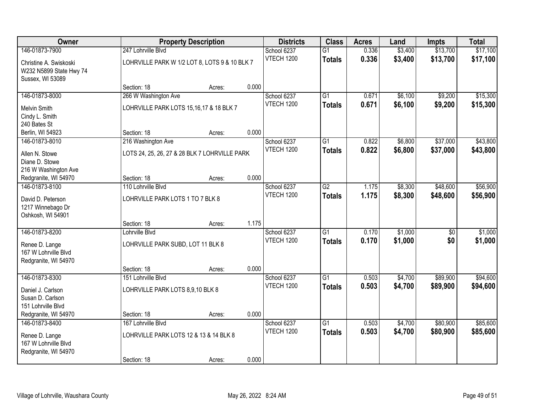| Owner                                  | <b>Property Description</b>                   |                                               |       | <b>Districts</b>                 | <b>Class</b>                     | <b>Acres</b>   | Land    | <b>Impts</b>    | <b>Total</b> |
|----------------------------------------|-----------------------------------------------|-----------------------------------------------|-------|----------------------------------|----------------------------------|----------------|---------|-----------------|--------------|
| 146-01873-7900                         | 247 Lohrville Blvd                            |                                               |       | School 6237                      | $\overline{G1}$                  | 0.336          | \$3,400 | \$13,700        | \$17,100     |
| Christine A. Swiskoski                 | LOHRVILLE PARK W 1/2 LOT 8, LOTS 9 & 10 BLK 7 |                                               |       | <b>VTECH 1200</b>                | <b>Totals</b>                    | 0.336          | \$3,400 | \$13,700        | \$17,100     |
| W232 N5899 State Hwy 74                |                                               |                                               |       |                                  |                                  |                |         |                 |              |
| Sussex, WI 53089                       |                                               |                                               |       |                                  |                                  |                |         |                 |              |
|                                        | Section: 18                                   | Acres:                                        | 0.000 |                                  |                                  |                |         |                 |              |
| 146-01873-8000                         | 266 W Washington Ave                          |                                               |       | School 6237<br><b>VTECH 1200</b> | $\overline{G1}$<br><b>Totals</b> | 0.671          | \$6,100 | \$9,200         | \$15,300     |
| <b>Melvin Smith</b>                    |                                               | LOHRVILLE PARK LOTS 15,16,17 & 18 BLK 7       |       |                                  |                                  | 0.671          | \$6,100 | \$9,200         | \$15,300     |
| Cindy L. Smith                         |                                               |                                               |       |                                  |                                  |                |         |                 |              |
| 240 Bates St                           |                                               |                                               |       |                                  |                                  |                |         |                 |              |
| Berlin, WI 54923                       | Section: 18                                   | Acres:                                        | 0.000 |                                  |                                  |                |         |                 |              |
| 146-01873-8010                         | 216 Washington Ave                            |                                               |       | School 6237<br><b>VTECH 1200</b> | $\overline{G1}$<br><b>Totals</b> | 0.822          | \$6,800 | \$37,000        | \$43,800     |
| Allen N. Stowe                         |                                               | LOTS 24, 25, 26, 27 & 28 BLK 7 LOHRVILLE PARK |       |                                  |                                  | 0.822          | \$6,800 | \$37,000        | \$43,800     |
| Diane D. Stowe                         |                                               |                                               |       |                                  |                                  |                |         |                 |              |
| 216 W Washington Ave                   |                                               |                                               |       |                                  |                                  |                |         |                 |              |
| Redgranite, WI 54970                   | Section: 18                                   | Acres:                                        | 0.000 |                                  |                                  |                |         |                 |              |
| 146-01873-8100                         | 110 Lohrville Blvd                            |                                               |       | School 6237<br><b>VTECH 1200</b> | $\overline{G2}$                  | 1.175<br>1.175 | \$8,300 | \$48,600        | \$56,900     |
| David D. Peterson                      | LOHRVILLE PARK LOTS 1 TO 7 BLK 8              |                                               |       |                                  | <b>Totals</b>                    |                | \$8,300 | \$48,600        | \$56,900     |
| 1217 Winnebago Dr                      |                                               |                                               |       |                                  |                                  |                |         |                 |              |
| Oshkosh, WI 54901                      |                                               |                                               |       |                                  |                                  |                |         |                 |              |
| 146-01873-8200                         | Section: 18<br>Lohrville Blvd                 | Acres:                                        | 1.175 |                                  | $\overline{G1}$                  | 0.170          | \$1,000 | $\overline{50}$ | \$1,000      |
|                                        |                                               |                                               |       | School 6237<br><b>VTECH 1200</b> | <b>Totals</b>                    | 0.170          | \$1,000 | \$0             | \$1,000      |
| Renee D. Lange                         | LOHRVILLE PARK SUBD, LOT 11 BLK 8             |                                               |       |                                  |                                  |                |         |                 |              |
| 167 W Lohrville Blvd                   |                                               |                                               |       |                                  |                                  |                |         |                 |              |
| Redgranite, WI 54970                   |                                               |                                               | 0.000 |                                  |                                  |                |         |                 |              |
| 146-01873-8300                         | Section: 18<br>151 Lohrville Blvd             | Acres:                                        |       | School 6237                      | $\overline{G1}$                  | 0.503          | \$4,700 | \$89,900        | \$94,600     |
|                                        |                                               |                                               |       | <b>VTECH 1200</b>                | <b>Totals</b>                    | 0.503          | \$4,700 | \$89,900        | \$94,600     |
| Daniel J. Carlson                      |                                               | LOHRVILLE PARK LOTS 8,9,10 BLK 8              |       |                                  |                                  |                |         |                 |              |
| Susan D. Carlson                       |                                               |                                               |       |                                  |                                  |                |         |                 |              |
| 151 Lohrville Blvd                     | Section: 18                                   |                                               | 0.000 |                                  |                                  |                |         |                 |              |
| Redgranite, WI 54970<br>146-01873-8400 | 167 Lohrville Blvd                            | Acres:                                        |       | School 6237                      | $\overline{G1}$                  | 0.503          | \$4,700 | \$80,900        | \$85,600     |
|                                        |                                               |                                               |       | <b>VTECH 1200</b>                | <b>Totals</b>                    | 0.503          | \$4,700 | \$80,900        | \$85,600     |
| Renee D. Lange                         | LOHRVILLE PARK LOTS 12 & 13 & 14 BLK 8        |                                               |       |                                  |                                  |                |         |                 |              |
| 167 W Lohrville Blvd                   |                                               |                                               |       |                                  |                                  |                |         |                 |              |
| Redgranite, WI 54970                   | Section: 18                                   | Acres:                                        | 0.000 |                                  |                                  |                |         |                 |              |
|                                        |                                               |                                               |       |                                  |                                  |                |         |                 |              |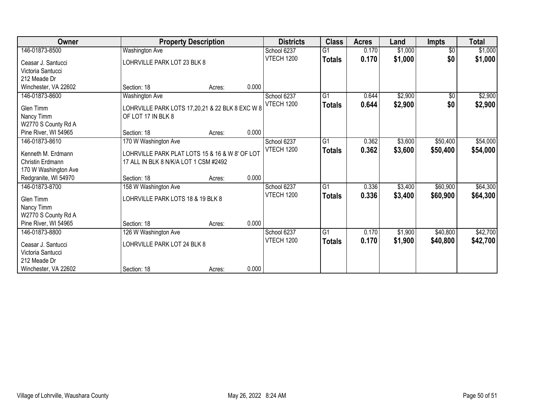| Owner                |                                                                                         | <b>Property Description</b> |       | <b>Districts</b>  | <b>Class</b>    | <b>Acres</b> | Land    | <b>Impts</b>    | <b>Total</b> |
|----------------------|-----------------------------------------------------------------------------------------|-----------------------------|-------|-------------------|-----------------|--------------|---------|-----------------|--------------|
| 146-01873-8500       | Washington Ave                                                                          |                             |       | School 6237       | $\overline{G1}$ | 0.170        | \$1,000 | $\overline{50}$ | \$1,000      |
| Ceasar J. Santucci   | LOHRVILLE PARK LOT 23 BLK 8                                                             |                             |       | <b>VTECH 1200</b> | <b>Totals</b>   | 0.170        | \$1,000 | \$0             | \$1,000      |
| Victoria Santucci    |                                                                                         |                             |       |                   |                 |              |         |                 |              |
| 212 Meade Dr         |                                                                                         |                             |       |                   |                 |              |         |                 |              |
| Winchester, VA 22602 | Section: 18                                                                             | Acres:                      | 0.000 |                   |                 |              |         |                 |              |
| 146-01873-8600       | <b>Washington Ave</b>                                                                   |                             |       | School 6237       | $\overline{G1}$ | 0.644        | \$2,900 | $\sqrt{6}$      | \$2,900      |
| Glen Timm            | LOHRVILLE PARK LOTS 17,20,21 & 22 BLK 8 EXC W 8                                         |                             |       | <b>VTECH 1200</b> | <b>Totals</b>   | 0.644        | \$2,900 | \$0             | \$2,900      |
| Nancy Timm           | OF LOT 17 IN BLK 8                                                                      |                             |       |                   |                 |              |         |                 |              |
| W2770 S County Rd A  |                                                                                         |                             |       |                   |                 |              |         |                 |              |
| Pine River, WI 54965 | Section: 18                                                                             | Acres:                      | 0.000 |                   |                 |              |         |                 |              |
| 146-01873-8610       | 170 W Washington Ave                                                                    |                             |       | School 6237       | $\overline{G1}$ | 0.362        | \$3,600 | \$50,400        | \$54,000     |
|                      |                                                                                         |                             |       | <b>VTECH 1200</b> | <b>Totals</b>   | 0.362        | \$3,600 | \$50,400        | \$54,000     |
| Kenneth M. Erdmann   | LOHRVILLE PARK PLAT LOTS 15 & 16 & W 8' OF LOT<br>17 ALL IN BLK 8 N/K/A LOT 1 CSM #2492 |                             |       |                   |                 |              |         |                 |              |
| Christin Erdmann     |                                                                                         |                             |       |                   |                 |              |         |                 |              |
| 170 W Washington Ave |                                                                                         |                             |       |                   |                 |              |         |                 |              |
| Redgranite, WI 54970 | Section: 18                                                                             | Acres:                      | 0.000 |                   |                 |              |         |                 |              |
| 146-01873-8700       | 158 W Washington Ave                                                                    |                             |       | School 6237       | G1              | 0.336        | \$3,400 | \$60,900        | \$64,300     |
| Glen Timm            | LOHRVILLE PARK LOTS 18 & 19 BLK 8                                                       |                             |       | <b>VTECH 1200</b> | <b>Totals</b>   | 0.336        | \$3,400 | \$60,900        | \$64,300     |
| Nancy Timm           |                                                                                         |                             |       |                   |                 |              |         |                 |              |
| W2770 S County Rd A  |                                                                                         |                             |       |                   |                 |              |         |                 |              |
| Pine River, WI 54965 | Section: 18                                                                             | Acres:                      | 0.000 |                   |                 |              |         |                 |              |
| 146-01873-8800       | 126 W Washington Ave                                                                    |                             |       | School 6237       | $\overline{G1}$ | 0.170        | \$1,900 | \$40,800        | \$42,700     |
| Ceasar J. Santucci   | LOHRVILLE PARK LOT 24 BLK 8                                                             |                             |       | <b>VTECH 1200</b> | <b>Totals</b>   | 0.170        | \$1,900 | \$40,800        | \$42,700     |
| Victoria Santucci    |                                                                                         |                             |       |                   |                 |              |         |                 |              |
| 212 Meade Dr         |                                                                                         |                             |       |                   |                 |              |         |                 |              |
| Winchester, VA 22602 | Section: 18                                                                             | Acres:                      | 0.000 |                   |                 |              |         |                 |              |